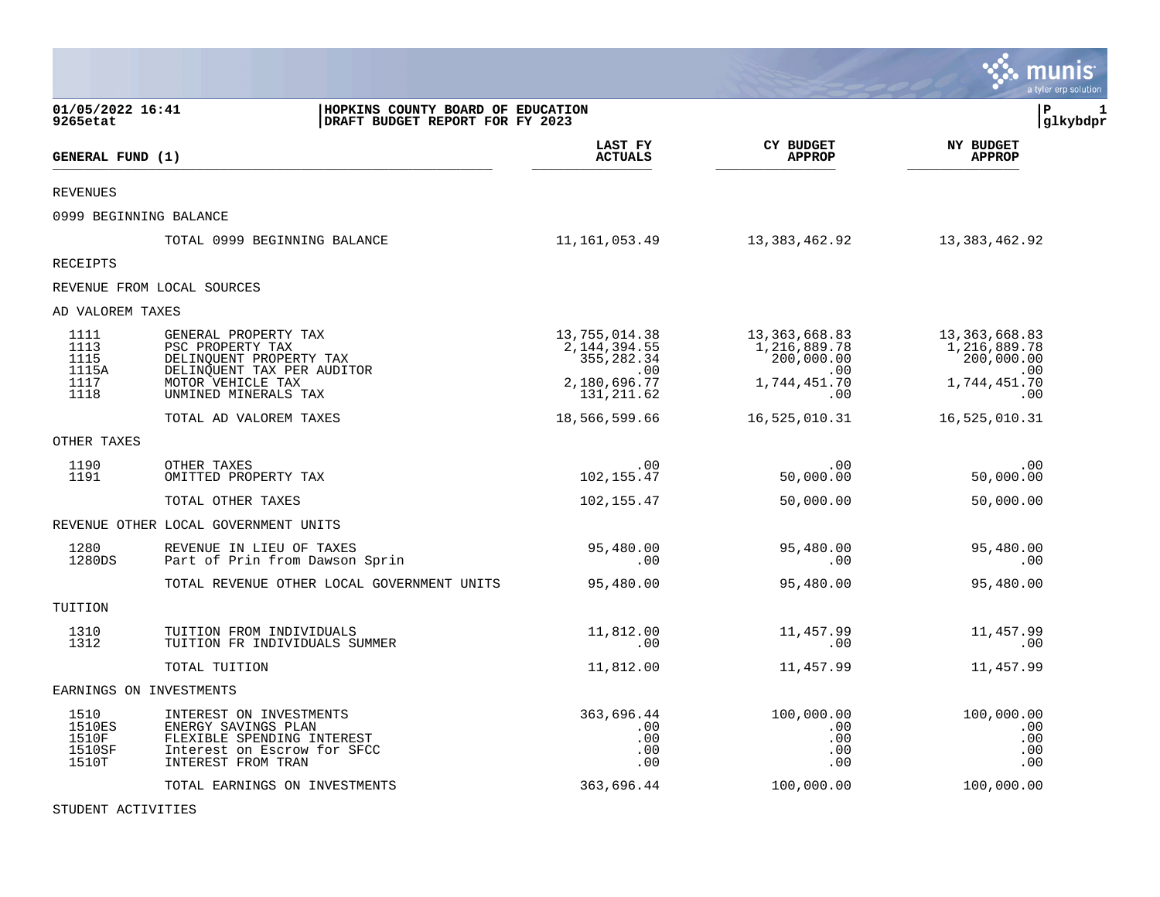|                                            |                                                                                                                                   |                                                            |                                                           | munis<br>a tyler erp solution                        |
|--------------------------------------------|-----------------------------------------------------------------------------------------------------------------------------------|------------------------------------------------------------|-----------------------------------------------------------|------------------------------------------------------|
| 01/05/2022 16:41<br>9265etat               | HOPKINS COUNTY BOARD OF EDUCATION<br>DRAFT BUDGET REPORT FOR FY 2023                                                              |                                                            |                                                           | l P<br>1<br>glkybdpr                                 |
| GENERAL FUND (1)                           |                                                                                                                                   | LAST FY<br><b>ACTUALS</b>                                  | <b>CY BUDGET</b><br><b>APPROP</b>                         | <b>NY BUDGET</b><br><b>APPROP</b>                    |
| <b>REVENUES</b>                            |                                                                                                                                   |                                                            |                                                           |                                                      |
|                                            | 0999 BEGINNING BALANCE                                                                                                            |                                                            |                                                           |                                                      |
|                                            | TOTAL 0999 BEGINNING BALANCE                                                                                                      | 11, 161, 053.49                                            | 13,383,462.92                                             | 13,383,462.92                                        |
| <b>RECEIPTS</b>                            |                                                                                                                                   |                                                            |                                                           |                                                      |
|                                            | REVENUE FROM LOCAL SOURCES                                                                                                        |                                                            |                                                           |                                                      |
| AD VALOREM TAXES                           |                                                                                                                                   |                                                            |                                                           |                                                      |
| 1111<br>1113<br>1115<br>1115A              | GENERAL PROPERTY TAX<br>PSC PROPERTY TAX<br>DELINQUENT PROPERTY TAX                                                               | 13,755,014.38<br>2, 144, 394. 55<br>355,282.34<br>$.00 \,$ | 13, 363, 668.83<br>1,216,889.78<br>200,000.00<br>$.00 \,$ | 13, 363, 668.83<br>1,216,889.78<br>200,000.00<br>.00 |
| 1117<br>1118                               | DELINQUENT TAX PER AUDITOR<br>MOTOR VEHICLE TAX<br>UNMINED MINERALS TAX                                                           | 2,180,696.77<br>131, 211.62                                | 1,744,451.70<br>.00                                       | 1,744,451.70<br>.00                                  |
|                                            | TOTAL AD VALOREM TAXES                                                                                                            | 18,566,599.66                                              | 16,525,010.31                                             | 16,525,010.31                                        |
| OTHER TAXES                                |                                                                                                                                   |                                                            |                                                           |                                                      |
| 1190<br>1191                               | OTHER TAXES<br>OMITTED PROPERTY TAX                                                                                               | .00<br>102, 155.47                                         | .00<br>50,000.00                                          | .00<br>50,000.00                                     |
|                                            | TOTAL OTHER TAXES                                                                                                                 | 102,155.47                                                 | 50,000.00                                                 | 50,000.00                                            |
|                                            | REVENUE OTHER LOCAL GOVERNMENT UNITS                                                                                              |                                                            |                                                           |                                                      |
| 1280<br>1280DS                             | REVENUE IN LIEU OF TAXES<br>Part of Prin from Dawson Sprin                                                                        | 95,480.00<br>.00                                           | 95,480.00<br>.00                                          | 95,480.00<br>.00                                     |
|                                            | TOTAL REVENUE OTHER LOCAL GOVERNMENT UNITS                                                                                        | 95,480.00                                                  | 95,480.00                                                 | 95,480.00                                            |
| TUITION                                    |                                                                                                                                   |                                                            |                                                           |                                                      |
| 1310<br>1312                               | TUITION FROM INDIVIDUALS<br>TUITION FR INDIVIDUALS SUMMER                                                                         | 11,812.00<br>.00                                           | 11,457.99<br>.00                                          | 11,457.99<br>.00                                     |
|                                            | TOTAL TUITION                                                                                                                     | 11,812.00                                                  | 11,457.99                                                 | 11,457.99                                            |
|                                            | EARNINGS ON INVESTMENTS                                                                                                           |                                                            |                                                           |                                                      |
| 1510<br>1510ES<br>1510F<br>1510SF<br>1510T | INTEREST ON INVESTMENTS<br>ENERGY SAVINGS PLAN<br>FLEXIBLE SPENDING INTEREST<br>Interest on Escrow for SFCC<br>INTEREST FROM TRAN | 363,696.44<br>.00<br>.00<br>.00<br>.00                     | 100,000.00<br>.00<br>.00<br>.00<br>.00                    | 100,000.00<br>.00<br>.00<br>.00<br>.00               |
|                                            | TOTAL EARNINGS ON INVESTMENTS                                                                                                     | 363,696.44                                                 | 100,000.00                                                | 100,000.00                                           |

STUDENT ACTIVITIES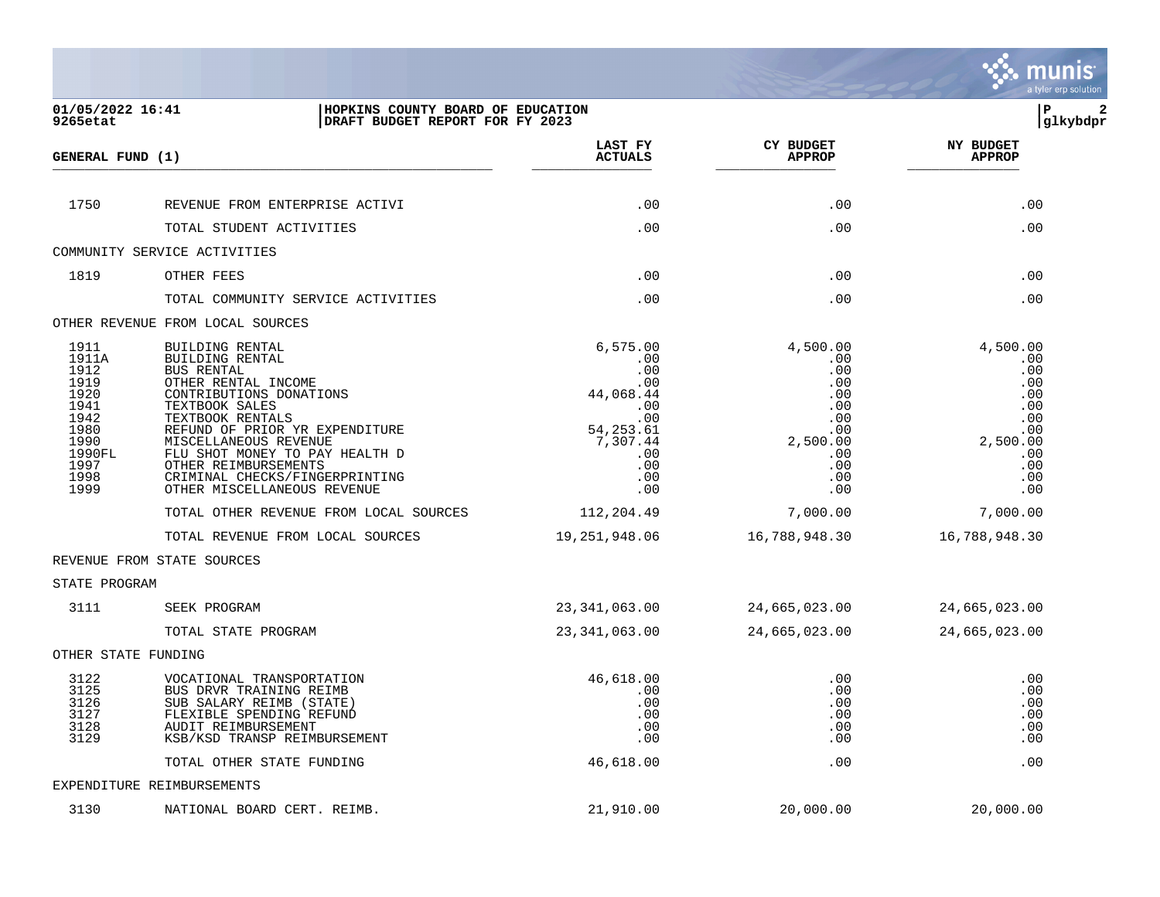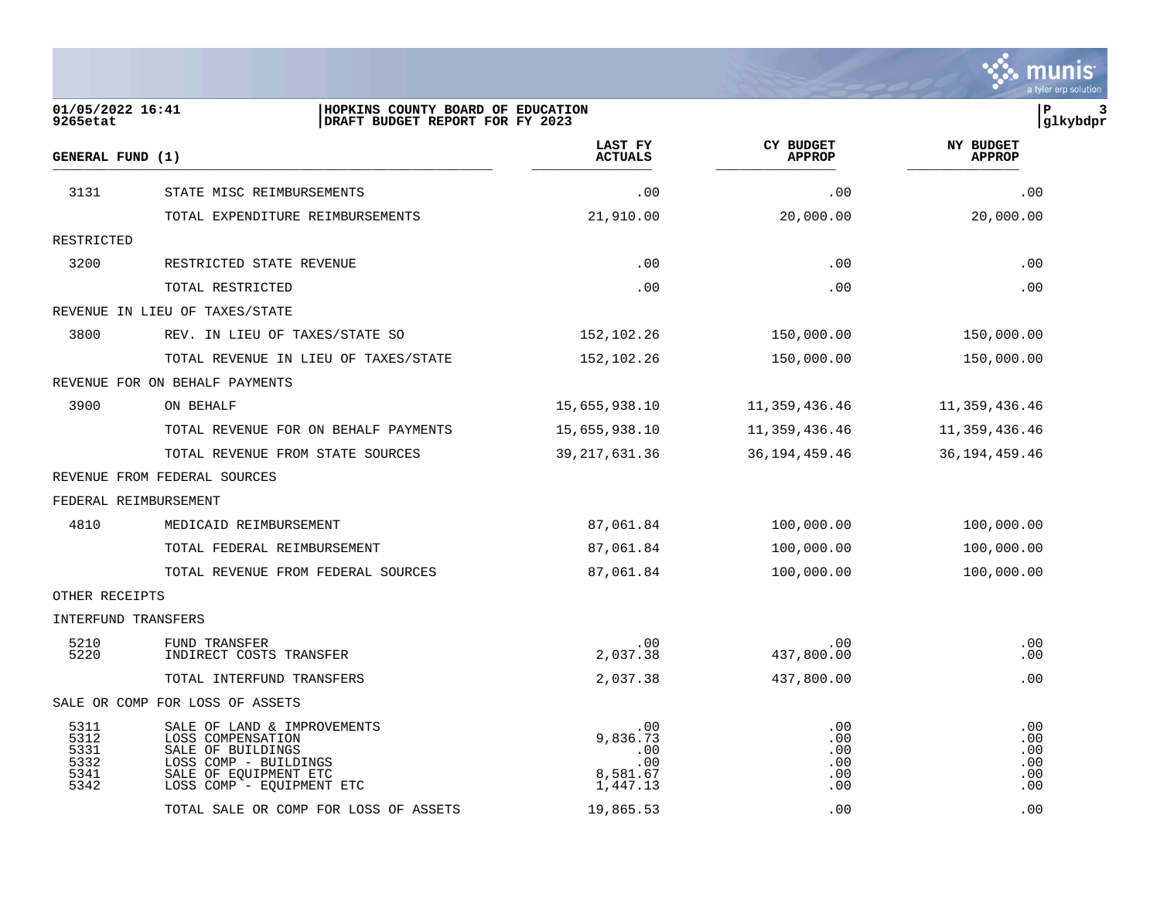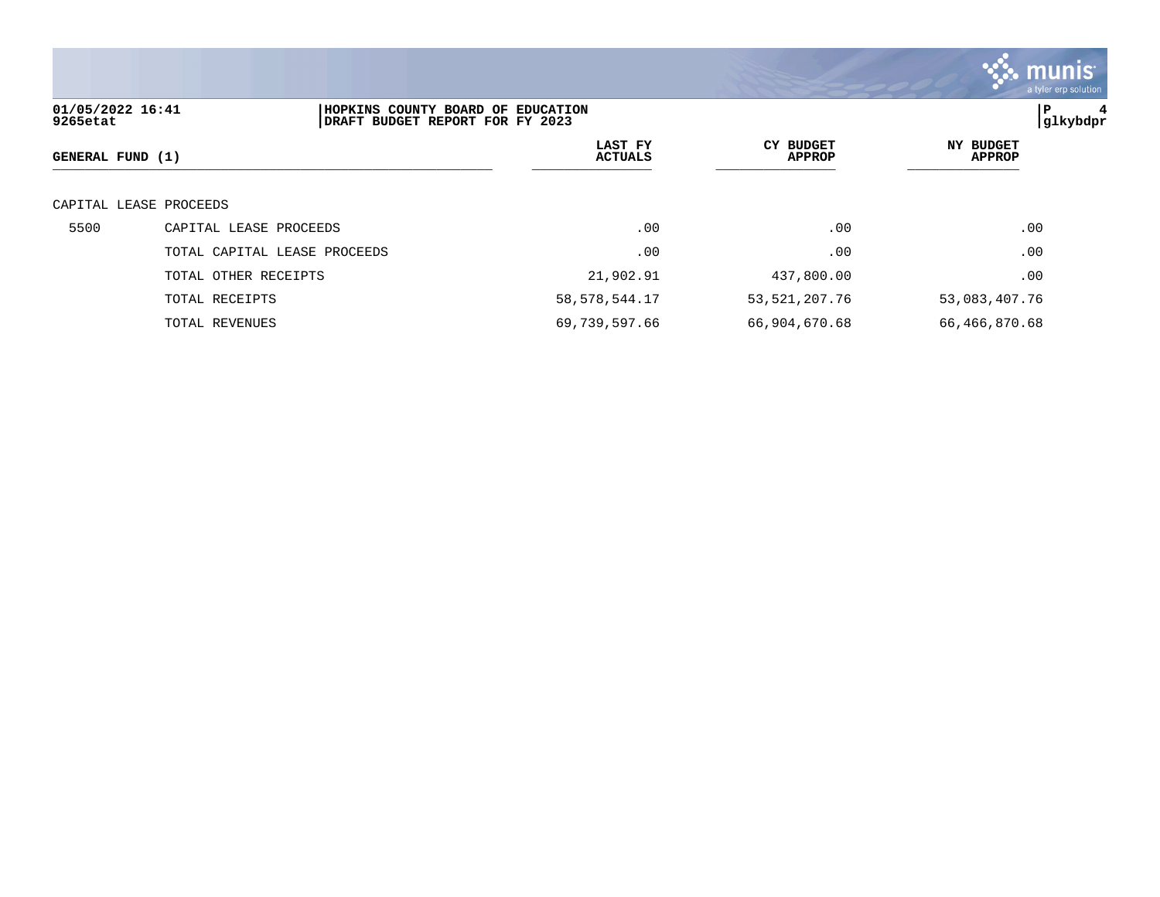|                              |                                                                      |                           |                                   | munis l<br>a tyler erp solution |
|------------------------------|----------------------------------------------------------------------|---------------------------|-----------------------------------|---------------------------------|
| 01/05/2022 16:41<br>9265etat | HOPKINS COUNTY BOARD OF EDUCATION<br>DRAFT BUDGET REPORT FOR FY 2023 |                           |                                   | ∣P<br>4<br> glkybdpr            |
| GENERAL FUND (1)             |                                                                      | LAST FY<br><b>ACTUALS</b> | <b>CY BUDGET</b><br><b>APPROP</b> | NY BUDGET<br><b>APPROP</b>      |
|                              | CAPITAL LEASE PROCEEDS                                               |                           |                                   |                                 |
| 5500                         | CAPITAL LEASE PROCEEDS                                               | .00                       | .00                               | .00                             |
|                              | TOTAL CAPITAL LEASE PROCEEDS                                         | .00                       | .00                               | .00                             |
|                              | TOTAL OTHER RECEIPTS                                                 | 21,902.91                 | 437,800.00                        | .00                             |
|                              | TOTAL RECEIPTS                                                       | 58, 578, 544.17           | 53, 521, 207. 76                  | 53,083,407.76                   |
|                              | TOTAL REVENUES                                                       | 69,739,597.66             | 66,904,670.68                     | 66,466,870.68                   |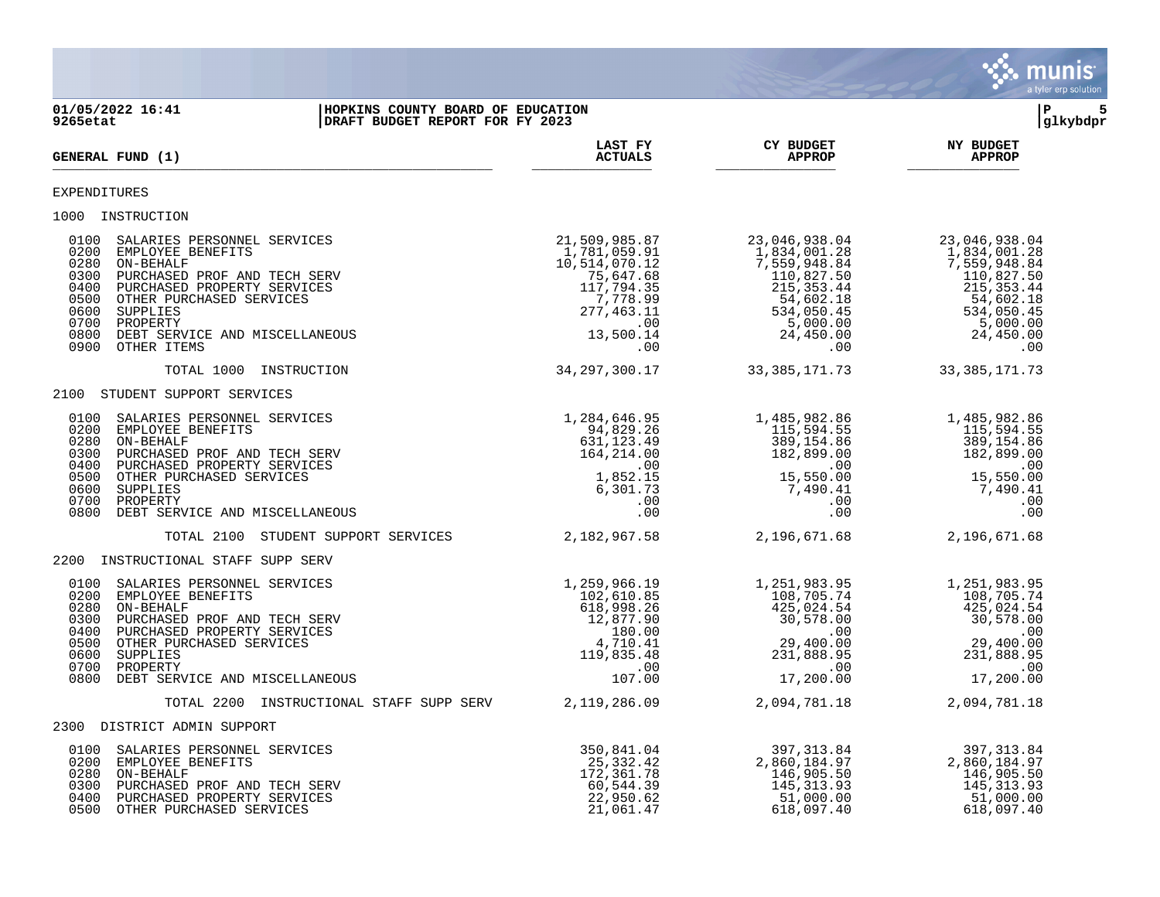

| 01/05/2022 16:41<br>HOPKINS COUNTY BOARD OF EDUCATION<br>DRAFT BUDGET REPORT FOR FY 2023<br>9265etat |                                                                                                                                                                                                                                                                        |                                                                                                                                                                                                                                                                                     |                                                                                                                                                                                                                                                                                             | P<br>5<br> glkybdpr                                                                                                                  |
|------------------------------------------------------------------------------------------------------|------------------------------------------------------------------------------------------------------------------------------------------------------------------------------------------------------------------------------------------------------------------------|-------------------------------------------------------------------------------------------------------------------------------------------------------------------------------------------------------------------------------------------------------------------------------------|---------------------------------------------------------------------------------------------------------------------------------------------------------------------------------------------------------------------------------------------------------------------------------------------|--------------------------------------------------------------------------------------------------------------------------------------|
|                                                                                                      | GENERAL FUND (1)                                                                                                                                                                                                                                                       | <b>ACTUALS</b>                                                                                                                                                                                                                                                                      | <b>APPROP</b>                                                                                                                                                                                                                                                                               | <b>APPROP</b>                                                                                                                        |
| <b>EXPENDITURES</b>                                                                                  |                                                                                                                                                                                                                                                                        |                                                                                                                                                                                                                                                                                     |                                                                                                                                                                                                                                                                                             |                                                                                                                                      |
|                                                                                                      | 1000 INSTRUCTION                                                                                                                                                                                                                                                       |                                                                                                                                                                                                                                                                                     |                                                                                                                                                                                                                                                                                             |                                                                                                                                      |
| 0100<br>0200<br>0280<br>0300<br>0400<br>0500<br>0600<br>0700<br>0800                                 | SALARIES PERSONNEL SERVICES<br>EMPLOYEE BENEFITS<br>ON-BEHALF<br>DIRECTION TROP AND TECH SERV<br>PURCHASED PROPERTY SERVICES<br>PURCHASED PROPERTY SERVICES<br>TROPERTY SERVICES<br>TROPERTY SERVICES<br>TROPERTY SERVICES<br>TROPERTY<br>277,463.<br>0900 OTHER ITEMS |                                                                                                                                                                                                                                                                                     |                                                                                                                                                                                                                                                                                             | 23,046,938.04<br>1,834,001.28<br>7,559,948.84<br>110,827.50<br>215,353.44<br>54,602.18<br>534,050.45<br>5,000.00<br>24,450.00<br>.00 |
|                                                                                                      | TOTAL 1000 INSTRUCTION                                                                                                                                                                                                                                                 |                                                                                                                                                                                                                                                                                     | 34, 297, 300.17 33, 385, 171.73 33, 385, 171.73                                                                                                                                                                                                                                             |                                                                                                                                      |
|                                                                                                      | 2100 STUDENT SUPPORT SERVICES                                                                                                                                                                                                                                          |                                                                                                                                                                                                                                                                                     |                                                                                                                                                                                                                                                                                             |                                                                                                                                      |
| 0100<br>0200<br>0280<br>0300<br>0400<br>0500<br>0600<br>0700                                         | SALARIES PERSONNEL SERVICES<br>EMPLOYEE BENEFITS<br>ON-BEHALF<br>PURCHASED PROF AND TECH SERV<br>PURCHASED PROPERTY SERVICES<br>OTHER PURCHASED SERVICES<br>SUPPLIES<br>PROPERTY<br>0800 DEBT SERVICE AND MISCELLANEOUS                                                | $\begin{array}{cccc} 1\,,284\,,646\,.95 & 1\,,485\,,982\,.86\, & 94\,,829\,.26 & 115\,,594\,.55\, & 631\,,123\,.49 & 389\,,154\,.86\, & 164\,,214\,.00 & 182\,,899\,.00\, & 0.0\, & 0.0\, & 6\,,301\,.73 & 7\,,490\,.41\, & 0.0 & 0.0\, & 0.0\, & 0.0\, & 0.0\, & 0.0\, & 0.0\, & $ |                                                                                                                                                                                                                                                                                             | 1,485,982.86<br>115,594.55<br>389,154.86<br>$182,899$<br>18,550.00<br>15,550.00<br>7 490.41<br>.00<br>.00                            |
|                                                                                                      | TOTAL 2100 STUDENT SUPPORT SERVICES 2,182,967.58                                                                                                                                                                                                                       |                                                                                                                                                                                                                                                                                     | 2,196,671.68                                                                                                                                                                                                                                                                                | 2,196,671.68                                                                                                                         |
|                                                                                                      | 2200 INSTRUCTIONAL STAFF SUPP SERV                                                                                                                                                                                                                                     |                                                                                                                                                                                                                                                                                     |                                                                                                                                                                                                                                                                                             |                                                                                                                                      |
| 0200<br>0280<br>0300<br>0400<br>0500<br>0600<br>0700<br>0800                                         | 0100 SALARIES PERSONNEL SERVICES<br>EMPLOYEE BENEFITS<br>ON-BEHALF<br>PURCHASED PROF AND TECH SERV<br>PURCHASED PROPERTY SERVICES<br>OTHER PURCHASED SERVICES<br>SUPPLIES<br>PROPERTY<br>DEBT SERVICE AND MISCELLANEOUS                                                | $1,259,300$<br>$102,610.85$<br>$618,998.26$<br>$12,877.90$<br>$180.00$<br>$4,710.41$<br>$119,835.48$<br>.00<br>$107.00$                                                                                                                                                             | $\begin{array}{cccccc} 1,259\,,966\,.19 & 1,251\,,983\,.95 & 1,251\,,983\,.95 \\ 102,610\,.85 & 108\,,705\,.74 & 108\,,705\,.74 \\ 618\,,998\,.26 & 425\,,024\,.54 & 425\,,024\,.54 \\ 12,877\,.90 & 30\,,578\,.00 & 30\,,578\,.00 \\ 187\,,835\,.48 & 231\,,888\,.95 & 231\,,888\,.95 \\ $ |                                                                                                                                      |
|                                                                                                      | TOTAL 2200 INSTRUCTIONAL STAFF SUPP SERV 2, 119, 286.09                                                                                                                                                                                                                |                                                                                                                                                                                                                                                                                     | 2,094,781.18                                                                                                                                                                                                                                                                                | 2,094,781.18                                                                                                                         |
|                                                                                                      | 2300 DISTRICT ADMIN SUPPORT                                                                                                                                                                                                                                            |                                                                                                                                                                                                                                                                                     |                                                                                                                                                                                                                                                                                             |                                                                                                                                      |
| 0100<br>0200<br>0280<br>0300<br>0400                                                                 | SALARIES PERSONNEL SERVICES<br>EMPLOYEE BENEFITS<br>ON-BEHALF<br>PURCHASED PROF AND TECH SERV<br>PURCHASED PROPERTY SERVICES                                                                                                                                           | 350,841.04<br>25,332.42<br>172,361.78<br>60,544.39<br>22,950.62                                                                                                                                                                                                                     | 397, 313.84<br>2, 860, 184.97<br>146.905.50<br>145, 313.93<br>51,000.00                                                                                                                                                                                                                     | 397,313.84<br>2,860,184.97<br>146,905.50<br>145, 313.93<br>51,000.00                                                                 |

0500 OTHER PURCHASED SERVICES 21,061.47 618,097.40 618,097.40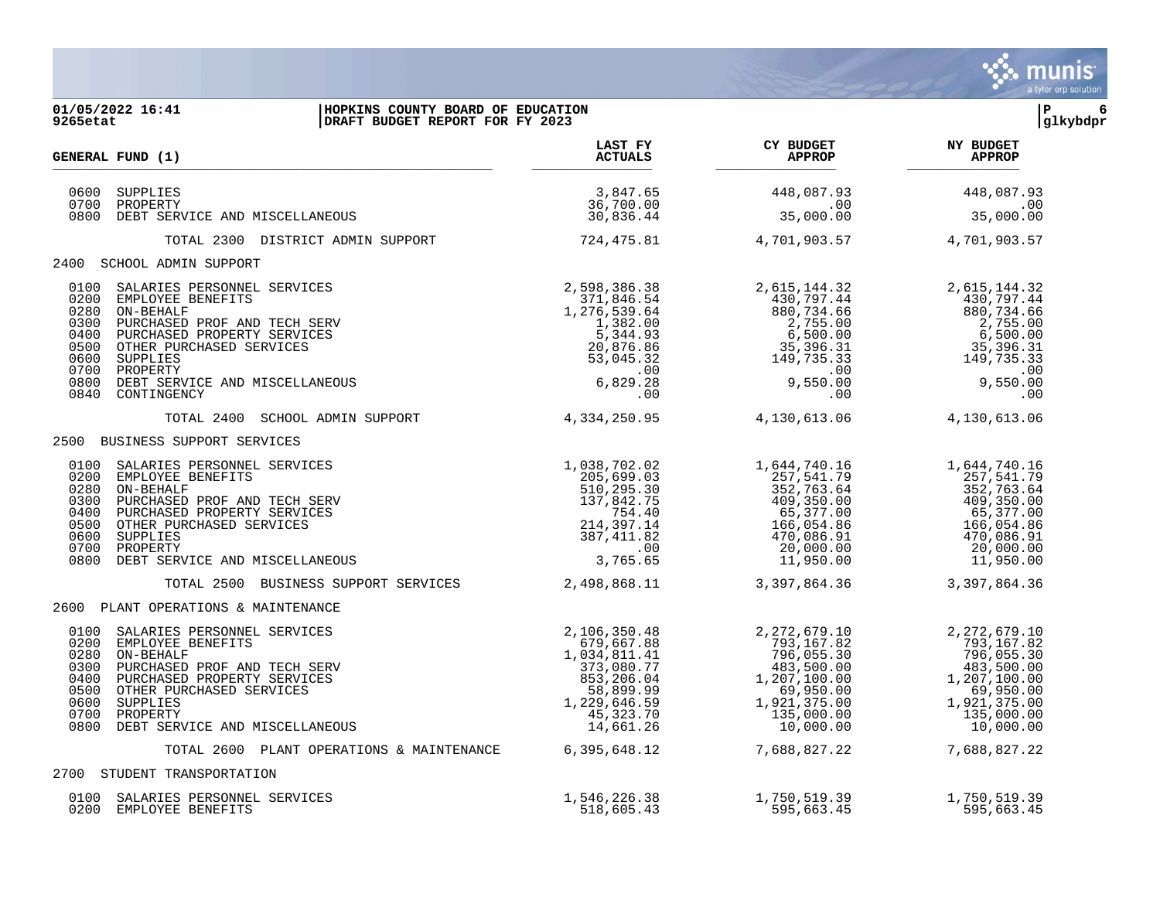

## 01/05/2022 16:41 **|HOPKINS COUNTY BOARD OF EDUCATION**<br>9265etat | RESERVENT BUDGET REPORT FOR FY 2023 DRAFT BUDGET REPORT FOR FY 2023 **LAST FY CY BUDGET NY BUDGET**  $GENERAL$  **FUND** (1) \_\_\_\_\_\_\_\_\_\_\_\_\_\_\_\_\_\_\_\_\_\_\_\_\_\_\_\_\_\_\_\_\_\_\_\_\_\_\_\_\_\_\_\_\_\_\_\_\_\_\_\_\_\_\_ \_\_\_\_\_\_\_\_\_\_\_\_\_\_\_ \_\_\_\_\_\_\_\_\_\_\_\_\_\_\_ \_\_\_\_\_\_\_\_\_\_\_\_\_\_ 0600 SUPPLIES 3,847.65 448,087.93 448,087.93 0700 PROPERTY 36,700.00 .00 .00 0800 DEBT SERVICE AND MISCELLANEOUS TOTAL 2300 DISTRICT ADMIN SUPPORT 724,475.81 4,701,903.57 4,701,903.57 2400 SCHOOL ADMIN SUPPORT 0100 SALARIES PERSONNEL SERVICES 2,598,386.38 2,615,144.32 2,615,144.32 0200 EMPLOYEE BENEFITS 371,846.54 430,797.44 430,797.44 0280 ON-BEHALF 1,276,539.64 880,734.66 880,734.66 0300 PURCHASED PROF AND TECH SERV  $\begin{array}{c} 1,382.00 \\ 5,344.93 \end{array}$   $\begin{array}{c} 2,755.00 \\ 6,500.00 \end{array}$   $\begin{array}{c} 2,755.00 \\ 6,500.00 \end{array}$   $\begin{array}{c} 2,755.00 \\ 6,500.00 \end{array}$ 0400 PURCHASED PROPERTY SERVICES (5,344.93 5,344.93 6,500.00 6,500.00 6,500.00 6,500.00 6,500.00 6,500.00 6,500<br>0500 OTHER PURCHASED SERVICES (5,396.31 6,600 6,500.00 6,500.00 6,500.00 6,500.00 6,500.00 6,500.00 6,500.00<br>0 0500 OTHER PURCHASED SERVICES 20,876.86 35,045.32 0600 SUPPLIES 53,045.32 149,735.33 149,735.33 0700 PROPERTY .00 .00 .00 0800 DEBT SERVICE AND MISCELLANEOUS 6,829.28 9,550.00 9,550.00 0840 CONTINGENCY TOTAL 2400 SCHOOL ADMIN SUPPORT 4,334,250.95 4,130,613.06 4,130,613.06 2500 BUSINESS SUPPORT SERVICES 0100 SALARIES PERSONNEL SERVICES<br>0200 EMPLOYEE BENEFITS CONNEL SERVICES 1,038,702.02 1,644,740.16 1,644,740.16<br>510.295.30 352.763.64 352.763.64 352.763.64 0200 EMPLOYEE BENEFITS<br>0280.0N-BFUALE 0280 ON-BEHALF 510,295.30 352,763.64 352,763.64

| 0280<br>ON-BEHALF<br>0300<br>PURCHASED PROF AND TECH SERV | 510,295.30<br>137,842.75 | 352,763.64<br>409,350.00 | 352,763.64<br>409,350.00 |
|-----------------------------------------------------------|--------------------------|--------------------------|--------------------------|
| 0400<br>PURCHASED PROPERTY SERVICES                       | 754.40                   | 65,377.00                | 65,377.00                |
| 0500<br>OTHER PURCHASED SERVICES                          | 214,397.14               | 166,054.86               | 166,054.86               |
| 0600<br>SUPPLIES                                          | 387, 411.82              | 470,086.91               | 470,086.91               |
| 0700<br>PROPERTY                                          | .00                      | 20,000.00                | 20,000.00                |
| 0800<br>DEBT SERVICE AND MISCELLANEOUS                    | 3,765.65                 | 11,950.00                | 11,950.00                |
| TOTAL 2500<br>BUSINESS SUPPORT SERVICES                   | 2,498,868.11             | 3, 397, 864.36           | 3, 397, 864.36           |
| 2600<br>PLANT OPERATIONS & MAINTENANCE                    |                          |                          |                          |
| 0100<br>SALARIES PERSONNEL SERVICES                       | 2,106,350.48             | 2, 272, 679.10           | 2, 272, 679.10           |
| 0200<br>EMPLOYEE BENEFITS                                 | 679,667.88               | 793,167.82               | 793,167.82               |
| 0280<br>ON-BEHALF                                         | 1,034,811.41             | 796,055.30               | 796,055.30               |
| 0300<br>PURCHASED PROF AND TECH SERV                      | 373,080.77               | 483,500.00               | 483,500.00               |
| 0400<br>PURCHASED PROPERTY SERVICES                       | 853,206.04               | 1,207,100.00             | 1,207,100.00             |
| 0500<br>OTHER PURCHASED SERVICES                          | 58,899.99                | 69,950.00                | 69,950.00                |
| 0600<br>SUPPLIES                                          | 1,229,646.59             | 1,921,375.00             | 1,921,375.00             |
| 0700<br>PROPERTY                                          | 45,323.70                | 135,000.00               | 135,000.00               |
| 0800<br>DEBT SERVICE AND MISCELLANEOUS                    | 14,661.26                | 10,000.00                | 10,000.00                |
| TOTAL 2600<br>PLANT OPERATIONS & MAINTENANCE              | 6,395,648.12             | 7,688,827.22             | 7,688,827.22             |
| 2700 STUDENT TRANSPORTATION                               |                          |                          |                          |
|                                                           |                          |                          |                          |

|                                                       | 4700 DIODENI IRANDE ORIAIION     |              |              |                            |
|-------------------------------------------------------|----------------------------------|--------------|--------------|----------------------------|
| 0200<br>595,663.45<br>518,605.43<br>EMPLOYEE BENEFITS | 0100 SALARIES PERSONNEL SERVICES | 1,546,226.38 | 1,750,519.39 | 1,750,519.39<br>595,663.45 |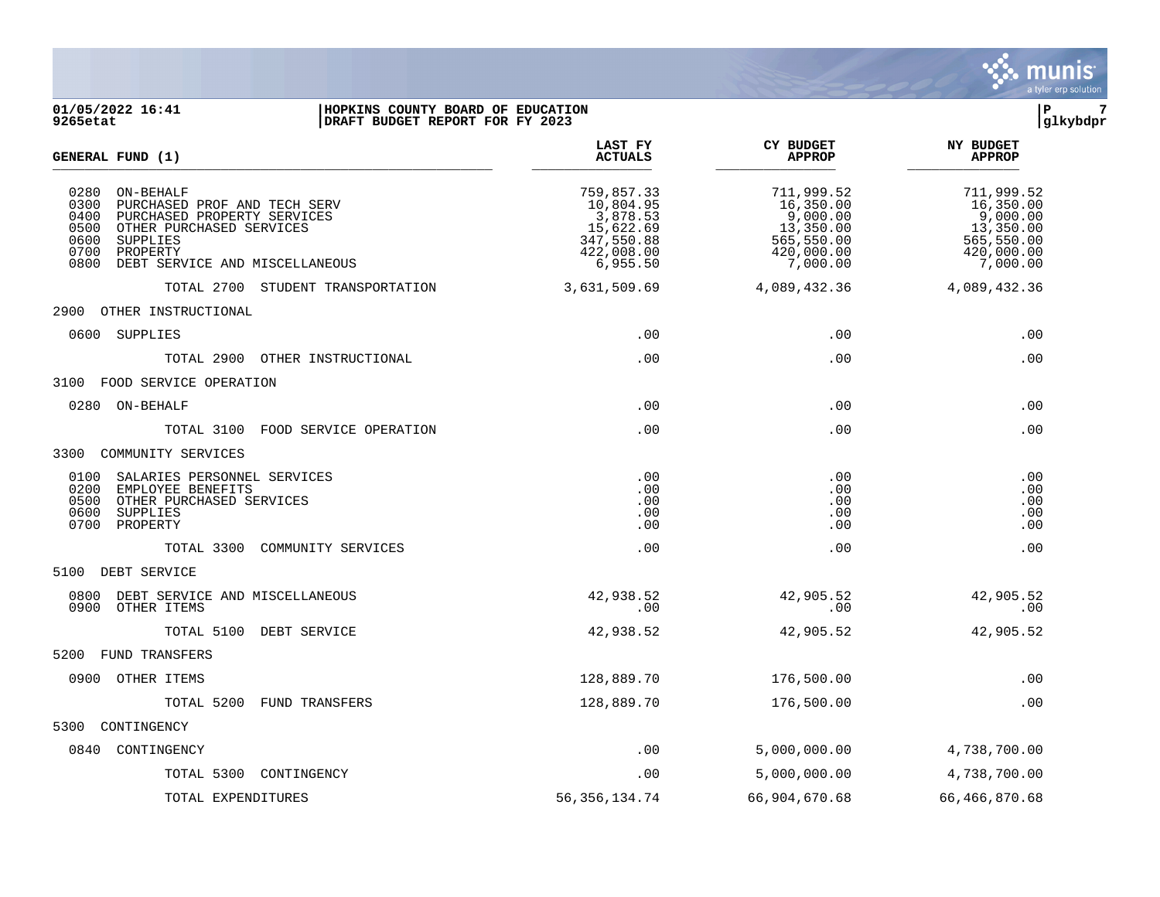

### **01/05/2022 16:41 |HOPKINS COUNTY BOARD OF EDUCATION |P 7 9265etat |DRAFT BUDGET REPORT FOR FY 2023 |glkybdpr**

| <b>GENERAL FUND (1)</b>                                                                                                                                                                                                | LAST FY<br><b>ACTUALS</b>                                                                | <b>CY BUDGET</b><br><b>APPROP</b>                                                        | <b>NY BUDGET</b><br><b>APPROP</b>                                                        |
|------------------------------------------------------------------------------------------------------------------------------------------------------------------------------------------------------------------------|------------------------------------------------------------------------------------------|------------------------------------------------------------------------------------------|------------------------------------------------------------------------------------------|
| 0280<br>ON-BEHALF<br>0300<br>PURCHASED PROF AND TECH SERV<br>0400<br>PURCHASED PROPERTY SERVICES<br>0500<br>OTHER PURCHASED SERVICES<br>0600<br>SUPPLIES<br>0700<br>PROPERTY<br>0800<br>DEBT SERVICE AND MISCELLANEOUS | 759,857.33<br>10,804.95<br>3,878.53<br>15,622.69<br>347,550.88<br>422,008.00<br>6,955.50 | 711,999.52<br>16,350.00<br>9,000.00<br>13,350.00<br>565,550.00<br>420,000.00<br>7,000.00 | 711,999.52<br>16,350.00<br>9,000.00<br>13,350.00<br>565,550.00<br>420,000.00<br>7,000.00 |
| TOTAL 2700 STUDENT TRANSPORTATION                                                                                                                                                                                      | 3,631,509.69                                                                             | 4,089,432.36                                                                             | 4,089,432.36                                                                             |
| 2900<br>OTHER INSTRUCTIONAL                                                                                                                                                                                            |                                                                                          |                                                                                          |                                                                                          |
| 0600<br>SUPPLIES                                                                                                                                                                                                       | .00                                                                                      | .00                                                                                      | .00                                                                                      |
| TOTAL 2900 OTHER INSTRUCTIONAL                                                                                                                                                                                         | .00                                                                                      | .00                                                                                      | .00                                                                                      |
| 3100 FOOD SERVICE OPERATION                                                                                                                                                                                            |                                                                                          |                                                                                          |                                                                                          |
| 0280<br>ON-BEHALF                                                                                                                                                                                                      | .00                                                                                      | .00                                                                                      | .00                                                                                      |
| TOTAL 3100 FOOD SERVICE OPERATION                                                                                                                                                                                      | .00                                                                                      | .00                                                                                      | .00                                                                                      |
| 3300<br>COMMUNITY SERVICES                                                                                                                                                                                             |                                                                                          |                                                                                          |                                                                                          |
| 0100<br>SALARIES PERSONNEL SERVICES<br>0200<br>EMPLOYEE BENEFITS<br>0500<br>OTHER PURCHASED SERVICES<br>0600<br><b>SUPPLIES</b><br>0700<br>PROPERTY                                                                    | .00<br>.00<br>.00<br>.00<br>.00                                                          | .00<br>.00<br>.00<br>.00<br>.00                                                          | .00<br>.00<br>.00<br>.00<br>.00                                                          |
| TOTAL 3300<br>COMMUNITY SERVICES                                                                                                                                                                                       | .00                                                                                      | .00                                                                                      | .00                                                                                      |
| 5100<br>DEBT SERVICE                                                                                                                                                                                                   |                                                                                          |                                                                                          |                                                                                          |
| 0800<br>DEBT SERVICE AND MISCELLANEOUS<br>0900<br>OTHER ITEMS                                                                                                                                                          | 42,938.52<br>.00                                                                         | 42,905.52<br>.00                                                                         | 42,905.52<br>.00                                                                         |
| TOTAL 5100<br>DEBT SERVICE                                                                                                                                                                                             | 42,938.52                                                                                | 42,905.52                                                                                | 42,905.52                                                                                |
| 5200<br><b>FUND TRANSFERS</b>                                                                                                                                                                                          |                                                                                          |                                                                                          |                                                                                          |
| 0900<br>OTHER ITEMS                                                                                                                                                                                                    | 128,889.70                                                                               | 176,500.00                                                                               | .00                                                                                      |
| TOTAL 5200<br>FUND TRANSFERS                                                                                                                                                                                           | 128,889.70                                                                               | 176,500.00                                                                               | .00                                                                                      |
| 5300<br>CONTINGENCY                                                                                                                                                                                                    |                                                                                          |                                                                                          |                                                                                          |
| 0840<br>CONTINGENCY                                                                                                                                                                                                    | .00                                                                                      | 5,000,000.00                                                                             | 4,738,700.00                                                                             |
| TOTAL 5300<br>CONTINGENCY                                                                                                                                                                                              | .00                                                                                      | 5,000,000.00                                                                             | 4,738,700.00                                                                             |
| TOTAL EXPENDITURES                                                                                                                                                                                                     | 56, 356, 134.74                                                                          | 66,904,670.68                                                                            | 66,466,870.68                                                                            |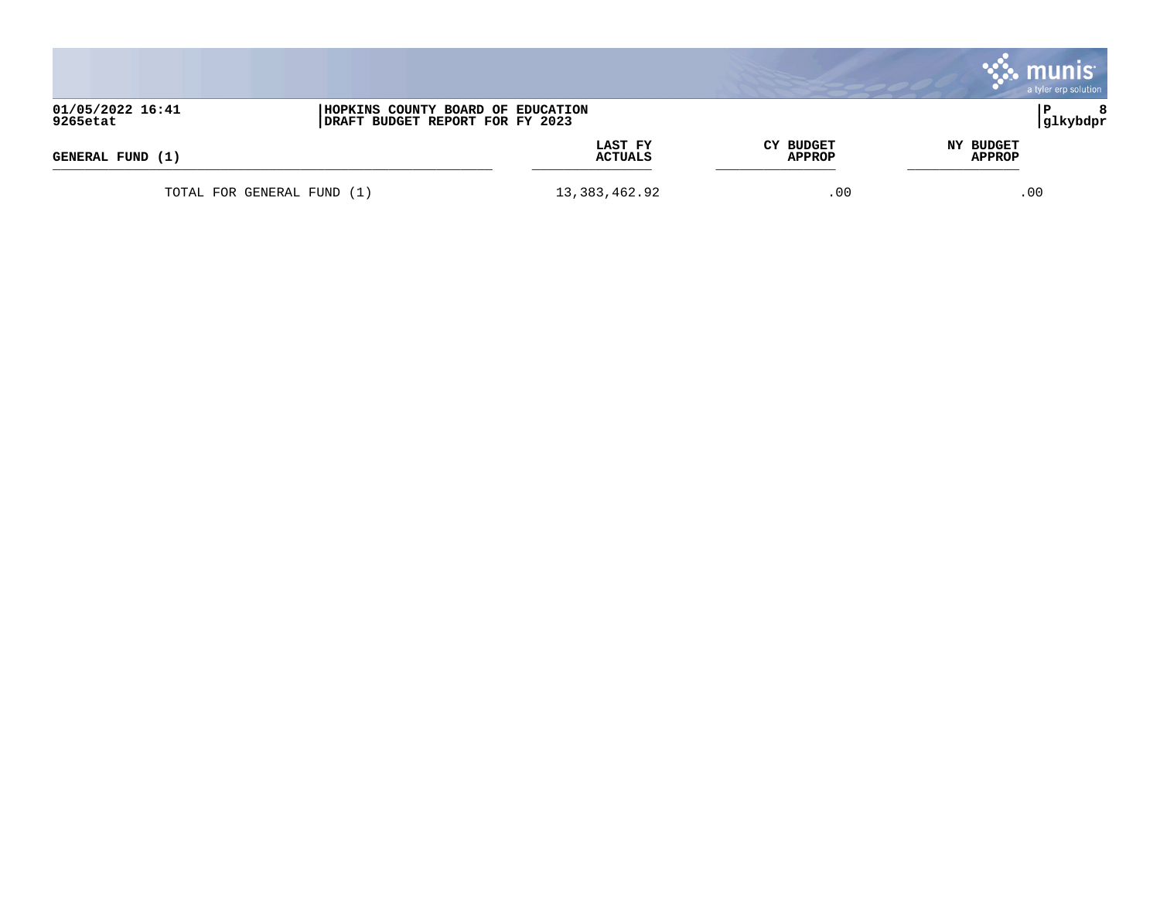|                              |                                                                      |                           |                                   | muni<br>a tyler erp solution |
|------------------------------|----------------------------------------------------------------------|---------------------------|-----------------------------------|------------------------------|
| 01/05/2022 16:41<br>9265etat | HOPKINS COUNTY BOARD OF EDUCATION<br>DRAFT BUDGET REPORT FOR FY 2023 |                           |                                   | 8<br> glkybdpr               |
| GENERAL FUND (1)             |                                                                      | LAST FY<br><b>ACTUALS</b> | <b>CY BUDGET</b><br><b>APPROP</b> | NY BUDGET<br><b>APPROP</b>   |
| TOTAL FOR GENERAL FUND (1)   |                                                                      | 13, 383, 462.92           | .00                               | .00                          |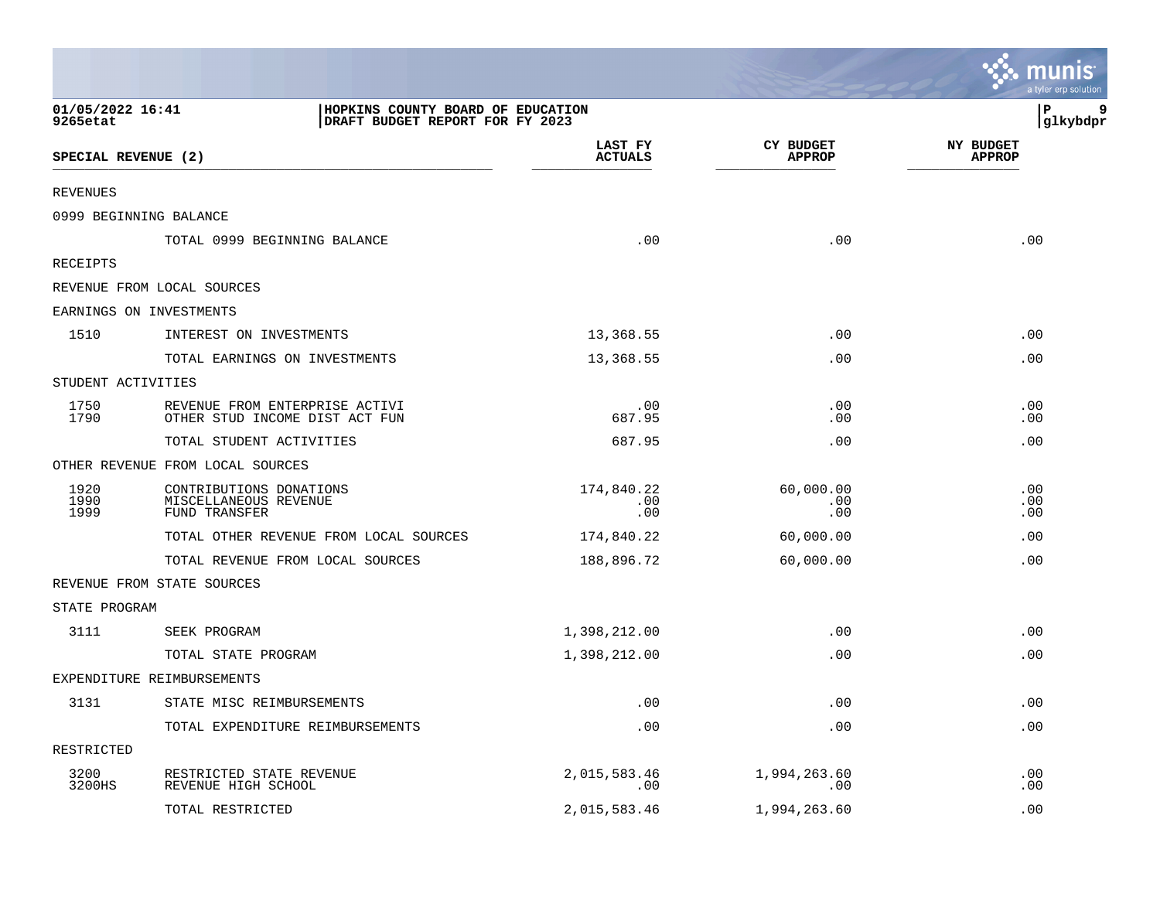|                              |                                                                      |                           |                                   | <b>W. MUNIS</b><br>a tyler erp solution |
|------------------------------|----------------------------------------------------------------------|---------------------------|-----------------------------------|-----------------------------------------|
| 01/05/2022 16:41<br>9265etat | HOPKINS COUNTY BOARD OF EDUCATION<br>DRAFT BUDGET REPORT FOR FY 2023 |                           |                                   | 9<br>l P<br>glkybdpr                    |
| SPECIAL REVENUE (2)          |                                                                      | LAST FY<br><b>ACTUALS</b> | <b>CY BUDGET</b><br><b>APPROP</b> | <b>NY BUDGET</b><br><b>APPROP</b>       |
| <b>REVENUES</b>              |                                                                      |                           |                                   |                                         |
|                              | 0999 BEGINNING BALANCE                                               |                           |                                   |                                         |
|                              | TOTAL 0999 BEGINNING BALANCE                                         | .00                       | .00                               | .00                                     |
| RECEIPTS                     |                                                                      |                           |                                   |                                         |
|                              | REVENUE FROM LOCAL SOURCES                                           |                           |                                   |                                         |
|                              | EARNINGS ON INVESTMENTS                                              |                           |                                   |                                         |
| 1510                         | INTEREST ON INVESTMENTS                                              | 13,368.55                 | .00                               | .00                                     |
|                              | TOTAL EARNINGS ON INVESTMENTS                                        | 13,368.55                 | .00                               | .00                                     |
| STUDENT ACTIVITIES           |                                                                      |                           |                                   |                                         |
| 1750<br>1790                 | REVENUE FROM ENTERPRISE ACTIVI<br>OTHER STUD INCOME DIST ACT FUN     | .00<br>687.95             | .00<br>.00                        | .00<br>.00                              |
|                              | TOTAL STUDENT ACTIVITIES                                             | 687.95                    | .00                               | .00                                     |
|                              | OTHER REVENUE FROM LOCAL SOURCES                                     |                           |                                   |                                         |
| 1920<br>1990<br>1999         | CONTRIBUTIONS DONATIONS<br>MISCELLANEOUS REVENUE<br>FUND TRANSFER    | 174,840.22<br>.00<br>.00  | 60,000.00<br>.00<br>.00           | .00<br>.00<br>.00                       |
|                              | TOTAL OTHER REVENUE FROM LOCAL SOURCES                               | 174,840.22                | 60,000.00                         | .00                                     |
|                              | TOTAL REVENUE FROM LOCAL SOURCES                                     | 188,896.72                | 60,000.00                         | .00                                     |
|                              | REVENUE FROM STATE SOURCES                                           |                           |                                   |                                         |
| STATE PROGRAM                |                                                                      |                           |                                   |                                         |
| 3111                         | SEEK PROGRAM                                                         | 1,398,212.00              | .00                               | .00                                     |
|                              | TOTAL STATE PROGRAM                                                  | 1,398,212.00              | .00                               | .00                                     |
|                              | EXPENDITURE REIMBURSEMENTS                                           |                           |                                   |                                         |
| 3131                         | STATE MISC REIMBURSEMENTS                                            | .00                       | .00                               | .00                                     |
|                              | TOTAL EXPENDITURE REIMBURSEMENTS                                     | .00                       | .00                               | .00                                     |
| RESTRICTED                   |                                                                      |                           |                                   |                                         |
| 3200<br>3200HS               | RESTRICTED STATE REVENUE<br>REVENUE HIGH SCHOOL                      | 2,015,583.46<br>.00       | 1,994,263.60<br>.00               | .00<br>.00                              |
|                              | TOTAL RESTRICTED                                                     | 2,015,583.46              | 1,994,263.60                      | .00                                     |

 $\mathcal{L}(\mathcal{L})$ 

1911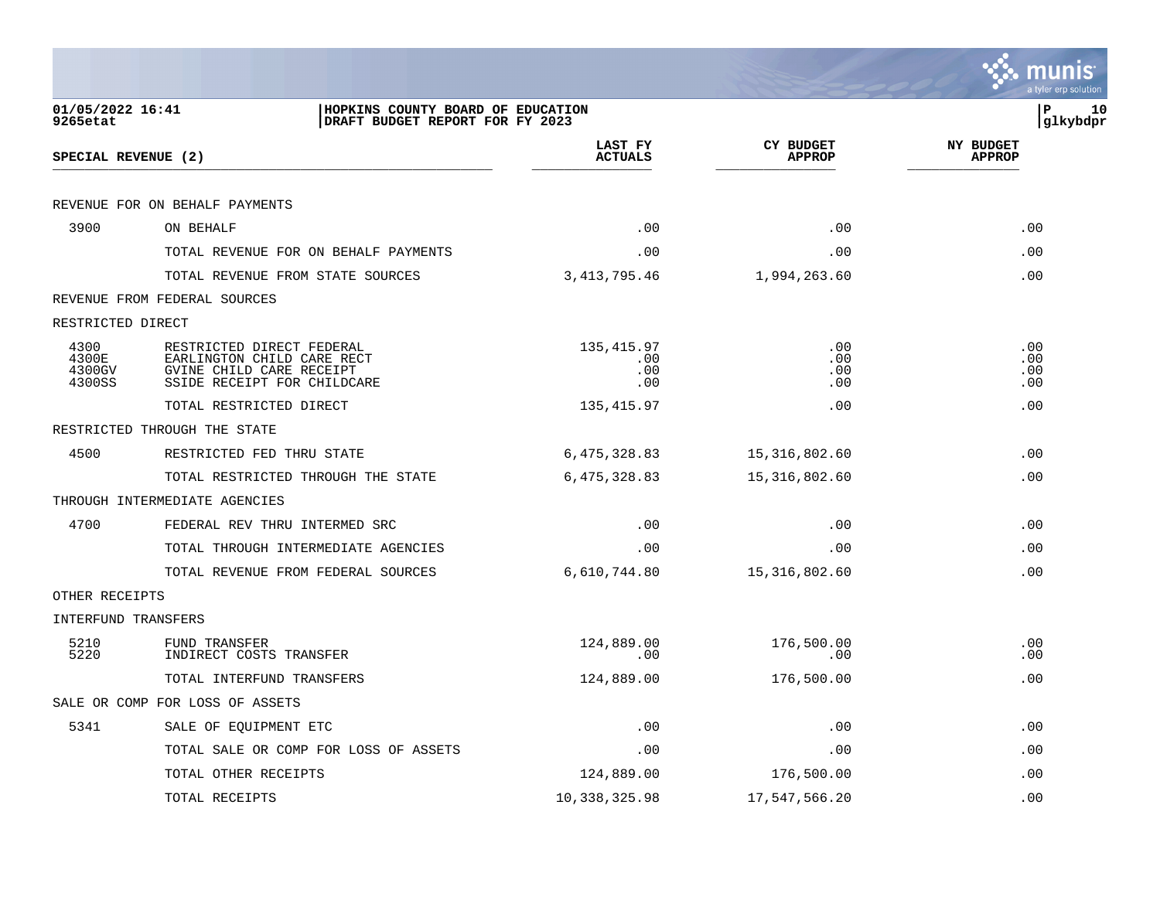|                                   |                                                                                                                    |                                  |                                   | a tyler erp solution              |
|-----------------------------------|--------------------------------------------------------------------------------------------------------------------|----------------------------------|-----------------------------------|-----------------------------------|
| 01/05/2022 16:41<br>9265etat      | HOPKINS COUNTY BOARD OF EDUCATION<br>DRAFT BUDGET REPORT FOR FY 2023                                               |                                  |                                   | lР<br>10<br>glkybdpr              |
| SPECIAL REVENUE (2)               |                                                                                                                    | LAST FY<br><b>ACTUALS</b>        | <b>CY BUDGET</b><br><b>APPROP</b> | <b>NY BUDGET</b><br><b>APPROP</b> |
|                                   | REVENUE FOR ON BEHALF PAYMENTS                                                                                     |                                  |                                   |                                   |
| 3900                              | ON BEHALF                                                                                                          | .00                              | .00                               | .00                               |
|                                   | TOTAL REVENUE FOR ON BEHALF PAYMENTS                                                                               | .00                              | .00                               | .00                               |
|                                   | TOTAL REVENUE FROM STATE SOURCES                                                                                   | 3,413,795.46                     | 1,994,263.60                      | .00                               |
|                                   | REVENUE FROM FEDERAL SOURCES                                                                                       |                                  |                                   |                                   |
| RESTRICTED DIRECT                 |                                                                                                                    |                                  |                                   |                                   |
| 4300<br>4300E<br>4300GV<br>4300SS | RESTRICTED DIRECT FEDERAL<br>EARLINGTON CHILD CARE RECT<br>GVINE CHILD CARE RECEIPT<br>SSIDE RECEIPT FOR CHILDCARE | 135, 415.97<br>.00<br>.00<br>.00 | .00<br>.00<br>.00<br>.00          | .00<br>.00<br>.00<br>.00          |
|                                   | TOTAL RESTRICTED DIRECT                                                                                            | 135,415.97                       | .00                               | .00                               |
|                                   | RESTRICTED THROUGH THE STATE                                                                                       |                                  |                                   |                                   |
| 4500                              | RESTRICTED FED THRU STATE                                                                                          | 6,475,328.83                     | 15,316,802.60                     | .00                               |
|                                   | TOTAL RESTRICTED THROUGH THE STATE                                                                                 | 6,475,328.83                     | 15,316,802.60                     | .00                               |
|                                   | THROUGH INTERMEDIATE AGENCIES                                                                                      |                                  |                                   |                                   |
| 4700                              | FEDERAL REV THRU INTERMED SRC                                                                                      | .00                              | .00                               | .00                               |
|                                   | TOTAL THROUGH INTERMEDIATE AGENCIES                                                                                | .00                              | .00                               | .00                               |
|                                   | TOTAL REVENUE FROM FEDERAL SOURCES                                                                                 | 6,610,744.80                     | 15,316,802.60                     | .00                               |
| OTHER RECEIPTS                    |                                                                                                                    |                                  |                                   |                                   |
| INTERFUND TRANSFERS               |                                                                                                                    |                                  |                                   |                                   |
| 5210<br>5220                      | FUND TRANSFER<br>INDIRECT COSTS TRANSFER                                                                           | 124,889.00<br>.00                | 176,500.00<br>.00                 | .00<br>.00                        |
|                                   | TOTAL INTERFUND TRANSFERS                                                                                          | 124,889.00                       | 176,500.00                        | .00                               |
|                                   | SALE OR COMP FOR LOSS OF ASSETS                                                                                    |                                  |                                   |                                   |
| 5341                              | SALE OF EQUIPMENT ETC                                                                                              | .00                              | .00                               | .00                               |
|                                   | TOTAL SALE OR COMP FOR LOSS OF ASSETS                                                                              | .00                              | .00                               | .00                               |
|                                   | TOTAL OTHER RECEIPTS                                                                                               | 124,889.00                       | 176,500.00                        | .00                               |
|                                   | TOTAL RECEIPTS                                                                                                     | 10,338,325.98                    | 17,547,566.20                     | .00                               |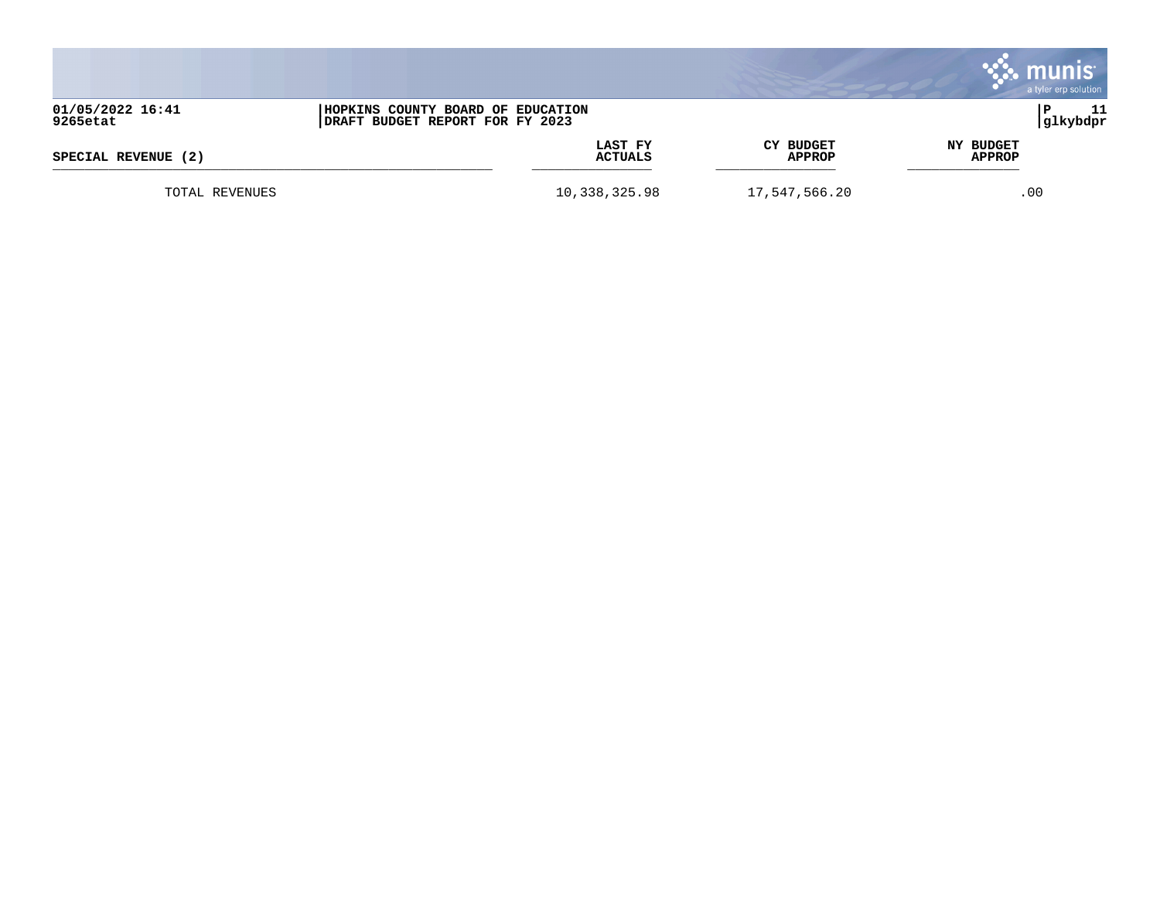|                     |                                   |                  | mu<br>a tyler erp solution |
|---------------------|-----------------------------------|------------------|----------------------------|
| 01/05/2022 16:41    | HOPKINS COUNTY BOARD OF EDUCATION |                  | 11                         |
| 9265etat            | DRAFT BUDGET REPORT FOR FY 2023   |                  | glkybdpr                   |
| SPECIAL REVENUE (2) | LAST FY                           | <b>CY BUDGET</b> | NY BUDGET                  |
|                     | <b>ACTUALS</b>                    | <b>APPROP</b>    | <b>APPROP</b>              |
| TOTAL REVENUES      | 10,338,325.98                     | 17,547,566.20    | .00                        |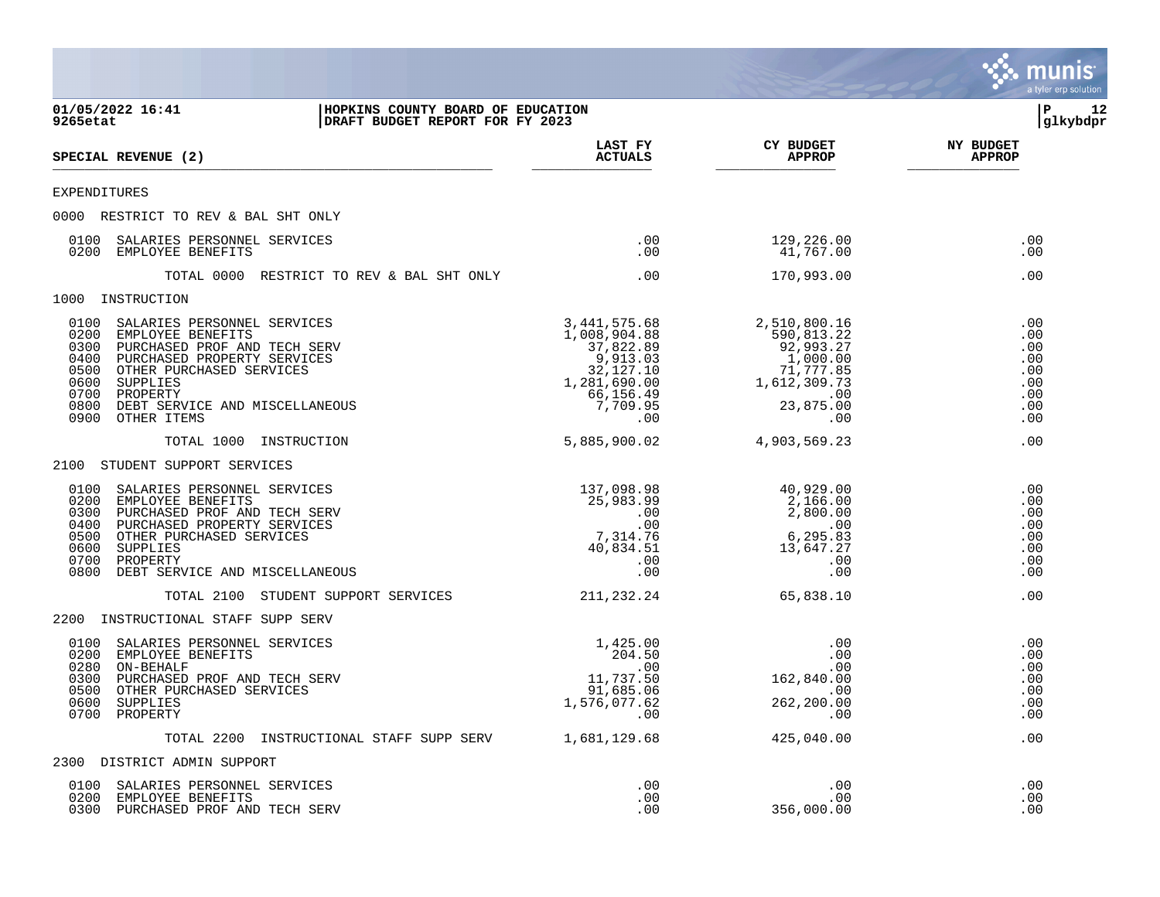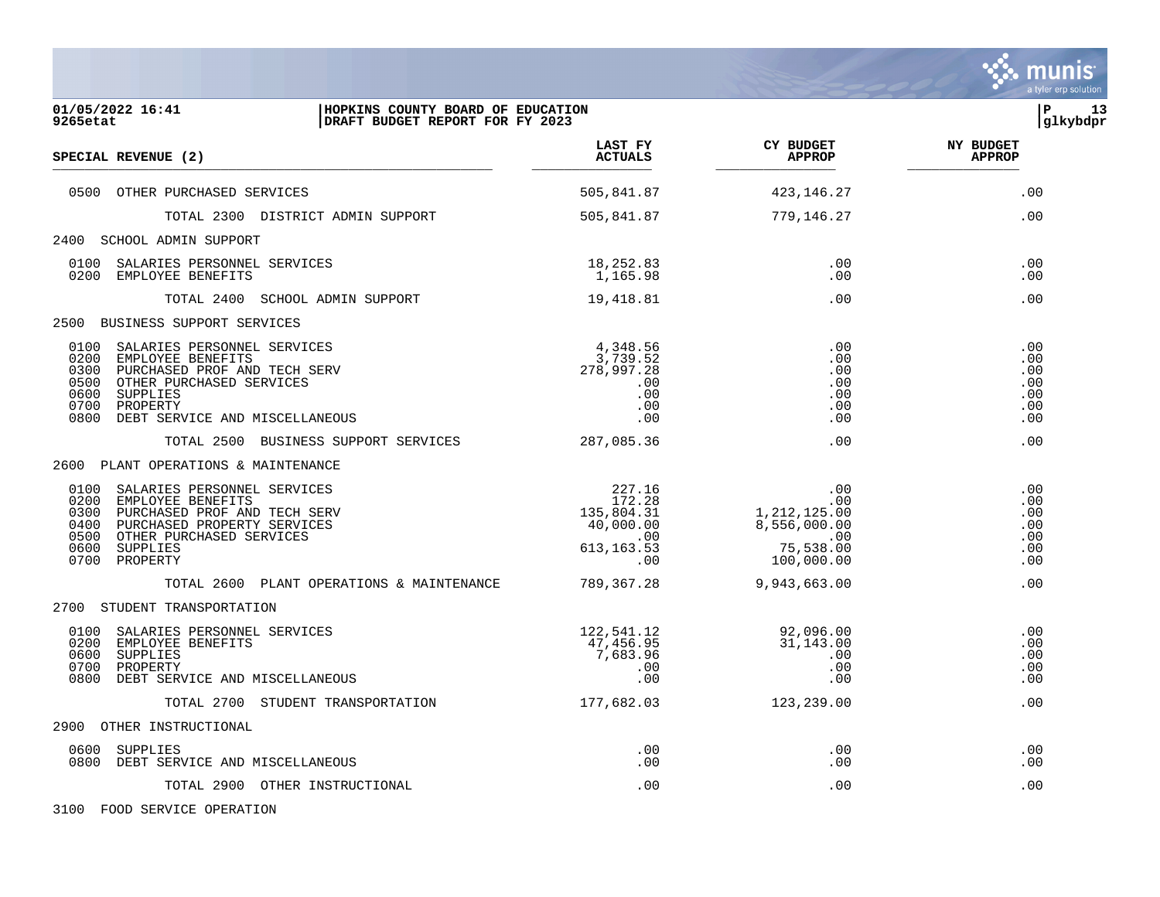

| 01/05/2022 16:41<br>9265etat                                                                                                                                                                                                | HOPKINS COUNTY BOARD OF EDUCATION<br>DRAFT BUDGET REPORT FOR FY 2023                                                                                |                                               | 13<br>l P<br> glkybdpr                        |
|-----------------------------------------------------------------------------------------------------------------------------------------------------------------------------------------------------------------------------|-----------------------------------------------------------------------------------------------------------------------------------------------------|-----------------------------------------------|-----------------------------------------------|
| SPECIAL REVENUE (2)                                                                                                                                                                                                         | LAST FY<br><b>ACTUALS</b>                                                                                                                           | CY BUDGET<br><b>APPROP</b>                    | <b>NY BUDGET</b><br><b>APPROP</b>             |
| 0500 OTHER PURCHASED SERVICES                                                                                                                                                                                               | 505,841.87                                                                                                                                          | 423, 146. 27                                  | .00                                           |
| TOTAL 2300 DISTRICT ADMIN SUPPORT                                                                                                                                                                                           | 505,841.87                                                                                                                                          | 779,146.27                                    | .00                                           |
| 2400 SCHOOL ADMIN SUPPORT                                                                                                                                                                                                   |                                                                                                                                                     |                                               |                                               |
| SALARIES PERSONNEL SERVICES<br>0100<br>0200 EMPLOYEE BENEFITS                                                                                                                                                               | 18,252.83<br>1,165.98                                                                                                                               | .00<br>.00                                    | .00<br>.00                                    |
| TOTAL 2400 SCHOOL ADMIN SUPPORT                                                                                                                                                                                             | 19,418.81                                                                                                                                           | .00                                           | .00                                           |
| 2500 BUSINESS SUPPORT SERVICES                                                                                                                                                                                              |                                                                                                                                                     |                                               |                                               |
| 0100 SALARIES PERSONNEL SERVICES<br>0200<br>EMPLOYEE BENEFITS<br>0300<br>PURCHASED PROF AND TECH SERV<br>0500<br>OTHER PURCHASED SERVICES<br>0600<br>SUPPLIES<br>0700<br>PROPERTY<br>DEBT SERVICE AND MISCELLANEOUS<br>0800 | 4,348.56<br>3,739.52<br>278,997.28<br>.00<br>.00<br>$.00\,$<br>.00                                                                                  | .00<br>.00<br>.00<br>.00<br>.00<br>.00<br>.00 | .00<br>.00<br>.00<br>.00<br>.00<br>.00<br>.00 |
| TOTAL 2500 BUSINESS SUPPORT SERVICES                                                                                                                                                                                        | 287,085.36                                                                                                                                          | .00                                           | .00                                           |
| 2600 PLANT OPERATIONS & MAINTENANCE                                                                                                                                                                                         |                                                                                                                                                     |                                               |                                               |
| SALARIES PERSONNEL SERVICES<br>0100<br>0200<br>EMPLOYEE BENEFITS<br>0300<br>PURCHASED PROF AND TECH SERV<br>PURCHASED PROPERTY SERVICES<br>0400<br>OTHER PURCHASED SERVICES<br>0500<br>0600<br>SUPPLIES<br>0700 PROPERTY    | 227.16<br>172.28<br>$1,212,125.00$<br>$40,000.00$<br>$613,163.53$<br>$000.00$<br>$00$<br>$00$<br>$00$<br>$75,538.00$<br>$100,000.00$<br>$75,538.00$ | .00<br>.00                                    | .00<br>.00<br>.00<br>.00<br>.00<br>.00<br>.00 |
|                                                                                                                                                                                                                             | TOTAL 2600 PLANT OPERATIONS & MAINTENANCE 789,367.28                                                                                                | 9,943,663.00                                  | .00                                           |
| 2700 STUDENT TRANSPORTATION                                                                                                                                                                                                 |                                                                                                                                                     |                                               |                                               |
| 0100<br>SALARIES PERSONNEL SERVICES<br>0200<br>EMPLOYEE BENEFITS<br>0600<br>SUPPLIES<br>0700<br>PROPERTY<br>DEBT SERVICE AND MISCELLANEOUS<br>0800                                                                          | $122,541.12$<br>$47,456.95$<br>$7,683.96$<br>$00$<br>.00                                                                                            | 92,096.00<br>31,143.00<br>.00<br>.00<br>.00   | .00<br>.00<br>.00<br>.00<br>.00               |
| TOTAL 2700 STUDENT TRANSPORTATION                                                                                                                                                                                           | 177,682.03                                                                                                                                          | 123, 239.00                                   | .00                                           |
| 2900 OTHER INSTRUCTIONAL                                                                                                                                                                                                    |                                                                                                                                                     |                                               |                                               |
| 0600 SUPPLIES<br>0800 DEBT SERVICE AND MISCELLANEOUS                                                                                                                                                                        | .00<br>.00                                                                                                                                          | .00<br>.00                                    | .00<br>.00                                    |
| TOTAL 2900 OTHER INSTRUCTIONAL                                                                                                                                                                                              | .00                                                                                                                                                 | .00                                           | .00                                           |

3100 FOOD SERVICE OPERATION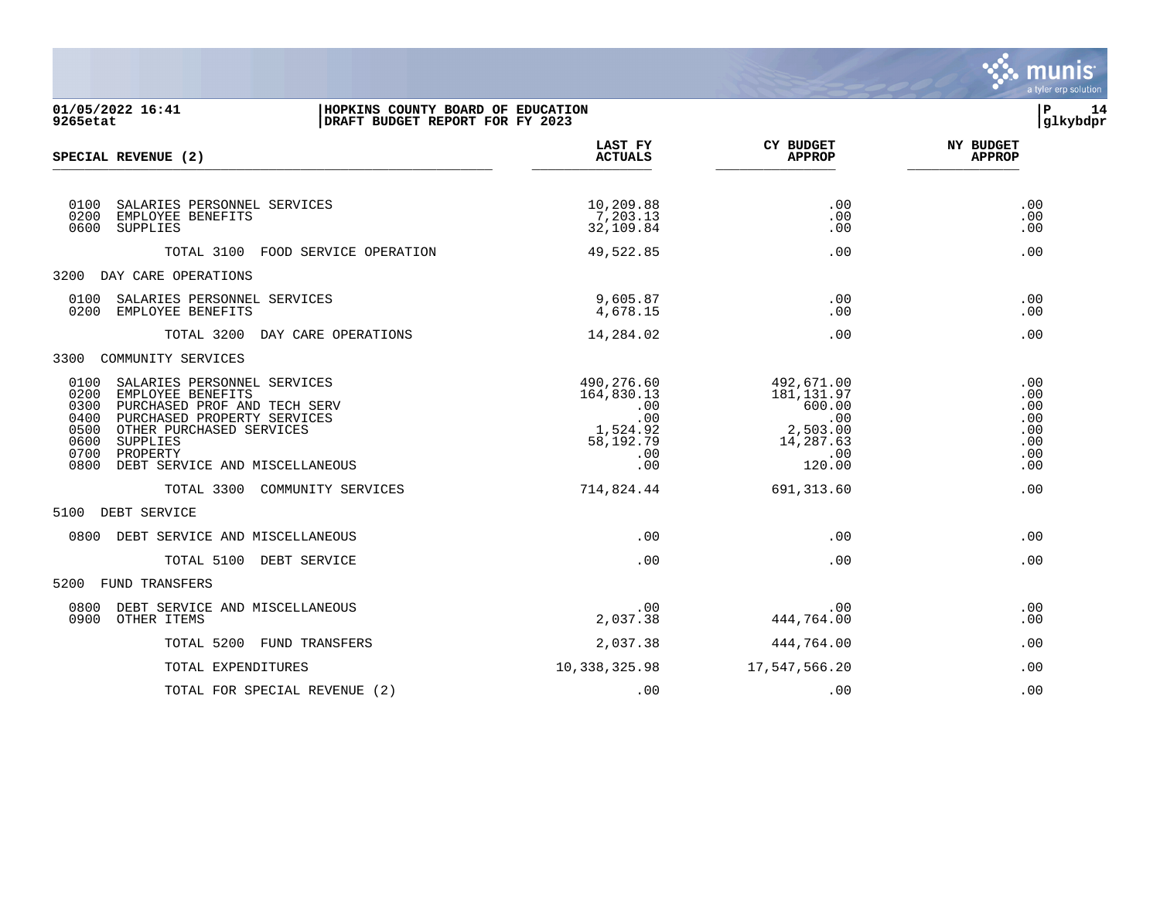

| 01/05/2022 16:41<br>9265etat                                                                                                                                                                                                                  | HOPKINS COUNTY BOARD OF EDUCATION<br>DRAFT BUDGET REPORT FOR FY 2023          |                                                                                                 | P<br>14<br> glkybdpr                                 |  |
|-----------------------------------------------------------------------------------------------------------------------------------------------------------------------------------------------------------------------------------------------|-------------------------------------------------------------------------------|-------------------------------------------------------------------------------------------------|------------------------------------------------------|--|
| SPECIAL REVENUE (2)                                                                                                                                                                                                                           | LAST FY<br><b>ACTUALS</b>                                                     | <b>CY BUDGET</b><br><b>APPROP</b>                                                               | <b>NY BUDGET</b><br><b>APPROP</b>                    |  |
| 0100 SALARIES PERSONNEL SERVICES<br>0200<br>EMPLOYEE BENEFITS<br>0600<br>SUPPLIES                                                                                                                                                             | 10,209.88<br>7,203.13<br>32,109.84                                            | .00<br>.00<br>.00                                                                               | .00<br>.00<br>.00                                    |  |
| TOTAL 3100 FOOD SERVICE OPERATION                                                                                                                                                                                                             | 49,522.85                                                                     | .00                                                                                             | .00                                                  |  |
| 3200 DAY CARE OPERATIONS                                                                                                                                                                                                                      |                                                                               |                                                                                                 |                                                      |  |
| 0100 SALARIES PERSONNEL SERVICES<br>EMPLOYEE BENEFITS<br>0200                                                                                                                                                                                 | 9,605.87<br>4,678.15                                                          | .00<br>.00                                                                                      | .00<br>.00                                           |  |
| TOTAL 3200 DAY CARE OPERATIONS                                                                                                                                                                                                                | 14,284.02                                                                     | .00                                                                                             | .00                                                  |  |
| 3300<br>COMMUNITY SERVICES                                                                                                                                                                                                                    |                                                                               |                                                                                                 |                                                      |  |
| 0100 SALARIES PERSONNEL SERVICES<br>0200 EMPLOYEE BENEFITS<br>0300 PURCHASED PROF AND TECH SERV<br>0400 PURCHASED PROPERTY SERVICES<br>0500 OTHER PURCHASED SERVICES<br>0600 SUPPLIES<br>0700 PROPERTY<br>0800 DEBT SERVICE AND MISCELLANEOUS | 490,276.60<br>164,830.13<br>.00<br>.00<br>1,524.92<br>58,192.79<br>.00<br>.00 | 492,671.00<br>181,131.97<br>600.00<br>.00<br>2,503.00<br>14,287.63<br>$\overline{00}$<br>120.00 | .00<br>.00<br>.00<br>.00<br>.00<br>.00<br>.00<br>.00 |  |
| TOTAL 3300 COMMUNITY SERVICES                                                                                                                                                                                                                 | 714,824.44                                                                    | 691,313.60                                                                                      | .00                                                  |  |
| 5100<br>DEBT SERVICE                                                                                                                                                                                                                          |                                                                               |                                                                                                 |                                                      |  |
| 0800 DEBT SERVICE AND MISCELLANEOUS                                                                                                                                                                                                           | .00                                                                           | .00                                                                                             | .00                                                  |  |
| TOTAL 5100 DEBT SERVICE                                                                                                                                                                                                                       | .00                                                                           | .00                                                                                             | .00                                                  |  |
| 5200 FUND TRANSFERS                                                                                                                                                                                                                           |                                                                               |                                                                                                 |                                                      |  |
| 0800 DEBT SERVICE AND MISCELLANEOUS<br>0900 OTHER ITEMS                                                                                                                                                                                       | .00<br>2,037.38                                                               | $.00 \,$<br>444,764.00                                                                          | .00<br>.00                                           |  |
| TOTAL 5200 FUND TRANSFERS                                                                                                                                                                                                                     | 2,037.38                                                                      | 444,764.00                                                                                      | .00                                                  |  |
| TOTAL EXPENDITURES                                                                                                                                                                                                                            | 10,338,325.98                                                                 | 17,547,566.20                                                                                   | .00                                                  |  |
| TOTAL FOR SPECIAL REVENUE (2)                                                                                                                                                                                                                 | .00                                                                           | .00                                                                                             | .00                                                  |  |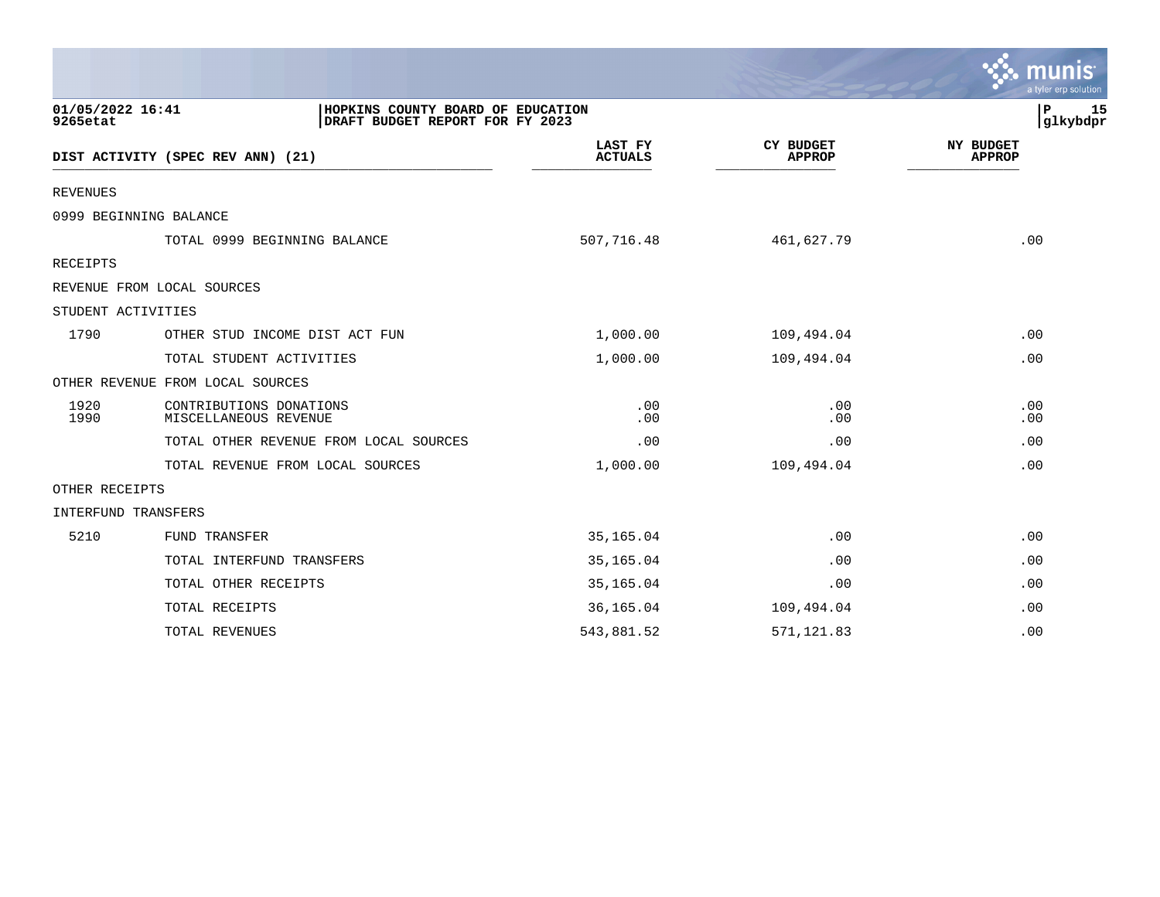|                              |                                                                      |                           |                                   | a tyler erp solution              |
|------------------------------|----------------------------------------------------------------------|---------------------------|-----------------------------------|-----------------------------------|
| 01/05/2022 16:41<br>9265etat | HOPKINS COUNTY BOARD OF EDUCATION<br>DRAFT BUDGET REPORT FOR FY 2023 |                           |                                   | P<br>15<br>glkybdpr               |
|                              | DIST ACTIVITY (SPEC REV ANN) (21)                                    | LAST FY<br><b>ACTUALS</b> | <b>CY BUDGET</b><br><b>APPROP</b> | <b>NY BUDGET</b><br><b>APPROP</b> |
| <b>REVENUES</b>              |                                                                      |                           |                                   |                                   |
|                              | 0999 BEGINNING BALANCE                                               |                           |                                   |                                   |
|                              | TOTAL 0999 BEGINNING BALANCE                                         | 507,716.48                | 461,627.79                        | .00                               |
| RECEIPTS                     |                                                                      |                           |                                   |                                   |
|                              | REVENUE FROM LOCAL SOURCES                                           |                           |                                   |                                   |
| STUDENT ACTIVITIES           |                                                                      |                           |                                   |                                   |
| 1790                         | OTHER STUD INCOME DIST ACT FUN                                       | 1,000.00                  | 109,494.04                        | .00                               |
|                              | TOTAL STUDENT ACTIVITIES                                             | 1,000.00                  | 109,494.04                        | .00                               |
|                              | OTHER REVENUE FROM LOCAL SOURCES                                     |                           |                                   |                                   |
| 1920<br>1990                 | CONTRIBUTIONS DONATIONS<br>MISCELLANEOUS REVENUE                     | .00<br>.00                | .00<br>.00                        | .00<br>.00                        |
|                              | TOTAL OTHER REVENUE FROM LOCAL SOURCES                               | .00                       | .00                               | .00                               |
|                              | TOTAL REVENUE FROM LOCAL SOURCES                                     | 1,000.00                  | 109,494.04                        | .00                               |
| OTHER RECEIPTS               |                                                                      |                           |                                   |                                   |
| INTERFUND TRANSFERS          |                                                                      |                           |                                   |                                   |
| 5210                         | FUND TRANSFER                                                        | 35, 165.04                | .00                               | .00                               |
|                              | TOTAL INTERFUND TRANSFERS                                            | 35,165.04                 | .00                               | .00                               |
|                              | TOTAL OTHER RECEIPTS                                                 | 35,165.04                 | .00                               | .00                               |
|                              | TOTAL RECEIPTS                                                       | 36,165.04                 | 109,494.04                        | .00                               |
|                              | TOTAL REVENUES                                                       | 543,881.52                | 571, 121.83                       | .00                               |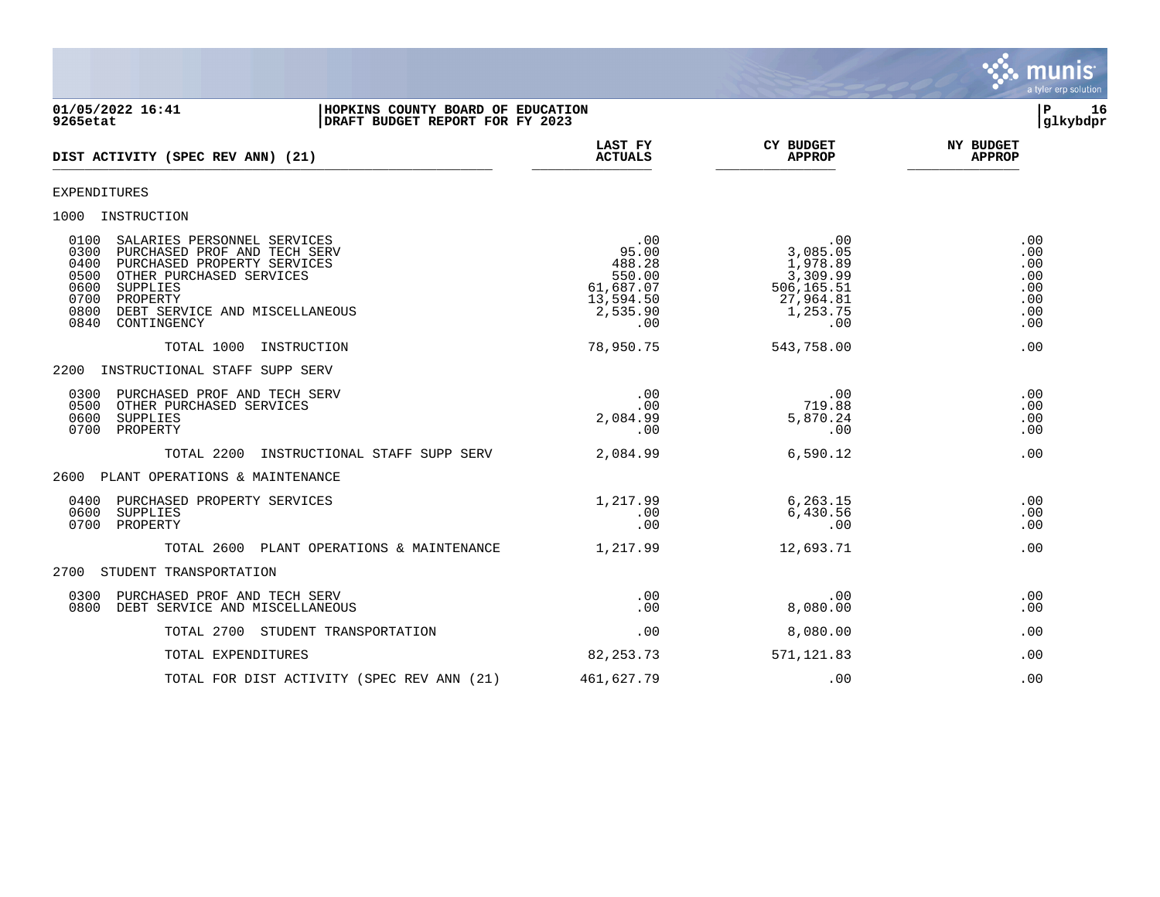

**01/05/2022 16:41 |HOPKINS COUNTY BOARD OF EDUCATION |P 16** DRAFT BUDGET REPORT FOR FY 2023 **LAST FY CY BUDGET NY BUDGET DIST ACTIVITY (SPEC REV ANN) (21)**  $\frac{1}{2}$ EXPENDITURES 1000 INSTRUCTION 0100 SALARIES PERSONNEL SERVICES .00 .00 .00 0300 PURCHASED PROF AND TECH SERV 95.00 3,085.05 00<br>0400 PURCHASED PROPERTY SERVICES 488.28 1.978.89 00 0400 PURCHASED PROPERTY SERVICES 488.28 1,978.89 .00 0500 OTHER PURCHASED SERVICES 550.00 3,309.99 .00 0600 SUPPLIES 61,687.07 506,165.51 .00 0700 PROPERTY 13,594.50 27,964.81 .00 0800 DEBT SERVICE AND MISCELLANEOUS 2,535.90 1,253.75 .00 0840 CONTINGENCY .00 .00 .00 TOTAL 1000 INSTRUCTION 00 00 000 000 78,950.75 543,758.00 543,758.00 543,758.00 2200 INSTRUCTIONAL STAFF SUPP SERV 0300 PURCHASED PROF AND TECH SERV .00 .00 .00 0500 OTHER PURCHASED SERVICES .00 719.88 .00 0600 SUPPLIES 2,084.99 5,870.24 .00 0700 PROPERTY .00 .00 .00 TOTAL 2200 INSTRUCTIONAL STAFF SUPP SERV  $2.084.99$   $6.590.12$  .00 2600 PLANT OPERATIONS & MAINTENANCE 0400 PURCHASED PROPERTY SERVICES 1,217.99 6,263.15 .00 0600 SUPPLIES .00 6,430.56 .00 0700 PROPERTY .00 .00 .00 TOTAL 2600 PLANT OPERATIONS & MAINTENANCE 1.217.99 12.693.71 .00 2700 STUDENT TRANSPORTATION 0300 PURCHASED PROF AND TECH SERV .00 .00 .00 0800 DEBT SERVICE AND MISCELLANEOUS TOTAL 2700 STUDENT TRANSPORTATION 00 .00 .00 8,080.00 8.080.00 .00 TOTAL EXPENDITURES 82,253.73 571,121.83 .00

TOTAL FOR DIST ACTIVITY (SPEC REV ANN (21)  $461,627.79$  .00 .00 .00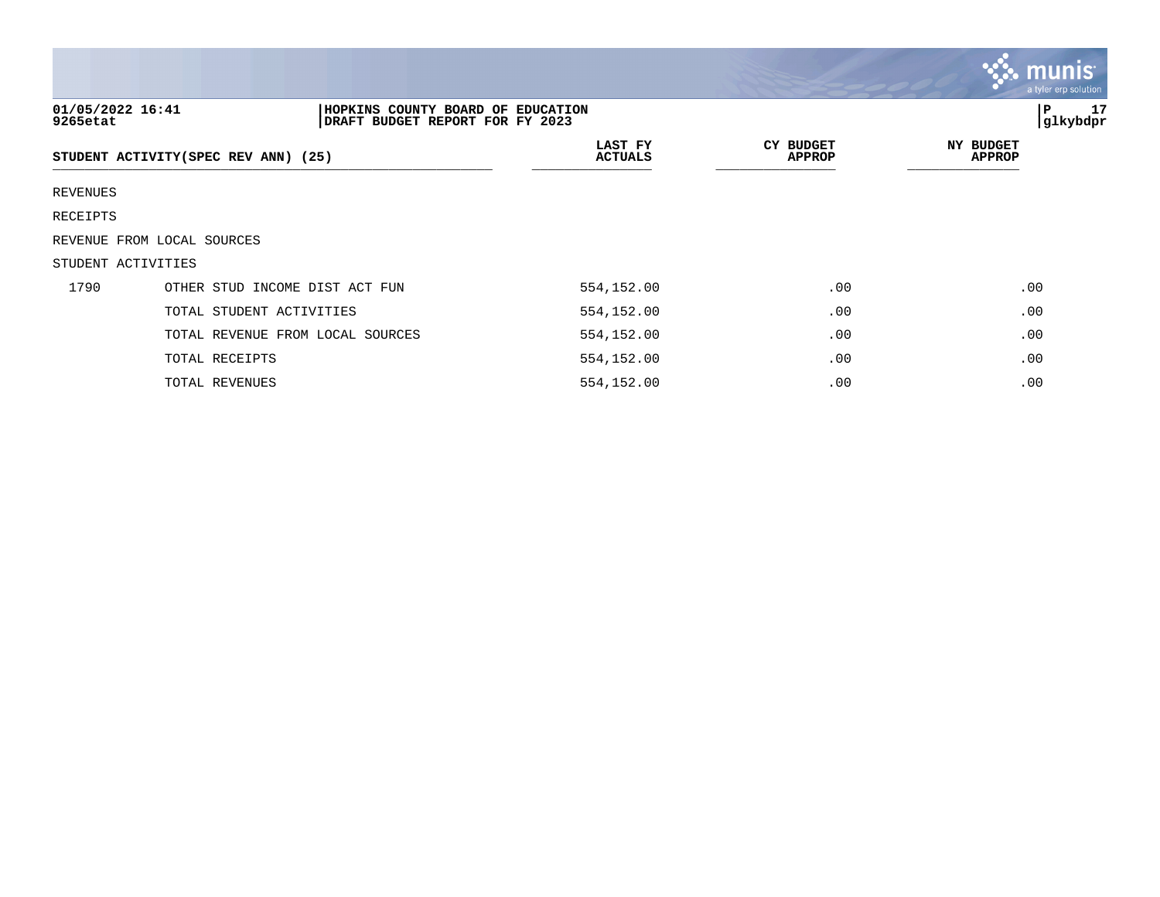|                              |                                                                      |                           |                                   | <u>munis l</u><br>a tyler erp solution |
|------------------------------|----------------------------------------------------------------------|---------------------------|-----------------------------------|----------------------------------------|
| 01/05/2022 16:41<br>9265etat | HOPKINS COUNTY BOARD OF EDUCATION<br>DRAFT BUDGET REPORT FOR FY 2023 |                           |                                   | 17<br> P<br>glkybdpr                   |
|                              | STUDENT ACTIVITY(SPEC REV ANN) (25)                                  | LAST FY<br><b>ACTUALS</b> | <b>CY BUDGET</b><br><b>APPROP</b> | NY BUDGET<br><b>APPROP</b>             |
| REVENUES                     |                                                                      |                           |                                   |                                        |
| RECEIPTS                     |                                                                      |                           |                                   |                                        |
|                              | REVENUE FROM LOCAL SOURCES                                           |                           |                                   |                                        |
| STUDENT ACTIVITIES           |                                                                      |                           |                                   |                                        |
| 1790                         | OTHER STUD INCOME DIST ACT FUN                                       | 554,152.00                | .00                               | .00                                    |
|                              | TOTAL STUDENT ACTIVITIES                                             | 554,152.00                | .00                               | .00                                    |
|                              | TOTAL REVENUE FROM LOCAL SOURCES                                     | 554,152.00                | .00                               | .00                                    |
|                              | TOTAL RECEIPTS                                                       | 554,152.00                | .00                               | .00                                    |
|                              | TOTAL REVENUES                                                       | 554,152.00                | .00                               | .00                                    |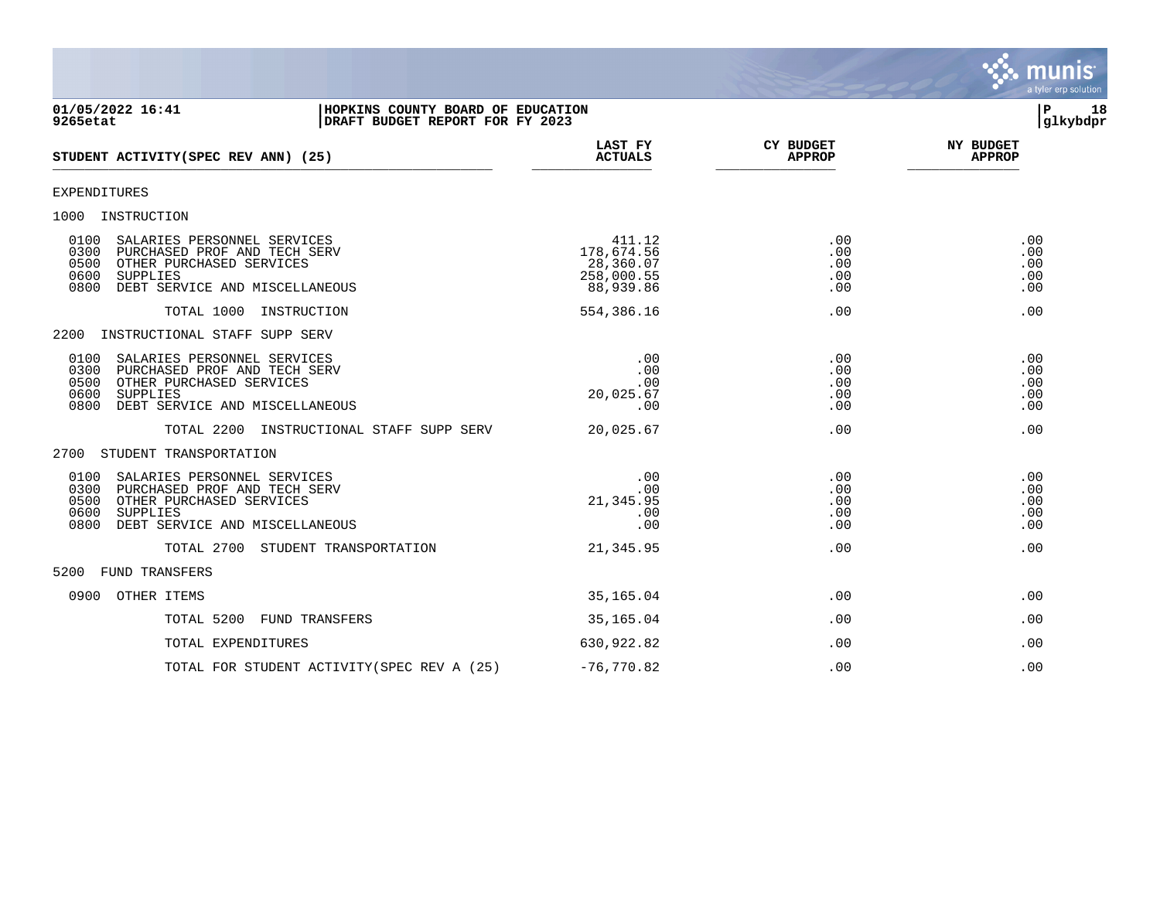

### **01/05/2022 16:41 |HOPKINS COUNTY BOARD OF EDUCATION |P 18 9265etat |DRAFT BUDGET REPORT FOR FY 2023 |glkybdpr**

| STUDENT ACTIVITY (SPEC REV ANN) (25)                                                                                                                                          | <b>LAST FY</b><br><b>ACTUALS</b>                             | <b>CY BUDGET</b><br><b>APPROP</b> | NY BUDGET<br><b>APPROP</b>      |
|-------------------------------------------------------------------------------------------------------------------------------------------------------------------------------|--------------------------------------------------------------|-----------------------------------|---------------------------------|
| <b>EXPENDITURES</b>                                                                                                                                                           |                                                              |                                   |                                 |
| INSTRUCTION<br>1000                                                                                                                                                           |                                                              |                                   |                                 |
| 0100<br>SALARIES PERSONNEL SERVICES<br>0300<br>PURCHASED PROF AND TECH SERV<br>0500<br>OTHER PURCHASED SERVICES<br>0600<br>SUPPLIES<br>DEBT SERVICE AND MISCELLANEOUS<br>0800 | 411.12<br>178,674.56<br>28,360.07<br>258,000.55<br>88,939.86 | .00<br>.00<br>.00<br>.00<br>.00   | .00<br>.00<br>.00<br>.00<br>.00 |
| TOTAL 1000<br>INSTRUCTION                                                                                                                                                     | 554,386.16                                                   | .00                               | .00                             |
| 2200<br>INSTRUCTIONAL STAFF SUPP SERV                                                                                                                                         |                                                              |                                   |                                 |
| 0100<br>SALARIES PERSONNEL SERVICES<br>0300<br>PURCHASED PROF AND TECH SERV<br>0500<br>OTHER PURCHASED SERVICES<br>0600<br>SUPPLIES<br>DEBT SERVICE AND MISCELLANEOUS<br>0800 | .00<br>.00<br>.00<br>20,025.67<br>.00                        | .00<br>.00<br>.00<br>.00<br>.00   | .00<br>.00<br>.00<br>.00<br>.00 |
| TOTAL 2200<br>INSTRUCTIONAL STAFF SUPP SERV                                                                                                                                   | 20,025.67                                                    | .00                               | .00                             |
| STUDENT TRANSPORTATION<br>2700                                                                                                                                                |                                                              |                                   |                                 |
| 0100<br>SALARIES PERSONNEL SERVICES<br>0300<br>PURCHASED PROF AND TECH SERV<br>0500<br>OTHER PURCHASED SERVICES<br>0600<br>SUPPLIES<br>DEBT SERVICE AND MISCELLANEOUS<br>0800 | .00<br>.00<br>21,345.95<br>.00<br>.00                        | .00<br>.00<br>.00<br>.00<br>.00   | .00<br>.00<br>.00<br>.00<br>.00 |
| TOTAL 2700<br>STUDENT TRANSPORTATION                                                                                                                                          | 21,345.95                                                    | .00                               | .00                             |
| 5200<br><b>FUND TRANSFERS</b>                                                                                                                                                 |                                                              |                                   |                                 |
| 0900<br>OTHER ITEMS                                                                                                                                                           | 35,165.04                                                    | .00                               | .00                             |
| TOTAL 5200<br>FUND TRANSFERS                                                                                                                                                  | 35,165.04                                                    | .00                               | .00                             |
| TOTAL EXPENDITURES                                                                                                                                                            | 630,922.82                                                   | .00                               | .00                             |
| TOTAL FOR STUDENT ACTIVITY (SPEC REV A (25)                                                                                                                                   | $-76,770.82$                                                 | .00                               | .00                             |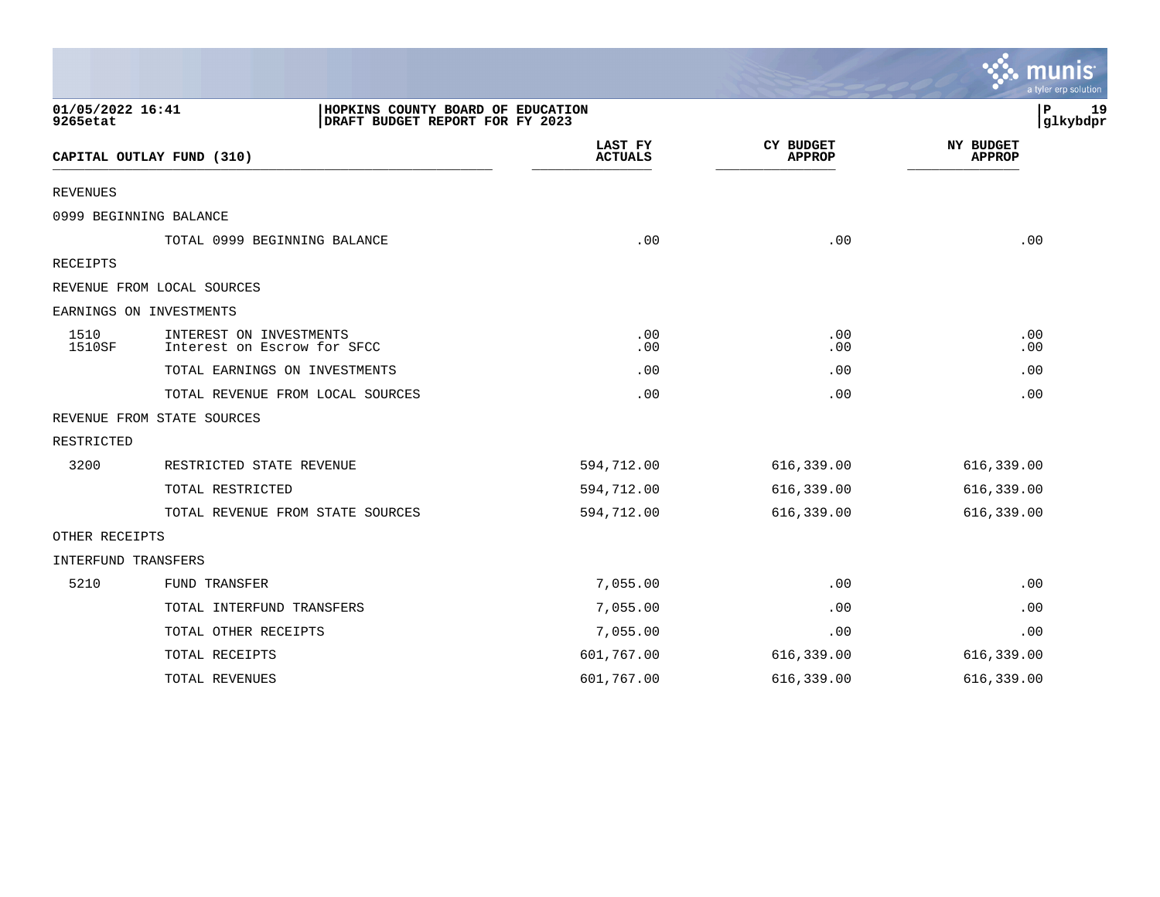|                              |                                                                      |                           |                                   | munis<br>a tyler erp solution     |
|------------------------------|----------------------------------------------------------------------|---------------------------|-----------------------------------|-----------------------------------|
| 01/05/2022 16:41<br>9265etat | HOPKINS COUNTY BOARD OF EDUCATION<br>DRAFT BUDGET REPORT FOR FY 2023 |                           |                                   | 19<br>P<br>glkybdpr               |
|                              | CAPITAL OUTLAY FUND (310)                                            | LAST FY<br><b>ACTUALS</b> | <b>CY BUDGET</b><br><b>APPROP</b> | <b>NY BUDGET</b><br><b>APPROP</b> |
| REVENUES                     |                                                                      |                           |                                   |                                   |
|                              | 0999 BEGINNING BALANCE                                               |                           |                                   |                                   |
|                              | TOTAL 0999 BEGINNING BALANCE                                         | .00                       | .00                               | .00                               |
| RECEIPTS                     |                                                                      |                           |                                   |                                   |
|                              | REVENUE FROM LOCAL SOURCES                                           |                           |                                   |                                   |
|                              | EARNINGS ON INVESTMENTS                                              |                           |                                   |                                   |
| 1510<br>1510SF               | INTEREST ON INVESTMENTS<br>Interest on Escrow for SFCC               | .00<br>.00                | .00<br>.00                        | .00<br>.00                        |
|                              | TOTAL EARNINGS ON INVESTMENTS                                        | .00                       | .00                               | .00                               |
|                              | TOTAL REVENUE FROM LOCAL SOURCES                                     | .00                       | .00                               | .00                               |
|                              | REVENUE FROM STATE SOURCES                                           |                           |                                   |                                   |
| RESTRICTED                   |                                                                      |                           |                                   |                                   |
| 3200                         | RESTRICTED STATE REVENUE                                             | 594,712.00                | 616,339.00                        | 616,339.00                        |
|                              | TOTAL RESTRICTED                                                     | 594,712.00                | 616,339.00                        | 616,339.00                        |
|                              | TOTAL REVENUE FROM STATE SOURCES                                     | 594,712.00                | 616,339.00                        | 616,339.00                        |
| OTHER RECEIPTS               |                                                                      |                           |                                   |                                   |
| INTERFUND TRANSFERS          |                                                                      |                           |                                   |                                   |
| 5210                         | FUND TRANSFER                                                        | 7,055.00                  | .00                               | .00                               |
|                              | TOTAL INTERFUND TRANSFERS                                            | 7,055.00                  | .00                               | .00                               |
|                              | TOTAL OTHER RECEIPTS                                                 | 7,055.00                  | .00                               | .00                               |
|                              | TOTAL RECEIPTS                                                       | 601,767.00                | 616,339.00                        | 616,339.00                        |
|                              | TOTAL REVENUES                                                       | 601,767.00                | 616,339.00                        | 616,339.00                        |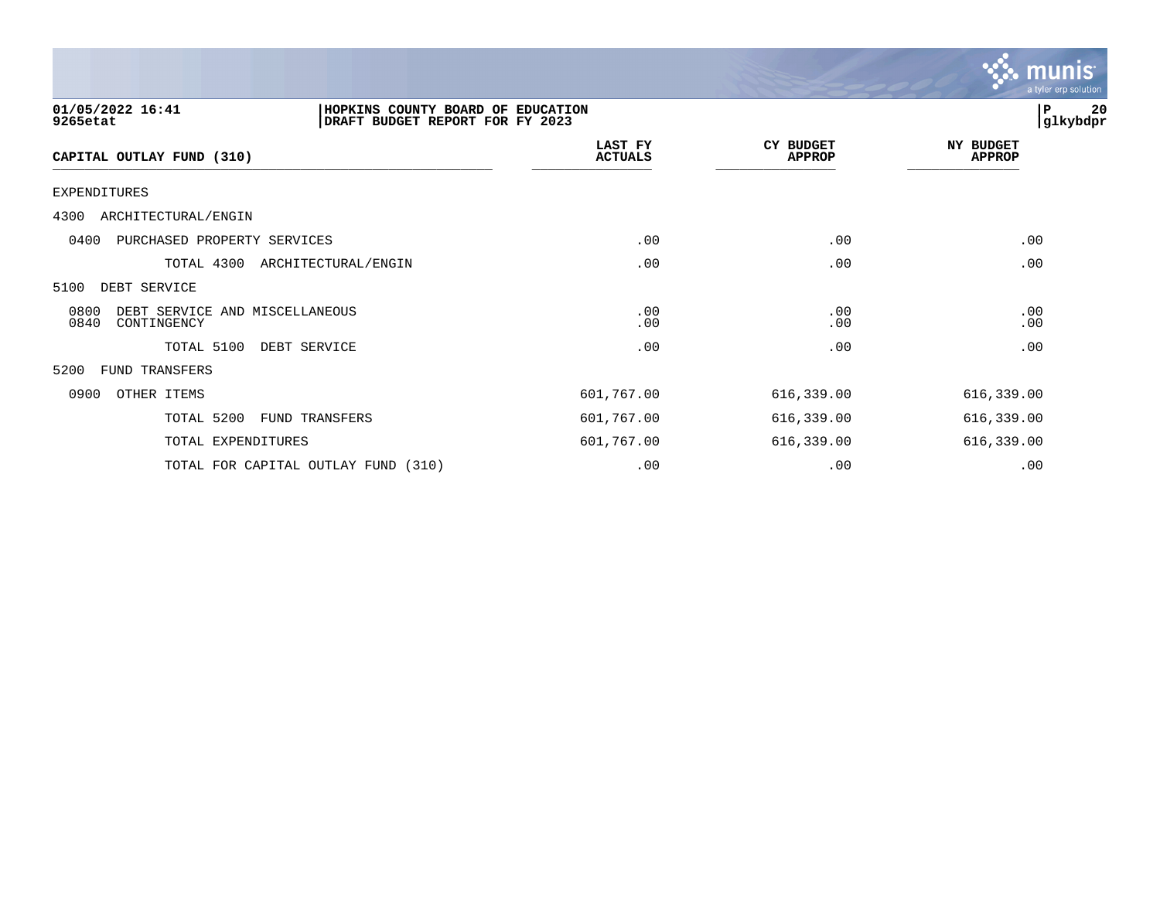

| 01/05/2022 16:41<br>9265etat                                  | HOPKINS COUNTY BOARD OF EDUCATION<br>DRAFT BUDGET REPORT FOR FY 2023 |                                  |                                   | 20<br>P<br>glkybdpr               |
|---------------------------------------------------------------|----------------------------------------------------------------------|----------------------------------|-----------------------------------|-----------------------------------|
| CAPITAL OUTLAY FUND (310)                                     |                                                                      | <b>LAST FY</b><br><b>ACTUALS</b> | <b>CY BUDGET</b><br><b>APPROP</b> | <b>NY BUDGET</b><br><b>APPROP</b> |
| EXPENDITURES                                                  |                                                                      |                                  |                                   |                                   |
| 4300<br>ARCHITECTURAL/ENGIN                                   |                                                                      |                                  |                                   |                                   |
| 0400<br>PURCHASED PROPERTY SERVICES                           |                                                                      | .00                              | .00                               | .00                               |
| TOTAL 4300                                                    | ARCHITECTURAL/ENGIN                                                  | .00                              | .00                               | .00                               |
| 5100<br>DEBT SERVICE                                          |                                                                      |                                  |                                   |                                   |
| 0800<br>DEBT SERVICE AND MISCELLANEOUS<br>0840<br>CONTINGENCY |                                                                      | .00<br>.00                       | .00<br>.00                        | .00<br>.00                        |
| TOTAL 5100                                                    | DEBT SERVICE                                                         | .00                              | .00                               | .00                               |
| 5200<br>FUND TRANSFERS                                        |                                                                      |                                  |                                   |                                   |
| 0900<br>OTHER ITEMS                                           |                                                                      | 601,767.00                       | 616,339.00                        | 616,339.00                        |
| TOTAL 5200                                                    | FUND TRANSFERS                                                       | 601,767.00                       | 616,339.00                        | 616,339.00                        |
| TOTAL EXPENDITURES                                            |                                                                      | 601,767.00                       | 616,339.00                        | 616,339.00                        |
|                                                               | TOTAL FOR CAPITAL OUTLAY FUND (310)                                  | .00                              | .00                               | .00                               |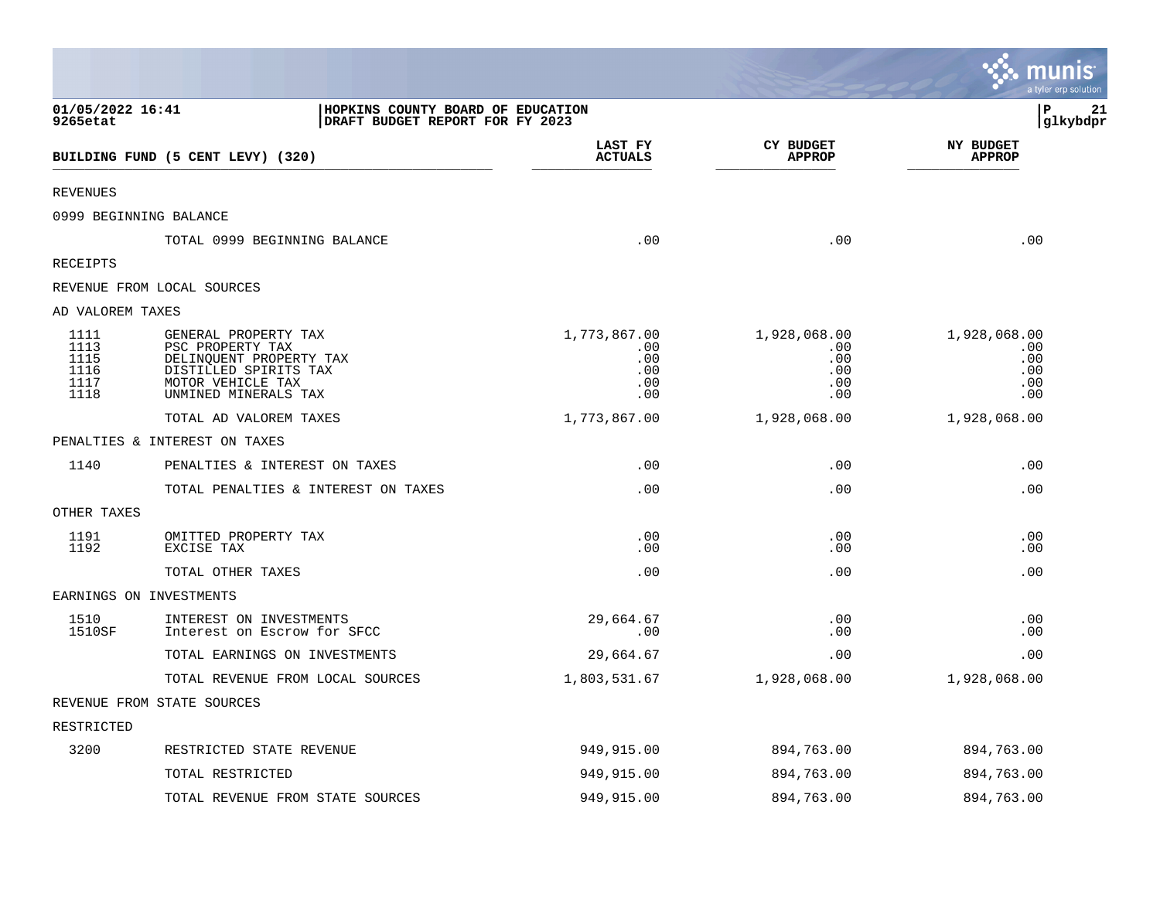|                                              |                                                                                                                                           |                                                 |                                                 | munis<br>a tyler erp solution                   |
|----------------------------------------------|-------------------------------------------------------------------------------------------------------------------------------------------|-------------------------------------------------|-------------------------------------------------|-------------------------------------------------|
| 01/05/2022 16:41<br>9265etat                 | HOPKINS COUNTY BOARD OF EDUCATION<br>DRAFT BUDGET REPORT FOR FY 2023                                                                      |                                                 |                                                 | 21<br>ΙP<br>glkybdpr                            |
|                                              | BUILDING FUND (5 CENT LEVY) (320)                                                                                                         | LAST FY<br><b>ACTUALS</b>                       | <b>CY BUDGET</b><br><b>APPROP</b>               | <b>NY BUDGET</b><br><b>APPROP</b>               |
| <b>REVENUES</b>                              |                                                                                                                                           |                                                 |                                                 |                                                 |
|                                              | 0999 BEGINNING BALANCE                                                                                                                    |                                                 |                                                 |                                                 |
|                                              | TOTAL 0999 BEGINNING BALANCE                                                                                                              | .00                                             | .00                                             | .00                                             |
| <b>RECEIPTS</b>                              |                                                                                                                                           |                                                 |                                                 |                                                 |
|                                              | REVENUE FROM LOCAL SOURCES                                                                                                                |                                                 |                                                 |                                                 |
| AD VALOREM TAXES                             |                                                                                                                                           |                                                 |                                                 |                                                 |
| 1111<br>1113<br>1115<br>1116<br>1117<br>1118 | GENERAL PROPERTY TAX<br>PSC PROPERTY TAX<br>DELINQUENT PROPERTY TAX<br>DISTILLED SPIRITS TAX<br>MOTOR VEHICLE TAX<br>UNMINED MINERALS TAX | 1,773,867.00<br>.00<br>.00<br>.00<br>.00<br>.00 | 1,928,068.00<br>.00<br>.00<br>.00<br>.00<br>.00 | 1,928,068.00<br>.00<br>.00<br>.00<br>.00<br>.00 |
|                                              | TOTAL AD VALOREM TAXES                                                                                                                    | 1,773,867.00                                    | 1,928,068.00                                    | 1,928,068.00                                    |
|                                              | PENALTIES & INTEREST ON TAXES                                                                                                             |                                                 |                                                 |                                                 |
| 1140                                         | PENALTIES & INTEREST ON TAXES                                                                                                             | .00                                             | .00                                             | .00                                             |
|                                              | TOTAL PENALTIES & INTEREST ON TAXES                                                                                                       | .00                                             | .00                                             | .00                                             |
| OTHER TAXES                                  |                                                                                                                                           |                                                 |                                                 |                                                 |
| 1191<br>1192                                 | OMITTED PROPERTY TAX<br>EXCISE TAX                                                                                                        | .00<br>.00                                      | .00<br>.00                                      | .00<br>.00                                      |
|                                              | TOTAL OTHER TAXES                                                                                                                         | .00                                             | .00                                             | .00                                             |
|                                              | EARNINGS ON INVESTMENTS                                                                                                                   |                                                 |                                                 |                                                 |
| 1510<br>1510SF                               | INTEREST ON INVESTMENTS<br>Interest on Escrow for SFCC                                                                                    | 29,664.67<br>.00                                | .00<br>.00                                      | .00<br>.00                                      |
|                                              | TOTAL EARNINGS ON INVESTMENTS                                                                                                             | 29,664.67                                       | .00                                             | .00                                             |
|                                              | TOTAL REVENUE FROM LOCAL SOURCES                                                                                                          | 1,803,531.67                                    | 1,928,068.00                                    | 1,928,068.00                                    |
|                                              | REVENUE FROM STATE SOURCES                                                                                                                |                                                 |                                                 |                                                 |
| RESTRICTED                                   |                                                                                                                                           |                                                 |                                                 |                                                 |
| 3200                                         | RESTRICTED STATE REVENUE                                                                                                                  | 949,915.00                                      | 894,763.00                                      | 894,763.00                                      |
|                                              | TOTAL RESTRICTED                                                                                                                          | 949,915.00                                      | 894,763.00                                      | 894,763.00                                      |
|                                              | TOTAL REVENUE FROM STATE SOURCES                                                                                                          | 949,915.00                                      | 894,763.00                                      | 894,763.00                                      |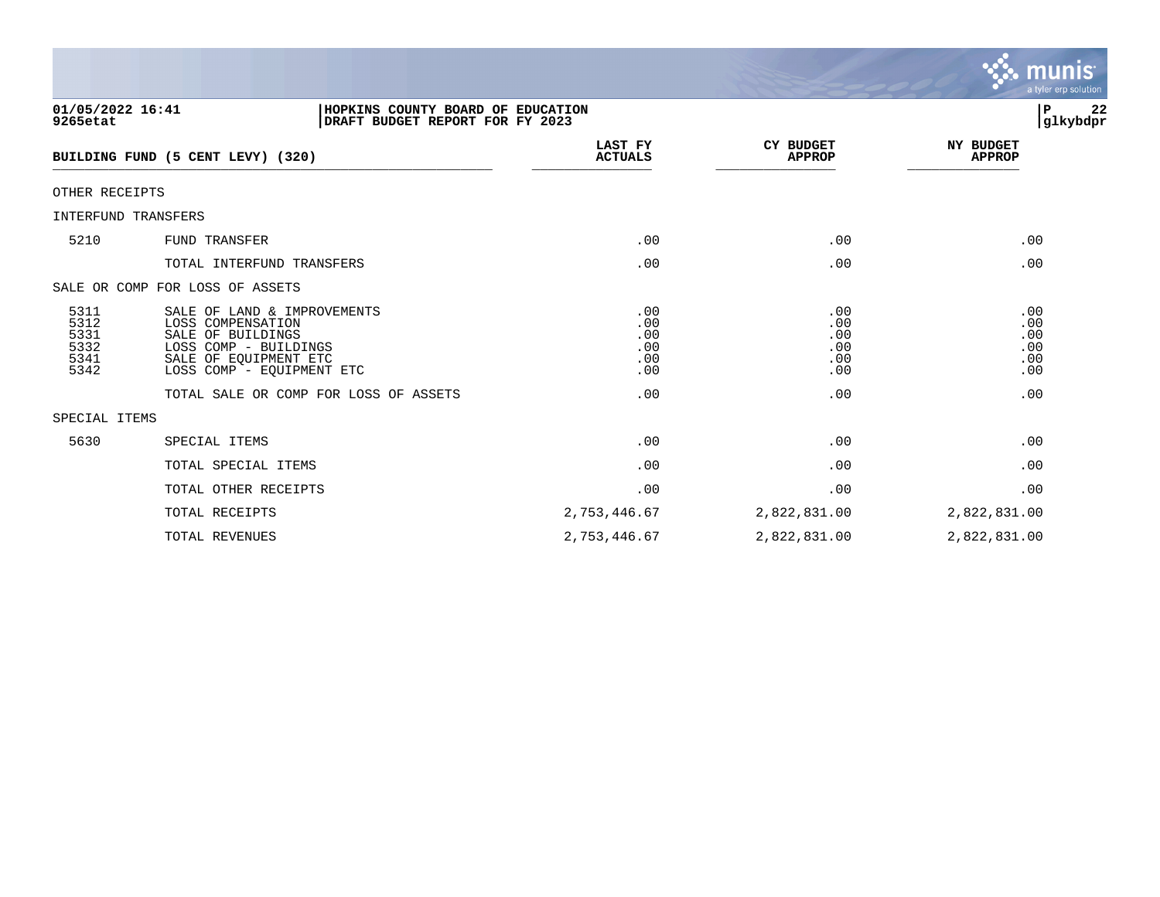|                                              |                                                                                                                                                      |                                        |                                        | munis                                  |
|----------------------------------------------|------------------------------------------------------------------------------------------------------------------------------------------------------|----------------------------------------|----------------------------------------|----------------------------------------|
| 01/05/2022 16:41                             | HOPKINS COUNTY BOARD OF EDUCATION                                                                                                                    |                                        |                                        | a tyler erp solution<br>l P<br>22      |
| 9265etat                                     | DRAFT BUDGET REPORT FOR FY 2023                                                                                                                      |                                        |                                        | glkybdpr                               |
|                                              | BUILDING FUND (5 CENT LEVY) (320)                                                                                                                    | LAST FY<br><b>ACTUALS</b>              | <b>CY BUDGET</b><br><b>APPROP</b>      | <b>NY BUDGET</b><br><b>APPROP</b>      |
| OTHER RECEIPTS                               |                                                                                                                                                      |                                        |                                        |                                        |
| <b>INTERFUND TRANSFERS</b>                   |                                                                                                                                                      |                                        |                                        |                                        |
| 5210                                         | <b>FUND TRANSFER</b>                                                                                                                                 | .00                                    | .00                                    | .00                                    |
|                                              | TOTAL INTERFUND TRANSFERS                                                                                                                            | .00                                    | .00                                    | .00                                    |
|                                              | SALE OR COMP FOR LOSS OF ASSETS                                                                                                                      |                                        |                                        |                                        |
| 5311<br>5312<br>5331<br>5332<br>5341<br>5342 | SALE OF LAND & IMPROVEMENTS<br>LOSS COMPENSATION<br>SALE OF BUILDINGS<br>LOSS COMP - BUILDINGS<br>SALE OF EQUIPMENT ETC<br>LOSS COMP - EQUIPMENT ETC | .00<br>.00<br>.00<br>.00<br>.00<br>.00 | .00<br>.00<br>.00<br>.00<br>.00<br>.00 | .00<br>.00<br>.00<br>.00<br>.00<br>.00 |
|                                              | TOTAL SALE OR COMP FOR LOSS OF ASSETS                                                                                                                | .00                                    | .00                                    | .00                                    |
| SPECIAL ITEMS                                |                                                                                                                                                      |                                        |                                        |                                        |
| 5630                                         | SPECIAL ITEMS                                                                                                                                        | .00                                    | .00                                    | .00                                    |
|                                              | TOTAL SPECIAL ITEMS                                                                                                                                  | .00                                    | .00                                    | .00                                    |
|                                              | TOTAL OTHER RECEIPTS                                                                                                                                 | .00                                    | .00                                    | .00                                    |
|                                              | TOTAL RECEIPTS                                                                                                                                       | 2,753,446.67                           | 2,822,831.00                           | 2,822,831.00                           |
|                                              | <b>TOTAL REVENUES</b>                                                                                                                                | 2,753,446.67                           | 2,822,831.00                           | 2,822,831.00                           |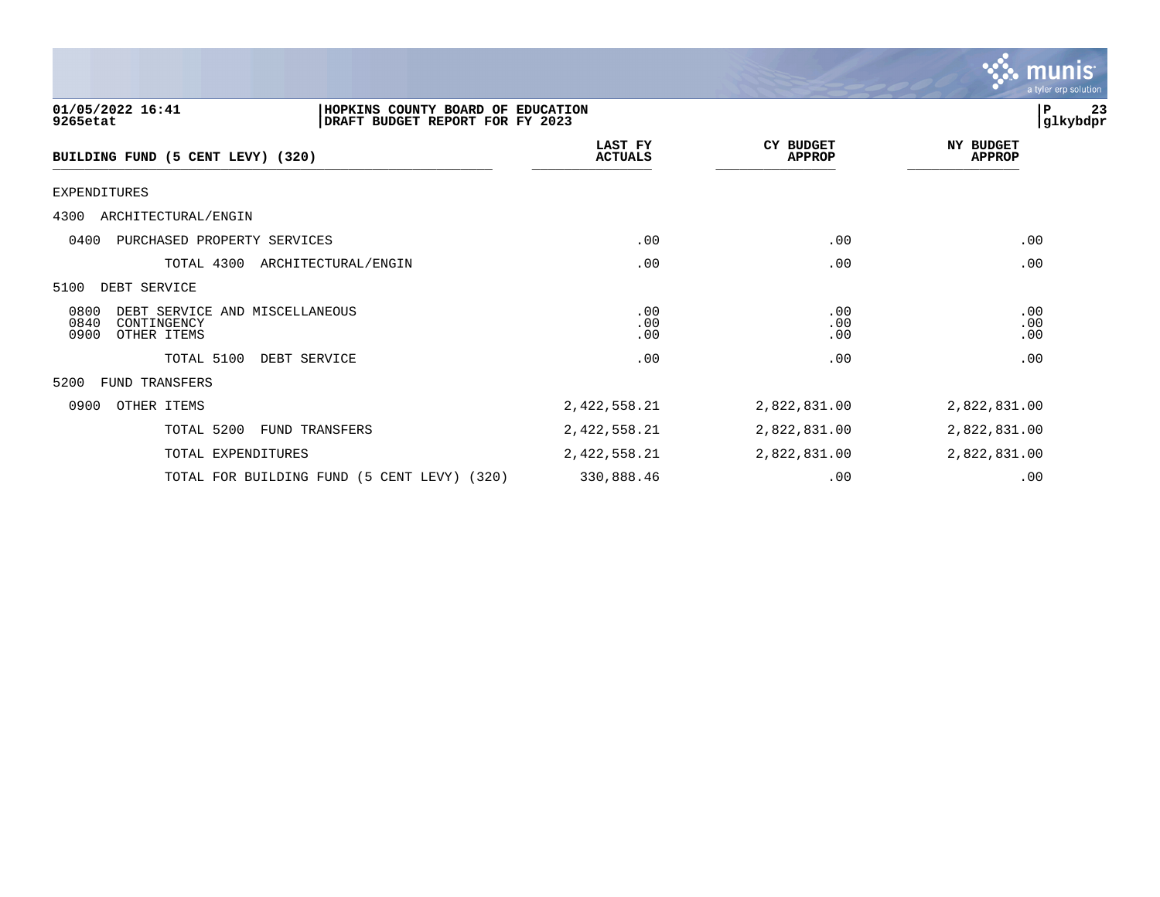

| 01/05/2022 16:41<br>HOPKINS COUNTY BOARD OF EDUCATION<br>9265etat<br>DRAFT BUDGET REPORT FOR FY 2023 |                           |                                   | 23<br>P<br> glkybdpr              |
|------------------------------------------------------------------------------------------------------|---------------------------|-----------------------------------|-----------------------------------|
| BUILDING FUND (5 CENT LEVY) (320)                                                                    | LAST FY<br><b>ACTUALS</b> | <b>CY BUDGET</b><br><b>APPROP</b> | <b>NY BUDGET</b><br><b>APPROP</b> |
| EXPENDITURES                                                                                         |                           |                                   |                                   |
| ARCHITECTURAL/ENGIN<br>4300                                                                          |                           |                                   |                                   |
| 0400<br>PURCHASED PROPERTY SERVICES                                                                  | .00                       | .00                               | .00                               |
| TOTAL 4300 ARCHITECTURAL/ENGIN                                                                       | .00                       | .00                               | .00                               |
| 5100<br>DEBT SERVICE                                                                                 |                           |                                   |                                   |
| DEBT SERVICE AND MISCELLANEOUS<br>0800<br>0840<br>CONTINGENCY<br>0900<br>OTHER ITEMS                 | .00<br>.00<br>.00         | .00<br>.00<br>.00                 | .00<br>.00<br>.00                 |
| TOTAL 5100<br>DEBT SERVICE                                                                           | .00                       | .00                               | .00                               |
| 5200<br><b>FUND TRANSFERS</b>                                                                        |                           |                                   |                                   |
| OTHER ITEMS<br>0900                                                                                  | 2,422,558.21              | 2,822,831.00                      | 2,822,831.00                      |
| TOTAL 5200<br>FUND TRANSFERS                                                                         | 2,422,558.21              | 2,822,831.00                      | 2,822,831.00                      |
| TOTAL EXPENDITURES                                                                                   | 2,422,558.21              | 2,822,831.00                      | 2,822,831.00                      |
| TOTAL FOR BUILDING FUND (5 CENT LEVY) (320)                                                          | 330,888.46                | .00                               | .00                               |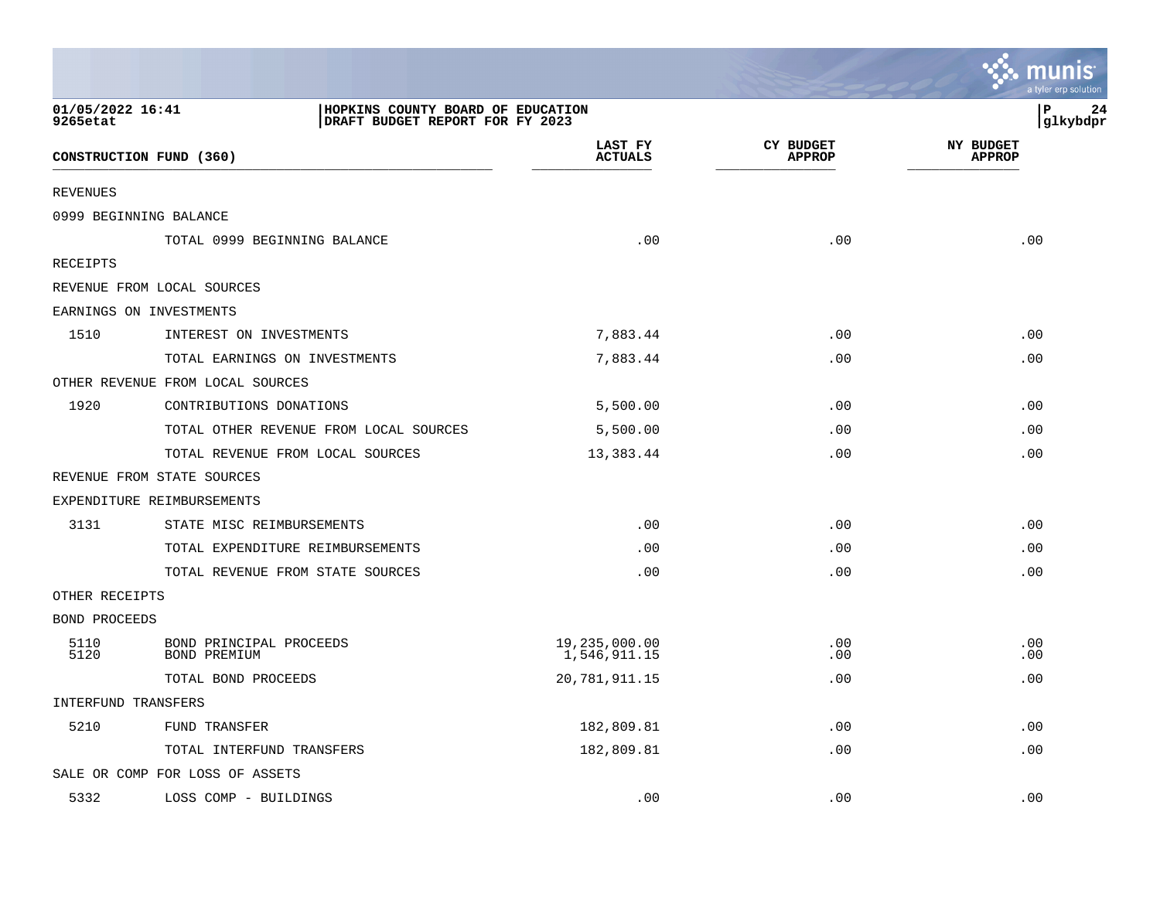| 01/05/2022 16:41<br>9265etat | HOPKINS COUNTY BOARD OF EDUCATION<br>DRAFT BUDGET REPORT FOR FY 2023 |                               |                                   | Р<br>24<br> glkybdpr              |
|------------------------------|----------------------------------------------------------------------|-------------------------------|-----------------------------------|-----------------------------------|
|                              | CONSTRUCTION FUND (360)                                              | LAST FY<br><b>ACTUALS</b>     | <b>CY BUDGET</b><br><b>APPROP</b> | <b>NY BUDGET</b><br><b>APPROP</b> |
| <b>REVENUES</b>              |                                                                      |                               |                                   |                                   |
|                              | 0999 BEGINNING BALANCE                                               |                               |                                   |                                   |
|                              | TOTAL 0999 BEGINNING BALANCE                                         | .00                           | .00                               | .00                               |
| RECEIPTS                     |                                                                      |                               |                                   |                                   |
|                              | REVENUE FROM LOCAL SOURCES                                           |                               |                                   |                                   |
|                              | EARNINGS ON INVESTMENTS                                              |                               |                                   |                                   |
| 1510                         | INTEREST ON INVESTMENTS                                              | 7,883.44                      | .00                               | .00                               |
|                              | TOTAL EARNINGS ON INVESTMENTS                                        | 7,883.44                      | .00                               | .00                               |
|                              | OTHER REVENUE FROM LOCAL SOURCES                                     |                               |                                   |                                   |
| 1920                         | CONTRIBUTIONS DONATIONS                                              | 5,500.00                      | .00                               | .00                               |
|                              | TOTAL OTHER REVENUE FROM LOCAL SOURCES                               | 5,500.00                      | .00                               | .00                               |
|                              | TOTAL REVENUE FROM LOCAL SOURCES                                     | 13,383.44                     | .00                               | .00                               |
|                              | REVENUE FROM STATE SOURCES                                           |                               |                                   |                                   |
|                              | EXPENDITURE REIMBURSEMENTS                                           |                               |                                   |                                   |
| 3131                         | STATE MISC REIMBURSEMENTS                                            | .00                           | .00                               | .00                               |
|                              | TOTAL EXPENDITURE REIMBURSEMENTS                                     | .00                           | .00                               | .00                               |
|                              | TOTAL REVENUE FROM STATE SOURCES                                     | .00                           | .00                               | .00                               |
| OTHER RECEIPTS               |                                                                      |                               |                                   |                                   |
| <b>BOND PROCEEDS</b>         |                                                                      |                               |                                   |                                   |
| 5110<br>5120                 | BOND PRINCIPAL PROCEEDS<br>BOND PREMIUM                              | 19,235,000.00<br>1,546,911.15 | .00<br>.00                        | .00<br>.00                        |
|                              | TOTAL BOND PROCEEDS                                                  | 20,781,911.15                 | .00                               | .00                               |
|                              | INTERFUND TRANSFERS                                                  |                               |                                   |                                   |
| 5210                         | FUND TRANSFER                                                        | 182,809.81                    | .00                               | .00                               |
|                              | TOTAL INTERFUND TRANSFERS                                            | 182,809.81                    | .00                               | .00                               |
|                              | SALE OR COMP FOR LOSS OF ASSETS                                      |                               |                                   |                                   |
| 5332                         | LOSS COMP - BUILDINGS                                                | .00                           | .00                               | .00                               |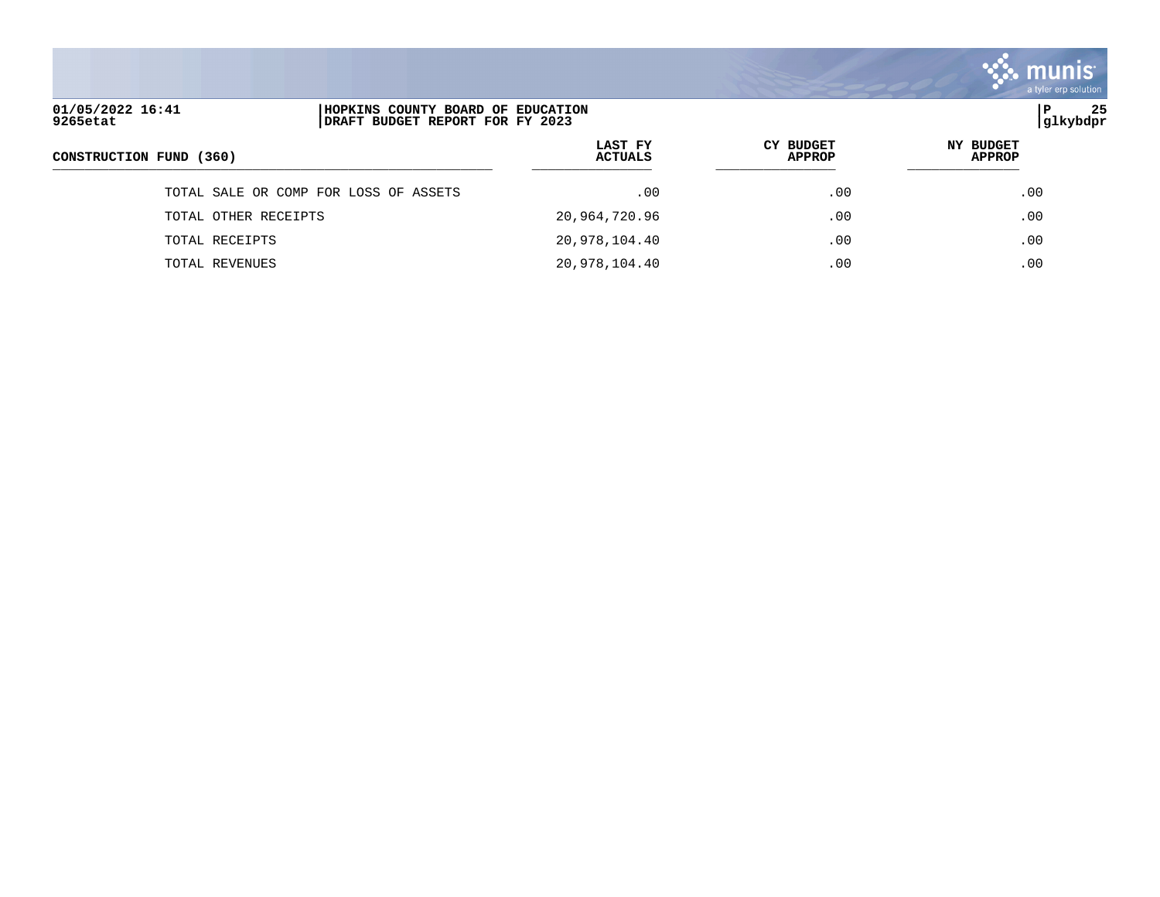

# **01/05/2022 16:41 |HOPKINS COUNTY BOARD OF EDUCATION |P 25 DRAFT BUDGET REPORT FOR FY 2023 LAST FY CY BUDGET NY BUDGET CONSTRUCTION FUND (360)**  $\overline{r}$ TOTAL SALE OR COMP FOR LOSS OF ASSETS .00 .00 .00 TOTAL OTHER RECEIPTS 00 20,964,720.96 .00 .00 .00 .00 TOTAL RECEIPTS 20,978,104.40 .00 .00 TOTAL REVENUES 20,978,104.40 .00 .00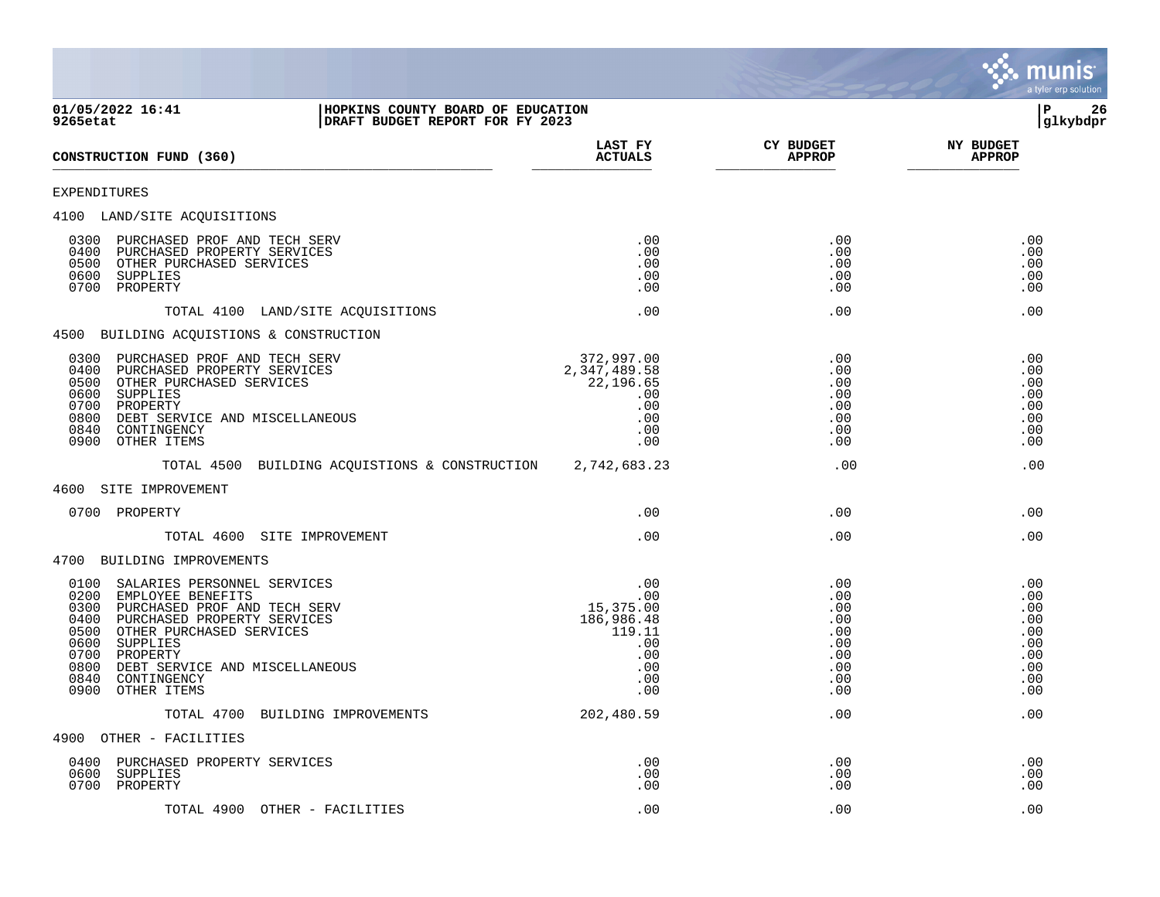

| 01/05/2022 16:41<br>HOPKINS COUNTY BOARD OF EDUCATION<br>DRAFT BUDGET REPORT FOR FY 2023<br>9265etat                                                                                                                                                                                                          |                                                                                    |                                                                    | P.<br>26<br> glkybdpr                                              |  |
|---------------------------------------------------------------------------------------------------------------------------------------------------------------------------------------------------------------------------------------------------------------------------------------------------------------|------------------------------------------------------------------------------------|--------------------------------------------------------------------|--------------------------------------------------------------------|--|
| CONSTRUCTION FUND (360)                                                                                                                                                                                                                                                                                       | LAST FY<br><b>ACTUALS</b>                                                          | CY BUDGET<br><b>APPROP</b>                                         | <b>NY BUDGET</b><br><b>APPROP</b>                                  |  |
| <b>EXPENDITURES</b>                                                                                                                                                                                                                                                                                           |                                                                                    |                                                                    |                                                                    |  |
| 4100 LAND/SITE ACQUISITIONS                                                                                                                                                                                                                                                                                   |                                                                                    |                                                                    |                                                                    |  |
| 0300 PURCHASED PROF AND TECH SERV<br>0400<br>PURCHASED PROPERTY SERVICES<br>0500 OTHER PURCHASED SERVICES<br>0600<br>SUPPLIES<br>0700 PROPERTY                                                                                                                                                                | .00<br>.00<br>.00<br>.00<br>.00                                                    | .00<br>.00<br>.00<br>.00<br>.00                                    | .00<br>.00<br>.00<br>.00<br>.00                                    |  |
| TOTAL 4100 LAND/SITE ACQUISITIONS                                                                                                                                                                                                                                                                             | .00                                                                                | .00                                                                | .00                                                                |  |
| 4500 BUILDING ACQUISTIONS & CONSTRUCTION                                                                                                                                                                                                                                                                      |                                                                                    |                                                                    |                                                                    |  |
| PURCHASED PROF AND TECH SERV<br>PURCHASED PROPERTY SERVICES<br>OTHER PURCHASED SERVICES<br>SUPPLIES<br>PROPERTY<br>DEBT SERVICE AND MISCELLANEOUS<br>CONTINGENCY<br>0300 PURCHASED PROF AND TECH SERV<br>0400<br>0500<br>0600<br>0700<br>0800<br>0840<br>CONTINGENCY<br>0900 OTHER ITEMS                      | 372,997.00<br>2,347,489.58<br>22,196.65<br>.00<br>.00<br>.00<br>.00<br>.00         | .00<br>.00<br>.00<br>.00<br>.00<br>.00<br>.00<br>.00               | .00<br>.00<br>.00<br>.00<br>.00<br>.00<br>.00<br>.00               |  |
| TOTAL 4500 BUILDING ACQUISTIONS & CONSTRUCTION 2,742,683.23                                                                                                                                                                                                                                                   |                                                                                    | .00                                                                | .00                                                                |  |
| 4600 SITE IMPROVEMENT                                                                                                                                                                                                                                                                                         |                                                                                    |                                                                    |                                                                    |  |
| 0700 PROPERTY                                                                                                                                                                                                                                                                                                 | .00                                                                                | .00                                                                | .00                                                                |  |
| TOTAL 4600 SITE IMPROVEMENT                                                                                                                                                                                                                                                                                   | .00                                                                                | .00                                                                | .00                                                                |  |
| 4700 BUILDING IMPROVEMENTS                                                                                                                                                                                                                                                                                    |                                                                                    |                                                                    |                                                                    |  |
| 0100 SALARIES PERSONNEL SERVICES<br>0200<br>EMPLOYEE BENEFITS<br>0300<br>PURCHASED PROF AND TECH SERV<br>0400<br>PURCHASED PROPERTY SERVICES<br>0500<br>OTHER PURCHASED SERVICES<br>0600<br>SUPPLIES<br>0700<br>PROPERTY<br>0800<br>DEBT SERVICE AND MISCELLANEOUS<br>CONTINGENCY<br>0840<br>0900 OTHER ITEMS | .00<br>.00<br>15,375.00<br>186,986.48<br>119.11<br>.00<br>.00<br>.00<br>.00<br>.00 | .00<br>.00<br>.00<br>.00<br>.00<br>.00<br>.00<br>.00<br>.00<br>.00 | .00<br>.00<br>.00<br>.00<br>.00<br>.00<br>.00<br>.00<br>.00<br>.00 |  |
| TOTAL 4700 BUILDING IMPROVEMENTS                                                                                                                                                                                                                                                                              | 202,480.59                                                                         | .00                                                                | .00                                                                |  |
| 4900 OTHER - FACILITIES                                                                                                                                                                                                                                                                                       |                                                                                    |                                                                    |                                                                    |  |
| 0400<br>PURCHASED PROPERTY SERVICES<br>0600 SUPPLIES<br>0700 PROPERTY                                                                                                                                                                                                                                         | .00<br>.00<br>.00                                                                  | .00<br>.00<br>.00                                                  | .00<br>.00<br>.00                                                  |  |
| TOTAL 4900 OTHER - FACILITIES                                                                                                                                                                                                                                                                                 | .00                                                                                | .00                                                                | .00                                                                |  |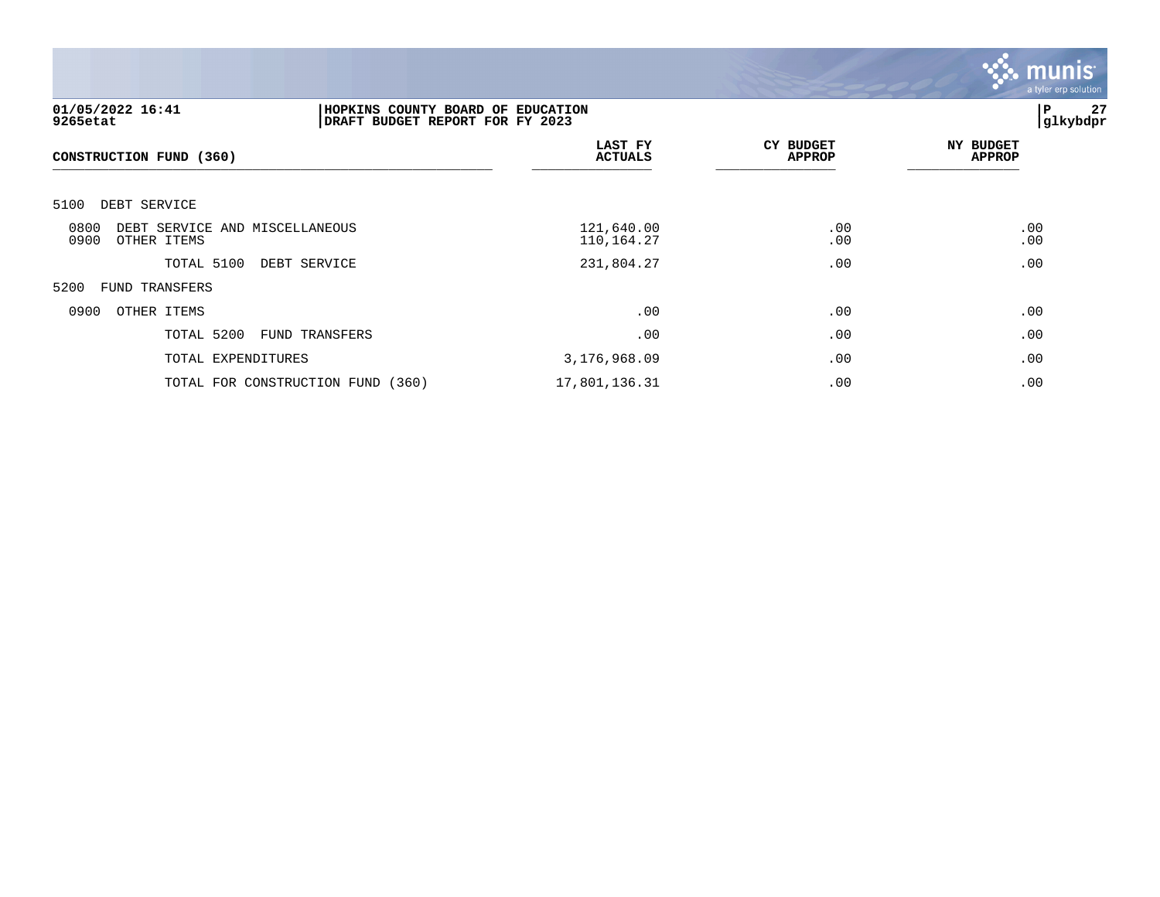

| 01/05/2022 16:41<br>HOPKINS COUNTY BOARD OF EDUCATION<br>DRAFT BUDGET REPORT FOR FY 2023<br>9265etat |                                   |                           |                            | 27<br>P<br> glkybdpr              |
|------------------------------------------------------------------------------------------------------|-----------------------------------|---------------------------|----------------------------|-----------------------------------|
| CONSTRUCTION FUND (360)                                                                              |                                   | LAST FY<br><b>ACTUALS</b> | CY BUDGET<br><b>APPROP</b> | <b>NY BUDGET</b><br><b>APPROP</b> |
| 5100<br>DEBT SERVICE                                                                                 |                                   |                           |                            |                                   |
| 0800<br>DEBT SERVICE AND MISCELLANEOUS<br>0900<br>OTHER ITEMS                                        |                                   | 121,640.00<br>110,164.27  | .00<br>.00                 | .00<br>.00                        |
| TOTAL 5100                                                                                           | DEBT SERVICE                      | 231,804.27                | .00                        | .00                               |
| 5200<br><b>FUND TRANSFERS</b>                                                                        |                                   |                           |                            |                                   |
| 0900<br>OTHER ITEMS                                                                                  |                                   | .00                       | .00                        | .00                               |
| TOTAL 5200                                                                                           | FUND TRANSFERS                    | .00                       | .00                        | .00                               |
| TOTAL EXPENDITURES                                                                                   |                                   | 3,176,968.09              | .00                        | .00                               |
|                                                                                                      | TOTAL FOR CONSTRUCTION FUND (360) | 17,801,136.31             | .00                        | .00                               |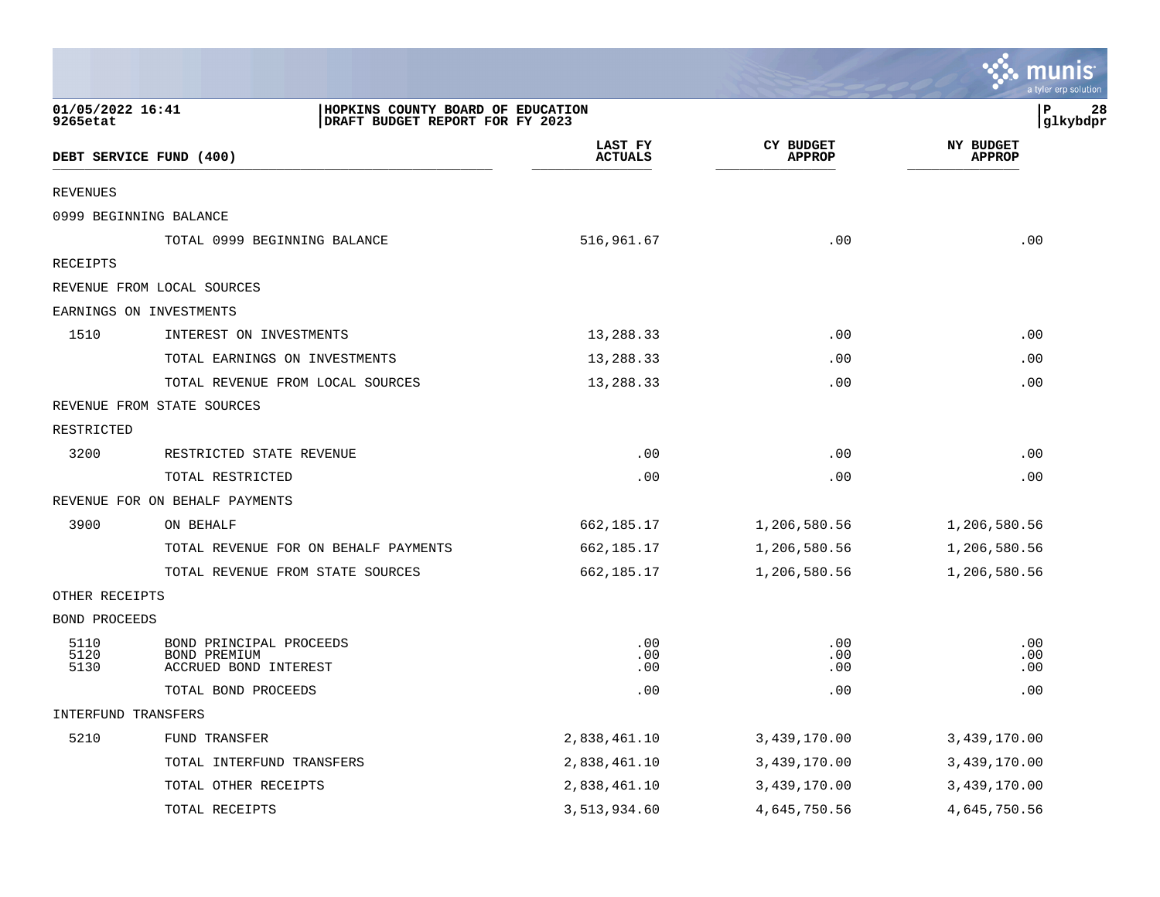|                              |                                                                      |                           |                                   | <b>орын нэ</b><br>a tyler erp solution |
|------------------------------|----------------------------------------------------------------------|---------------------------|-----------------------------------|----------------------------------------|
| 01/05/2022 16:41<br>9265etat | HOPKINS COUNTY BOARD OF EDUCATION<br>DRAFT BUDGET REPORT FOR FY 2023 |                           |                                   | lР<br>28<br> glkybdpr                  |
|                              | DEBT SERVICE FUND (400)                                              | LAST FY<br><b>ACTUALS</b> | <b>CY BUDGET</b><br><b>APPROP</b> | <b>NY BUDGET</b><br><b>APPROP</b>      |
| <b>REVENUES</b>              |                                                                      |                           |                                   |                                        |
|                              | 0999 BEGINNING BALANCE                                               |                           |                                   |                                        |
|                              | TOTAL 0999 BEGINNING BALANCE                                         | 516,961.67                | .00                               | .00                                    |
| <b>RECEIPTS</b>              |                                                                      |                           |                                   |                                        |
|                              | REVENUE FROM LOCAL SOURCES                                           |                           |                                   |                                        |
|                              | EARNINGS ON INVESTMENTS                                              |                           |                                   |                                        |
| 1510                         | INTEREST ON INVESTMENTS                                              | 13,288.33                 | .00                               | .00                                    |
|                              | TOTAL EARNINGS ON INVESTMENTS                                        | 13,288.33                 | .00                               | .00                                    |
|                              | TOTAL REVENUE FROM LOCAL SOURCES                                     | 13,288.33                 | .00                               | .00                                    |
|                              | REVENUE FROM STATE SOURCES                                           |                           |                                   |                                        |
| RESTRICTED                   |                                                                      |                           |                                   |                                        |
| 3200                         | RESTRICTED STATE REVENUE                                             | .00                       | .00                               | .00                                    |
|                              | TOTAL RESTRICTED                                                     | .00                       | .00                               | .00                                    |
|                              | REVENUE FOR ON BEHALF PAYMENTS                                       |                           |                                   |                                        |
| 3900                         | ON BEHALF                                                            | 662,185.17                | 1,206,580.56                      | 1,206,580.56                           |
|                              | TOTAL REVENUE FOR ON BEHALF PAYMENTS                                 | 662,185.17                | 1,206,580.56                      | 1,206,580.56                           |
|                              | TOTAL REVENUE FROM STATE SOURCES                                     | 662,185.17                | 1,206,580.56                      | 1,206,580.56                           |
| OTHER RECEIPTS               |                                                                      |                           |                                   |                                        |
| BOND PROCEEDS                |                                                                      |                           |                                   |                                        |
| 5110<br>5120<br>5130         | BOND PRINCIPAL PROCEEDS<br>BOND PREMIUM<br>ACCRUED BOND INTEREST     | .00<br>.00<br>.00         | .00<br>.00<br>.00                 | .00<br>.00<br>.00                      |
|                              | TOTAL BOND PROCEEDS                                                  | .00                       | .00                               | .00                                    |
| INTERFUND TRANSFERS          |                                                                      |                           |                                   |                                        |
| 5210                         | FUND TRANSFER                                                        | 2,838,461.10              | 3,439,170.00                      | 3,439,170.00                           |
|                              | TOTAL INTERFUND TRANSFERS                                            | 2,838,461.10              | 3,439,170.00                      | 3,439,170.00                           |
|                              | TOTAL OTHER RECEIPTS                                                 | 2,838,461.10              | 3,439,170.00                      | 3,439,170.00                           |
|                              | TOTAL RECEIPTS                                                       | 3,513,934.60              | 4,645,750.56                      | 4,645,750.56                           |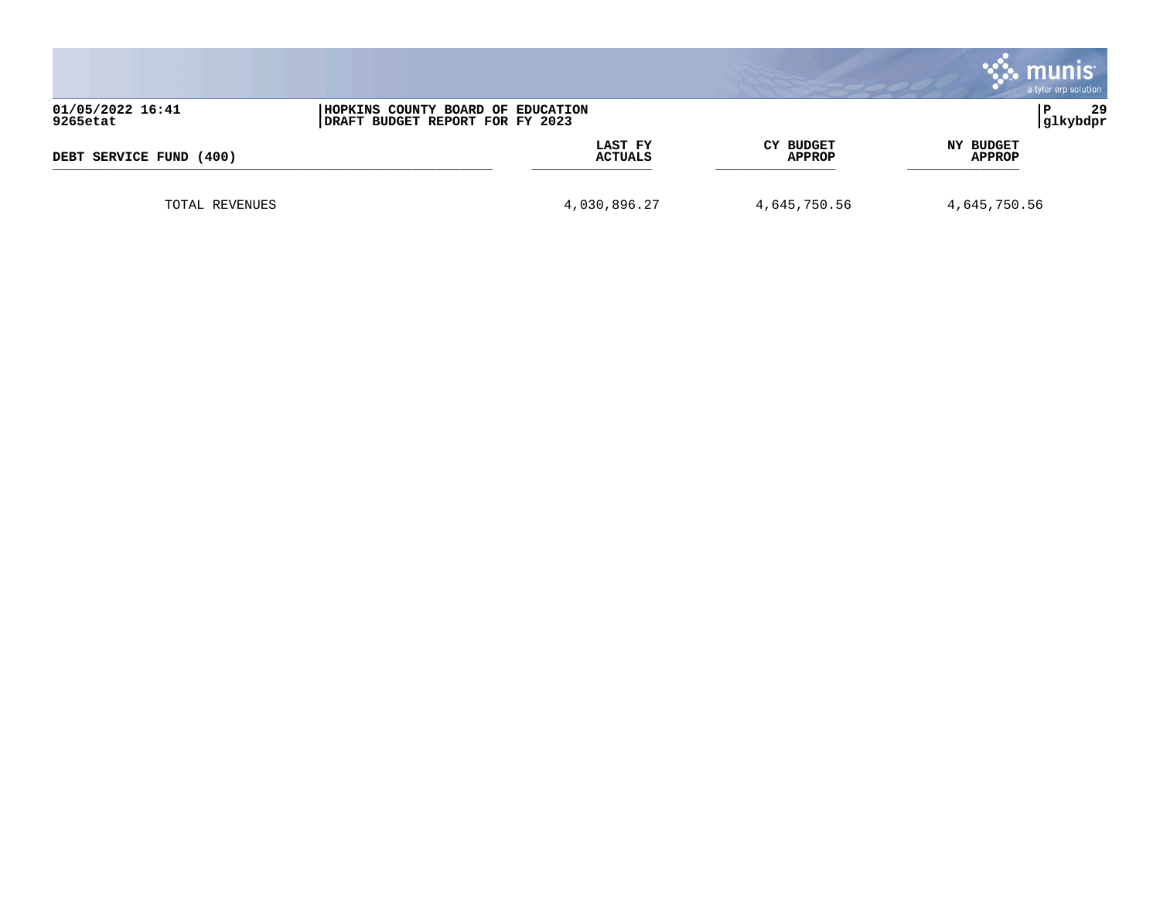|                              |                                                                      |                            | <b>munis</b><br>a tyler erp solution |
|------------------------------|----------------------------------------------------------------------|----------------------------|--------------------------------------|
| 01/05/2022 16:41<br>9265etat | HOPKINS COUNTY BOARD OF EDUCATION<br>DRAFT BUDGET REPORT FOR FY 2023 |                            | 29<br>P<br> glkybdpr                 |
| DEBT SERVICE FUND (400)      | LAST FY<br><b>ACTUALS</b>                                            | CY BUDGET<br><b>APPROP</b> | NY BUDGET<br><b>APPROP</b>           |
| TOTAL REVENUES               | 4,030,896.27                                                         | 4,645,750.56               | 4,645,750.56                         |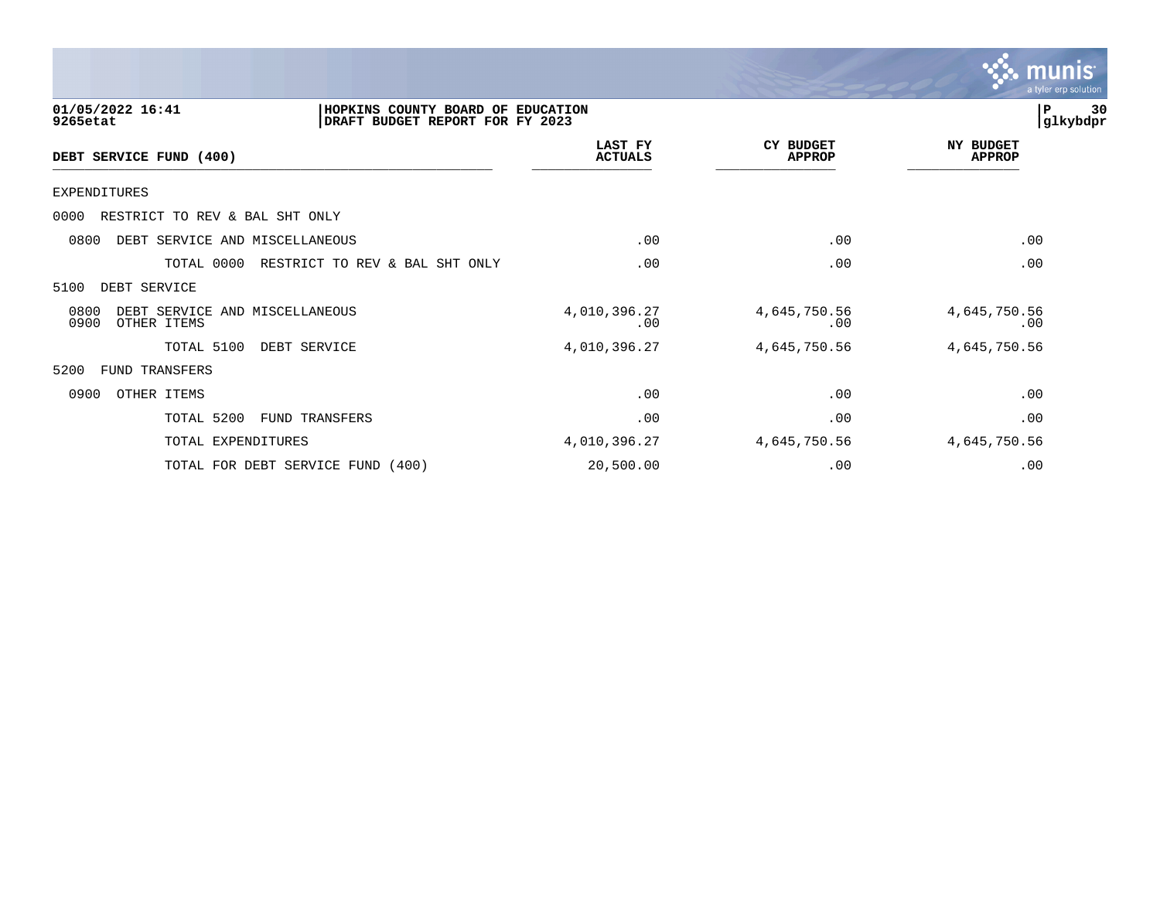

| 01/05/2022 16:41<br>9265etat                                  | HOPKINS COUNTY BOARD OF EDUCATION<br>DRAFT BUDGET REPORT FOR FY 2023 |                                  |                                   | 30<br>P<br>glkybdpr               |
|---------------------------------------------------------------|----------------------------------------------------------------------|----------------------------------|-----------------------------------|-----------------------------------|
| DEBT SERVICE FUND (400)                                       |                                                                      | <b>LAST FY</b><br><b>ACTUALS</b> | <b>CY BUDGET</b><br><b>APPROP</b> | <b>NY BUDGET</b><br><b>APPROP</b> |
| <b>EXPENDITURES</b>                                           |                                                                      |                                  |                                   |                                   |
| 0000<br>RESTRICT TO REV & BAL SHT ONLY                        |                                                                      |                                  |                                   |                                   |
| 0800<br>DEBT SERVICE AND MISCELLANEOUS                        |                                                                      | .00                              | .00                               | .00                               |
| TOTAL 0000                                                    | RESTRICT TO REV & BAL SHT ONLY                                       | .00                              | .00                               | .00                               |
| 5100<br>DEBT SERVICE                                          |                                                                      |                                  |                                   |                                   |
| 0800<br>DEBT SERVICE AND MISCELLANEOUS<br>0900<br>OTHER ITEMS |                                                                      | 4,010,396.27<br>.00              | 4,645,750.56<br>.00               | 4,645,750.56<br>.00               |
| TOTAL 5100                                                    | DEBT SERVICE                                                         | 4,010,396.27                     | 4,645,750.56                      | 4,645,750.56                      |
| 5200<br><b>FUND TRANSFERS</b>                                 |                                                                      |                                  |                                   |                                   |
| 0900<br>OTHER ITEMS                                           |                                                                      | .00                              | .00                               | .00                               |
| TOTAL 5200                                                    | FUND TRANSFERS                                                       | .00                              | .00                               | .00                               |
| TOTAL EXPENDITURES                                            |                                                                      | 4,010,396.27                     | 4,645,750.56                      | 4,645,750.56                      |
|                                                               | TOTAL FOR DEBT SERVICE FUND (400)                                    | 20,500.00                        | .00                               | .00                               |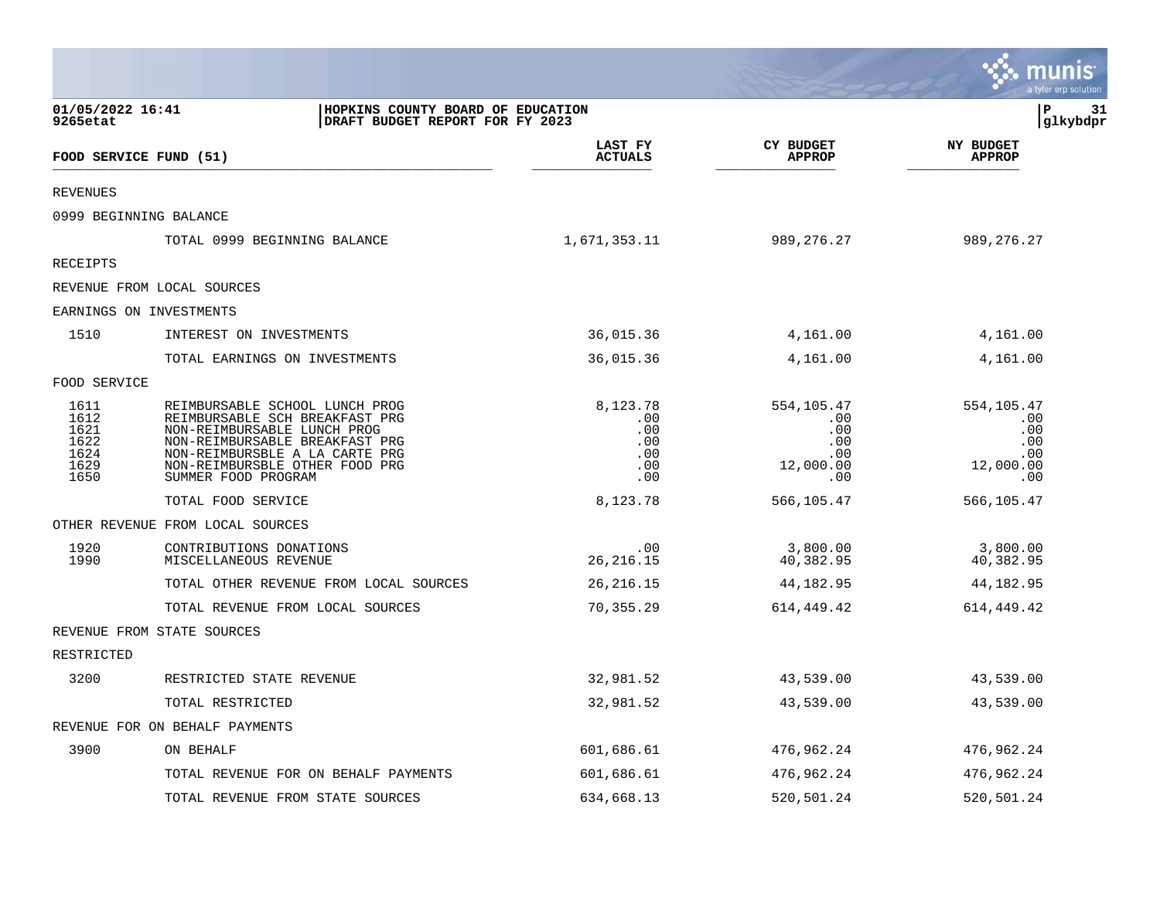|                                                                                                      |                                                                                                                                                                                                                              |                                                    |                                                            | munis<br>a tyler erp solution                              |
|------------------------------------------------------------------------------------------------------|------------------------------------------------------------------------------------------------------------------------------------------------------------------------------------------------------------------------------|----------------------------------------------------|------------------------------------------------------------|------------------------------------------------------------|
| 01/05/2022 16:41<br>HOPKINS COUNTY BOARD OF EDUCATION<br>9265etat<br>DRAFT BUDGET REPORT FOR FY 2023 |                                                                                                                                                                                                                              |                                                    |                                                            | l P<br>31<br> glkybdpr                                     |
|                                                                                                      | FOOD SERVICE FUND (51)                                                                                                                                                                                                       | LAST FY<br><b>ACTUALS</b>                          | <b>CY BUDGET</b><br><b>APPROP</b>                          | <b>NY BUDGET</b><br><b>APPROP</b>                          |
| <b>REVENUES</b>                                                                                      |                                                                                                                                                                                                                              |                                                    |                                                            |                                                            |
|                                                                                                      | 0999 BEGINNING BALANCE                                                                                                                                                                                                       |                                                    |                                                            |                                                            |
|                                                                                                      | TOTAL 0999 BEGINNING BALANCE                                                                                                                                                                                                 | 1,671,353.11                                       | 989, 276. 27                                               | 989, 276. 27                                               |
| <b>RECEIPTS</b>                                                                                      |                                                                                                                                                                                                                              |                                                    |                                                            |                                                            |
|                                                                                                      | REVENUE FROM LOCAL SOURCES                                                                                                                                                                                                   |                                                    |                                                            |                                                            |
|                                                                                                      | EARNINGS ON INVESTMENTS                                                                                                                                                                                                      |                                                    |                                                            |                                                            |
| 1510                                                                                                 | INTEREST ON INVESTMENTS                                                                                                                                                                                                      | 36,015.36                                          | 4,161.00                                                   | 4,161.00                                                   |
|                                                                                                      | TOTAL EARNINGS ON INVESTMENTS                                                                                                                                                                                                | 36,015.36                                          | 4,161.00                                                   | 4,161.00                                                   |
| FOOD SERVICE                                                                                         |                                                                                                                                                                                                                              |                                                    |                                                            |                                                            |
| 1611<br>1612<br>1621<br>1622<br>1624<br>1629<br>1650                                                 | REIMBURSABLE SCHOOL LUNCH PROG<br>REIMBURSABLE SCH BREAKFAST PRG<br>NON-REIMBURSABLE LUNCH PROG<br>NON-REIMBURSABLE BREAKFAST PRG<br>NON-REIMBURSBLE A LA CARTE PRG<br>NON-REIMBURSBLE OTHER FOOD PRG<br>SUMMER FOOD PROGRAM | 8,123.78<br>.00<br>.00<br>.00<br>.00<br>.00<br>.00 | 554,105.47<br>.00<br>.00<br>.00<br>.00<br>12,000.00<br>.00 | 554,105.47<br>.00<br>.00<br>.00<br>.00<br>12,000.00<br>.00 |
|                                                                                                      | TOTAL FOOD SERVICE                                                                                                                                                                                                           | 8,123.78                                           | 566,105.47                                                 | 566,105.47                                                 |
|                                                                                                      | OTHER REVENUE FROM LOCAL SOURCES                                                                                                                                                                                             |                                                    |                                                            |                                                            |
| 1920<br>1990                                                                                         | CONTRIBUTIONS DONATIONS<br>MISCELLANEOUS REVENUE                                                                                                                                                                             | $.00 \,$<br>26, 216. 15                            | 3,800.00<br>40,382.95                                      | 3,800.00<br>40,382.95                                      |
|                                                                                                      | TOTAL OTHER REVENUE FROM LOCAL SOURCES                                                                                                                                                                                       | 26, 216. 15                                        | 44,182.95                                                  | 44,182.95                                                  |
|                                                                                                      | TOTAL REVENUE FROM LOCAL SOURCES                                                                                                                                                                                             | 70,355.29                                          | 614,449.42                                                 | 614,449.42                                                 |
|                                                                                                      | REVENUE FROM STATE SOURCES                                                                                                                                                                                                   |                                                    |                                                            |                                                            |
| RESTRICTED                                                                                           |                                                                                                                                                                                                                              |                                                    |                                                            |                                                            |
| 3200                                                                                                 | RESTRICTED STATE REVENUE                                                                                                                                                                                                     | 32,981.52                                          | 43,539.00                                                  | 43,539.00                                                  |
|                                                                                                      | TOTAL RESTRICTED                                                                                                                                                                                                             | 32,981.52                                          | 43,539.00                                                  | 43,539.00                                                  |
|                                                                                                      | REVENUE FOR ON BEHALF PAYMENTS                                                                                                                                                                                               |                                                    |                                                            |                                                            |
| 3900                                                                                                 | ON BEHALF                                                                                                                                                                                                                    | 601,686.61                                         | 476,962.24                                                 | 476,962.24                                                 |
|                                                                                                      | TOTAL REVENUE FOR ON BEHALF PAYMENTS                                                                                                                                                                                         | 601,686.61                                         | 476,962.24                                                 | 476,962.24                                                 |
|                                                                                                      | TOTAL REVENUE FROM STATE SOURCES                                                                                                                                                                                             | 634,668.13                                         | 520,501.24                                                 | 520,501.24                                                 |

 $\mathcal{L}$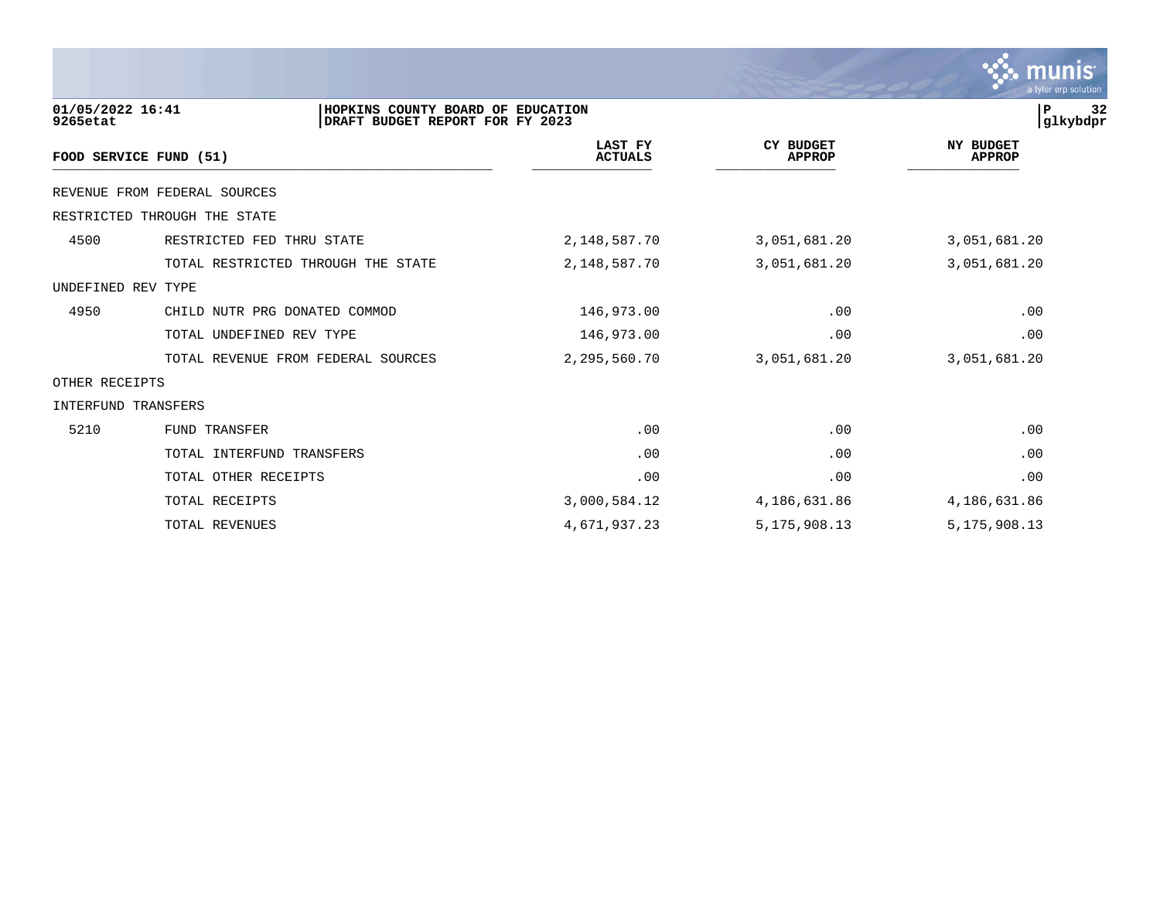|                              |                                                                      |                                  |                                   | munis<br>a tyler erp solution  |
|------------------------------|----------------------------------------------------------------------|----------------------------------|-----------------------------------|--------------------------------|
| 01/05/2022 16:41<br>9265etat | HOPKINS COUNTY BOARD OF EDUCATION<br>DRAFT BUDGET REPORT FOR FY 2023 |                                  |                                   | $\, {\bf P}$<br>32<br>glkybdpr |
|                              | FOOD SERVICE FUND (51)                                               | <b>LAST FY</b><br><b>ACTUALS</b> | <b>CY BUDGET</b><br><b>APPROP</b> | NY BUDGET<br><b>APPROP</b>     |
|                              | REVENUE FROM FEDERAL SOURCES                                         |                                  |                                   |                                |
|                              | RESTRICTED THROUGH THE STATE                                         |                                  |                                   |                                |
| 4500                         | RESTRICTED FED THRU STATE                                            | 2,148,587.70                     | 3,051,681.20                      | 3,051,681.20                   |
|                              | TOTAL RESTRICTED THROUGH THE STATE                                   | 2,148,587.70                     | 3,051,681.20                      | 3,051,681.20                   |
| UNDEFINED REV TYPE           |                                                                      |                                  |                                   |                                |
| 4950                         | CHILD NUTR PRG DONATED COMMOD                                        | 146,973.00                       | .00                               | .00                            |
|                              | TOTAL UNDEFINED REV TYPE                                             | 146,973.00                       | .00                               | .00                            |
|                              | TOTAL REVENUE FROM FEDERAL SOURCES                                   | 2,295,560.70                     | 3,051,681.20                      | 3,051,681.20                   |
| OTHER RECEIPTS               |                                                                      |                                  |                                   |                                |
| <b>INTERFUND TRANSFERS</b>   |                                                                      |                                  |                                   |                                |
| 5210                         | FUND TRANSFER                                                        | .00                              | .00                               | .00                            |
|                              | TOTAL INTERFUND TRANSFERS                                            | .00                              | .00                               | .00                            |
|                              | TOTAL OTHER RECEIPTS                                                 | .00                              | .00                               | .00                            |
|                              | TOTAL RECEIPTS                                                       | 3,000,584.12                     | 4,186,631.86                      | 4,186,631.86                   |
|                              | TOTAL REVENUES                                                       | 4,671,937.23                     | 5, 175, 908. 13                   | 5,175,908.13                   |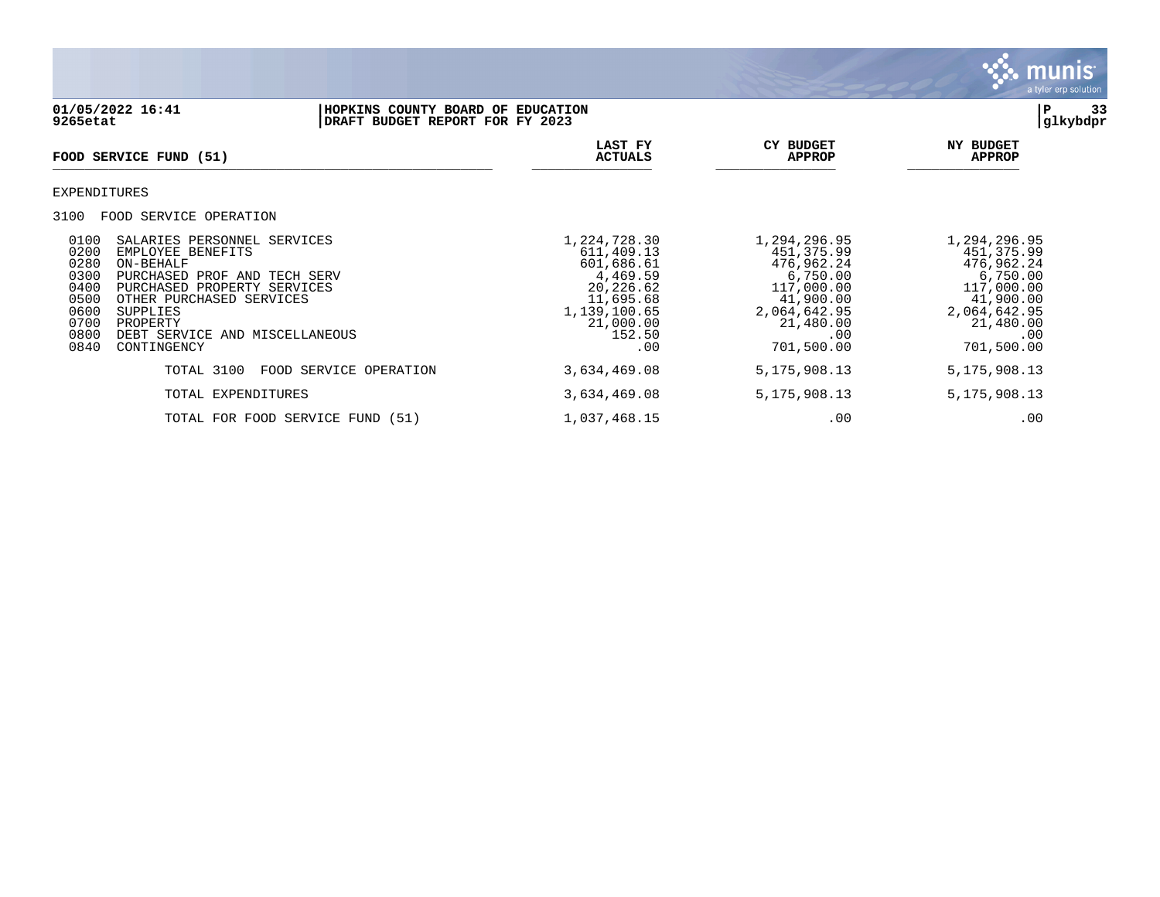

**01/05/2022 16:41 |HOPKINS COUNTY BOARD OF EDUCATION |P 33** DRAFT BUDGET REPORT FOR FY 2023 **LAST FY CY BUDGET NY BUDGET**  $FOOD$  **SERVICE FUND** (51)  $\frac{1}{\sqrt{1-\frac{1}{2}}\sqrt{1-\frac{1}{2}}\sqrt{1-\frac{1}{2}}\sqrt{1-\frac{1}{2}}\sqrt{1-\frac{1}{2}}\sqrt{1-\frac{1}{2}}\sqrt{1-\frac{1}{2}}\sqrt{1-\frac{1}{2}}\sqrt{1-\frac{1}{2}}\sqrt{1-\frac{1}{2}}\sqrt{1-\frac{1}{2}}\sqrt{1-\frac{1}{2}}\sqrt{1-\frac{1}{2}}\sqrt{1-\frac{1}{2}}\sqrt{1-\frac{1}{2}}\sqrt{1-\frac{1}{2}}\sqrt{1-\frac{1}{2}}\sqrt{1-\frac{1}{2}}\sqrt{1-\frac{1}{2}}\sqrt{1-\frac$ EXPENDITURES 3100 FOOD SERVICE OPERATION 0100 SALARIES PERSONNEL SERVICES 1,224,728.30 1,294,296.95 1,294,296.95 0200 EMPLOYEE BENEFITS 611,409.13 451,375.99 451,375.99 0280 ON-BEHALF 601,686.61 476,962.24 476,962.24 0300 PURCHASED PROF AND TECH SERV  $\begin{array}{cccc} 0 & 300 & 6 & 750.00 & 6 & 750.00 & 6 & 750.00 & 6 & 750.00 & 6 & 750.00 & 6 & 750.00 & 6 & 750.00 & 6 & 750.00 & 6 & 750.00 & 6 & 750.00 & 6 & 750.00 & 6 & 750.00 & 6 & 750.00 & 6 & 750.00 & 6 & 750.00 & 6 & 750$ 0400 PURCHASED PROPERTY SERVICES 20,226.62 117,000.00<br>0500 OTHER PURCHASED SERVICES 20,226.68 11,695.68 41,900.00 0500 OTHER PURCHASED SERVICES (1.695.68 41,900.00 41,900.00 41,900.00 41,900.00 41,900.00 41,900.00 41,900.00<br>0600 0605,642.95 42.95 42.95 42.95 42,064,642.95 42,064,642.95 43.95 43.95 43.95 43.95 43.95 43.95 43.95 43.95 0600 SUPPLIES 1,139,100.65 2,064,642.95 2,064,642.95 0700 PROPERTY 21,000.00 21,480.00 21,480.00 0800 DEBT SERVICE AND MISCELLANEOUS 152.50 .00 .00 0840 CONTINGENCY TOTAL 3100 FOOD SERVICE OPERATION 3,634,469.08 5,175,908.13 5,175,908.13 TOTAL EXPENDITURES 3,634,469.08 5,175,908.13 5,175,908.13

TOTAL FOR FOOD SERVICE FUND (51)  $1,037,468.15$  .00 .00 .00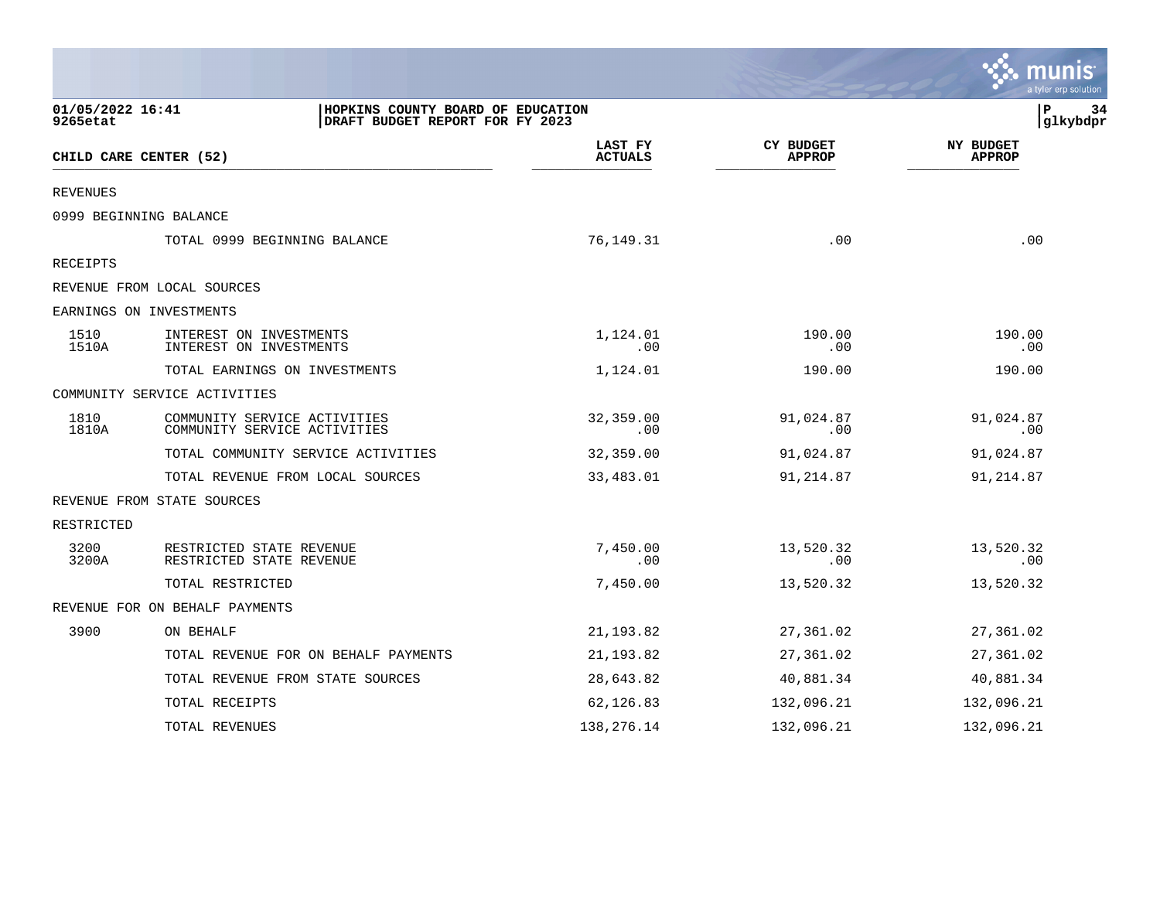|                              |                                                                      |                           |                                   | S. Munis<br>a tyler erp solution  |
|------------------------------|----------------------------------------------------------------------|---------------------------|-----------------------------------|-----------------------------------|
| 01/05/2022 16:41<br>9265etat | HOPKINS COUNTY BOARD OF EDUCATION<br>DRAFT BUDGET REPORT FOR FY 2023 |                           |                                   | P<br>34<br> glkybdpr              |
|                              | CHILD CARE CENTER (52)                                               | LAST FY<br><b>ACTUALS</b> | <b>CY BUDGET</b><br><b>APPROP</b> | <b>NY BUDGET</b><br><b>APPROP</b> |
| REVENUES                     |                                                                      |                           |                                   |                                   |
|                              | 0999 BEGINNING BALANCE                                               |                           |                                   |                                   |
|                              | TOTAL 0999 BEGINNING BALANCE                                         | 76,149.31                 | .00                               | .00                               |
| RECEIPTS                     |                                                                      |                           |                                   |                                   |
|                              | REVENUE FROM LOCAL SOURCES                                           |                           |                                   |                                   |
|                              | EARNINGS ON INVESTMENTS                                              |                           |                                   |                                   |
| 1510<br>1510A                | INTEREST ON INVESTMENTS<br>INTEREST ON INVESTMENTS                   | 1,124.01<br>.00           | 190.00<br>.00                     | 190.00<br>.00                     |
|                              | TOTAL EARNINGS ON INVESTMENTS                                        | 1,124.01                  | 190.00                            | 190.00                            |
|                              | COMMUNITY SERVICE ACTIVITIES                                         |                           |                                   |                                   |
| 1810<br>1810A                | COMMUNITY SERVICE ACTIVITIES<br>COMMUNITY SERVICE ACTIVITIES         | 32,359.00<br>.00          | 91,024.87<br>.00                  | 91,024.87<br>.00                  |
|                              | TOTAL COMMUNITY SERVICE ACTIVITIES                                   | 32,359.00                 | 91,024.87                         | 91,024.87                         |
|                              | TOTAL REVENUE FROM LOCAL SOURCES                                     | 33,483.01                 | 91,214.87                         | 91,214.87                         |
|                              | REVENUE FROM STATE SOURCES                                           |                           |                                   |                                   |
| RESTRICTED                   |                                                                      |                           |                                   |                                   |
| 3200<br>3200A                | RESTRICTED STATE REVENUE<br>RESTRICTED STATE REVENUE                 | 7,450.00<br>.00           | 13,520.32<br>.00                  | 13,520.32<br>.00                  |
|                              | TOTAL RESTRICTED                                                     | 7,450.00                  | 13,520.32                         | 13,520.32                         |
|                              | REVENUE FOR ON BEHALF PAYMENTS                                       |                           |                                   |                                   |
| 3900                         | ON BEHALF                                                            | 21, 193.82                | 27,361.02                         | 27,361.02                         |
|                              | TOTAL REVENUE FOR ON BEHALF PAYMENTS                                 | 21,193.82                 | 27,361.02                         | 27,361.02                         |
|                              | TOTAL REVENUE FROM STATE SOURCES                                     | 28,643.82                 | 40,881.34                         | 40,881.34                         |
|                              | TOTAL RECEIPTS                                                       | 62,126.83                 | 132,096.21                        | 132,096.21                        |
|                              | TOTAL REVENUES                                                       | 138,276.14                | 132,096.21                        | 132,096.21                        |

 $\mathbf{r}$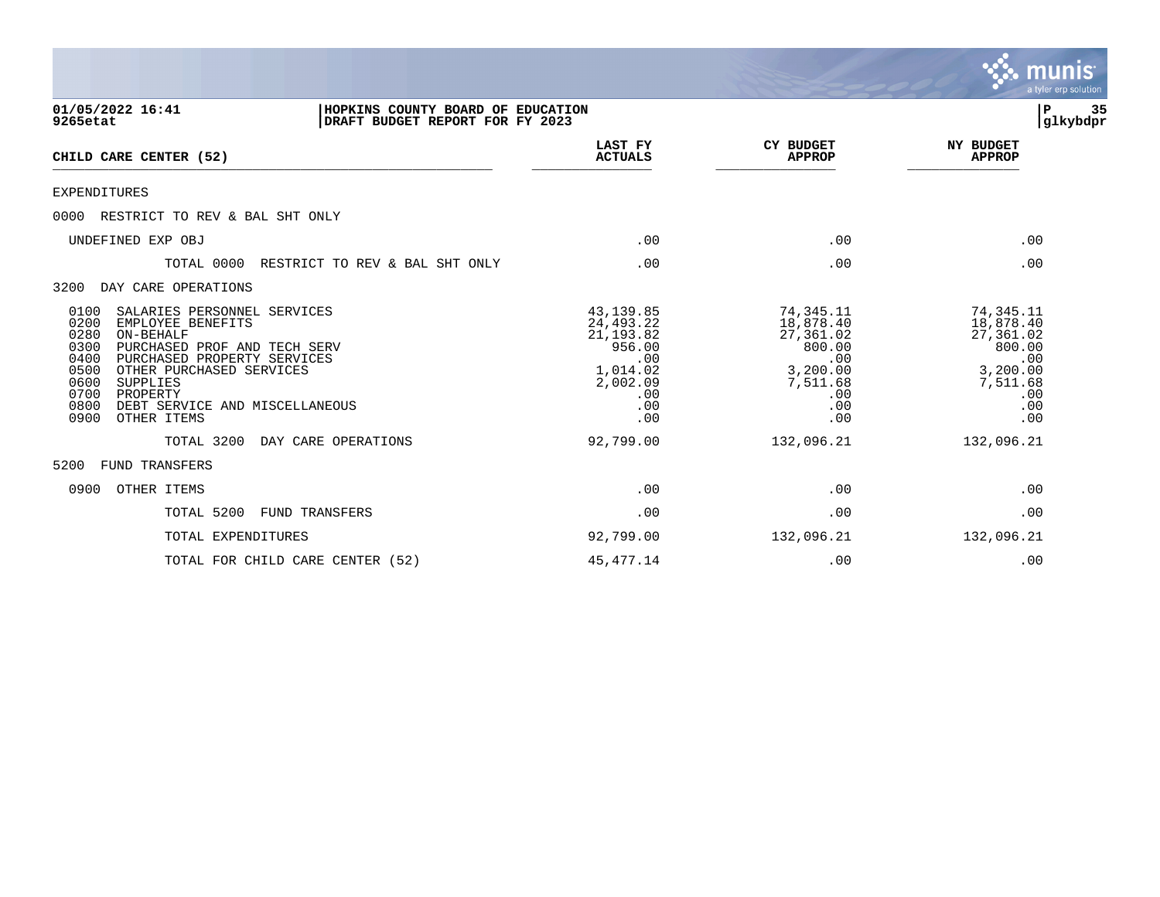|                                                                                                                                                                                                                                                                                                                          |                                                                                                     |                                                                                                   | munis<br>a tyler erp solution                                                                     |
|--------------------------------------------------------------------------------------------------------------------------------------------------------------------------------------------------------------------------------------------------------------------------------------------------------------------------|-----------------------------------------------------------------------------------------------------|---------------------------------------------------------------------------------------------------|---------------------------------------------------------------------------------------------------|
| 01/05/2022 16:41<br>HOPKINS COUNTY BOARD OF EDUCATION<br>9265etat<br>DRAFT BUDGET REPORT FOR FY 2023                                                                                                                                                                                                                     |                                                                                                     |                                                                                                   | 35<br>$\mathbf P$<br>glkybdpr                                                                     |
| CHILD CARE CENTER (52)                                                                                                                                                                                                                                                                                                   | LAST FY<br><b>ACTUALS</b>                                                                           | <b>CY BUDGET</b><br><b>APPROP</b>                                                                 | NY BUDGET<br><b>APPROP</b>                                                                        |
| <b>EXPENDITURES</b>                                                                                                                                                                                                                                                                                                      |                                                                                                     |                                                                                                   |                                                                                                   |
| 0000<br>RESTRICT TO REV & BAL SHT ONLY                                                                                                                                                                                                                                                                                   |                                                                                                     |                                                                                                   |                                                                                                   |
| UNDEFINED EXP OBJ                                                                                                                                                                                                                                                                                                        | .00                                                                                                 | .00                                                                                               | .00                                                                                               |
| TOTAL 0000<br>RESTRICT TO REV & BAL SHT ONLY                                                                                                                                                                                                                                                                             | .00                                                                                                 | .00                                                                                               | .00                                                                                               |
| 3200<br>DAY CARE OPERATIONS                                                                                                                                                                                                                                                                                              |                                                                                                     |                                                                                                   |                                                                                                   |
| 0100<br>SALARIES PERSONNEL SERVICES<br>0200<br>EMPLOYEE BENEFITS<br>0280<br>ON-BEHALF<br>0300<br>PURCHASED PROF AND TECH SERV<br>0400<br>PURCHASED PROPERTY SERVICES<br>0500<br>OTHER PURCHASED SERVICES<br>0600<br><b>SUPPLIES</b><br>0700<br>PROPERTY<br>0800<br>DEBT SERVICE AND MISCELLANEOUS<br>0900<br>OTHER ITEMS | 43, 139.85<br>24,493.22<br>21, 193.82<br>956.00<br>.00<br>1,014.02<br>2,002.09<br>.00<br>.00<br>.00 | 74,345.11<br>18,878.40<br>27,361.02<br>800.00<br>.00<br>3,200.00<br>7,511.68<br>.00<br>.00<br>.00 | 74,345.11<br>18,878.40<br>27,361.02<br>800.00<br>.00<br>3,200.00<br>7,511.68<br>.00<br>.00<br>.00 |
| TOTAL 3200<br>DAY CARE OPERATIONS                                                                                                                                                                                                                                                                                        | 92,799.00                                                                                           | 132,096.21                                                                                        | 132,096.21                                                                                        |
| 5200<br><b>FUND TRANSFERS</b>                                                                                                                                                                                                                                                                                            |                                                                                                     |                                                                                                   |                                                                                                   |
| OTHER ITEMS<br>0900                                                                                                                                                                                                                                                                                                      | .00                                                                                                 | .00                                                                                               | .00                                                                                               |
| TOTAL 5200<br><b>FUND TRANSFERS</b>                                                                                                                                                                                                                                                                                      | .00                                                                                                 | .00                                                                                               | .00                                                                                               |
| TOTAL EXPENDITURES                                                                                                                                                                                                                                                                                                       | 92,799.00                                                                                           | 132,096.21                                                                                        | 132,096.21                                                                                        |
| TOTAL FOR CHILD CARE CENTER (52)                                                                                                                                                                                                                                                                                         | 45, 477. 14                                                                                         | .00                                                                                               | .00                                                                                               |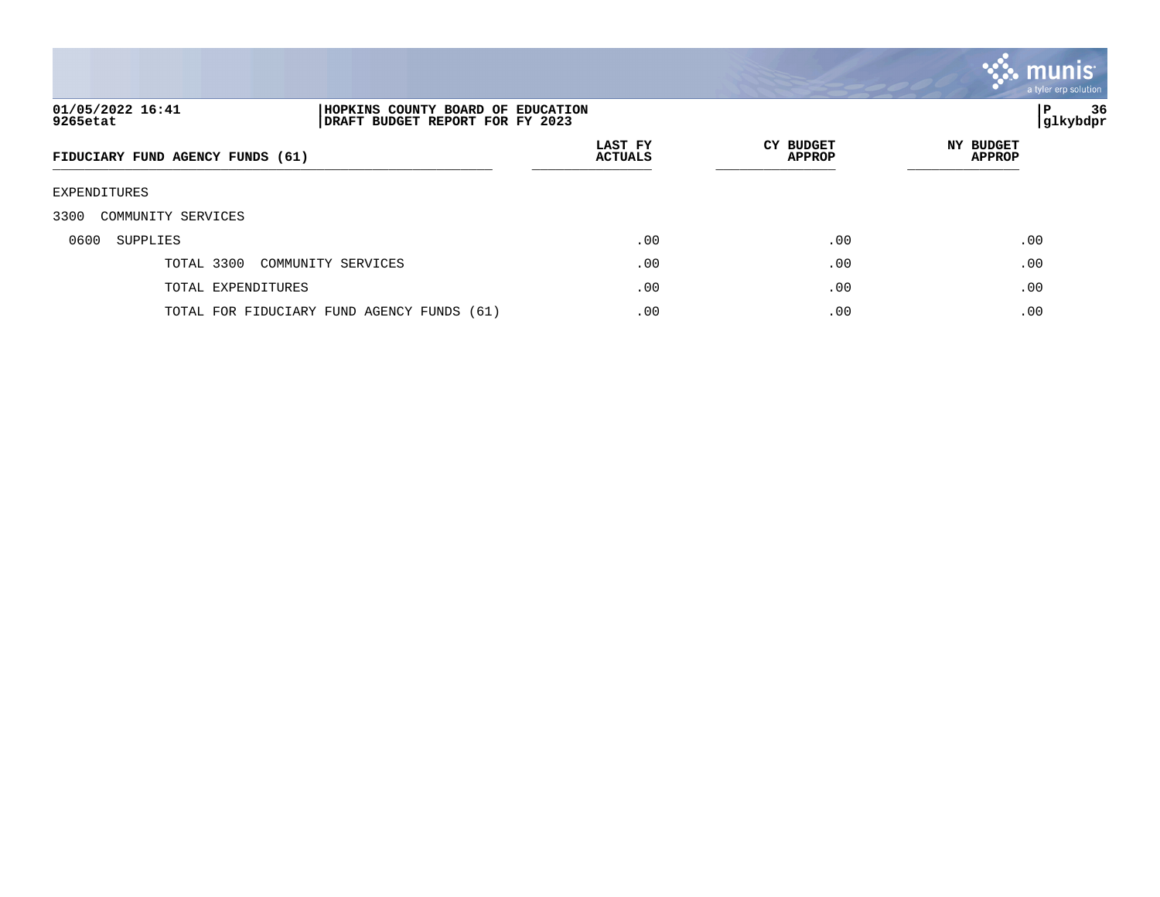

### **01/05/2022 16:41 |HOPKINS COUNTY BOARD OF EDUCATION |P 36 9265etat |DRAFT BUDGET REPORT FOR FY 2023 |glkybdpr**

| FIDUCIARY FUND AGENCY FUNDS (61)           | LAST FY<br><b>ACTUALS</b> | CY BUDGET<br><b>APPROP</b> | <b>NY BUDGET</b><br>APPROP |
|--------------------------------------------|---------------------------|----------------------------|----------------------------|
| EXPENDITURES                               |                           |                            |                            |
| 3300 COMMUNITY SERVICES                    |                           |                            |                            |
| 0600<br>SUPPLIES                           | .00                       | .00                        | .00                        |
| TOTAL 3300<br>COMMUNITY SERVICES           | .00                       | .00                        | .00                        |
| TOTAL EXPENDITURES                         | .00                       | .00                        | .00                        |
| TOTAL FOR FIDUCIARY FUND AGENCY FUNDS (61) | .00                       | .00                        | .00                        |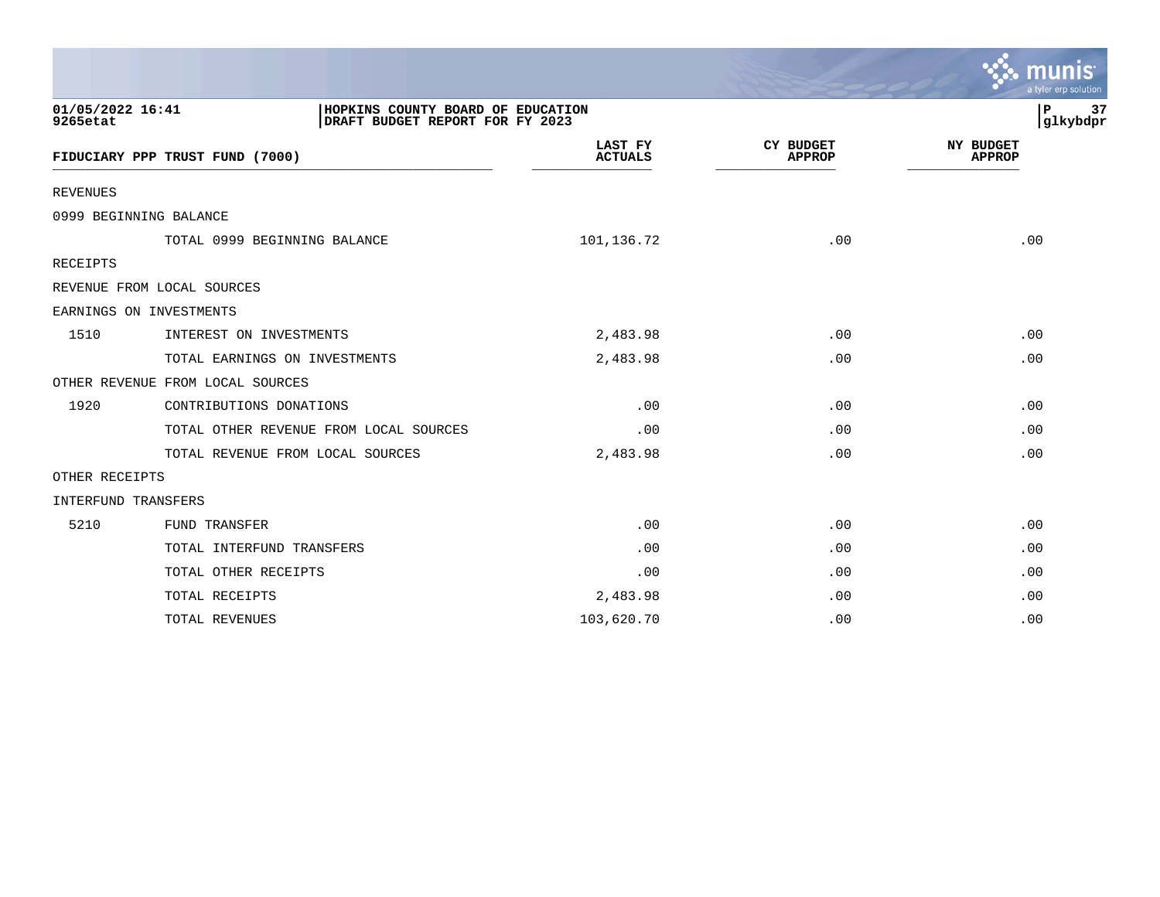|                              |                                                                      |                           |                                   | a tyler erp solution              |
|------------------------------|----------------------------------------------------------------------|---------------------------|-----------------------------------|-----------------------------------|
| 01/05/2022 16:41<br>9265etat | HOPKINS COUNTY BOARD OF EDUCATION<br>DRAFT BUDGET REPORT FOR FY 2023 |                           |                                   | 37<br>P<br>glkybdpr               |
|                              | FIDUCIARY PPP TRUST FUND (7000)                                      | LAST FY<br><b>ACTUALS</b> | <b>CY BUDGET</b><br><b>APPROP</b> | <b>NY BUDGET</b><br><b>APPROP</b> |
| <b>REVENUES</b>              |                                                                      |                           |                                   |                                   |
|                              | 0999 BEGINNING BALANCE                                               |                           |                                   |                                   |
|                              | TOTAL 0999 BEGINNING BALANCE                                         | 101,136.72                | .00                               | .00                               |
| RECEIPTS                     |                                                                      |                           |                                   |                                   |
|                              | REVENUE FROM LOCAL SOURCES                                           |                           |                                   |                                   |
|                              | EARNINGS ON INVESTMENTS                                              |                           |                                   |                                   |
| 1510                         | INTEREST ON INVESTMENTS                                              | 2,483.98                  | .00                               | .00                               |
|                              | TOTAL EARNINGS ON INVESTMENTS                                        | 2,483.98                  | .00                               | .00                               |
|                              | OTHER REVENUE FROM LOCAL SOURCES                                     |                           |                                   |                                   |
| 1920                         | CONTRIBUTIONS DONATIONS                                              | .00                       | .00                               | .00                               |
|                              | TOTAL OTHER REVENUE FROM LOCAL SOURCES                               | .00                       | .00                               | .00                               |
|                              | TOTAL REVENUE FROM LOCAL SOURCES                                     | 2,483.98                  | .00                               | .00                               |
| OTHER RECEIPTS               |                                                                      |                           |                                   |                                   |
| INTERFUND TRANSFERS          |                                                                      |                           |                                   |                                   |
| 5210                         | FUND TRANSFER                                                        | .00                       | .00                               | .00                               |
|                              | TOTAL INTERFUND TRANSFERS                                            | .00                       | .00                               | .00                               |
|                              | TOTAL OTHER RECEIPTS                                                 | .00                       | .00                               | .00                               |
|                              | TOTAL RECEIPTS                                                       | 2,483.98                  | .00                               | .00                               |
|                              | TOTAL REVENUES                                                       | 103,620.70                | .00                               | .00                               |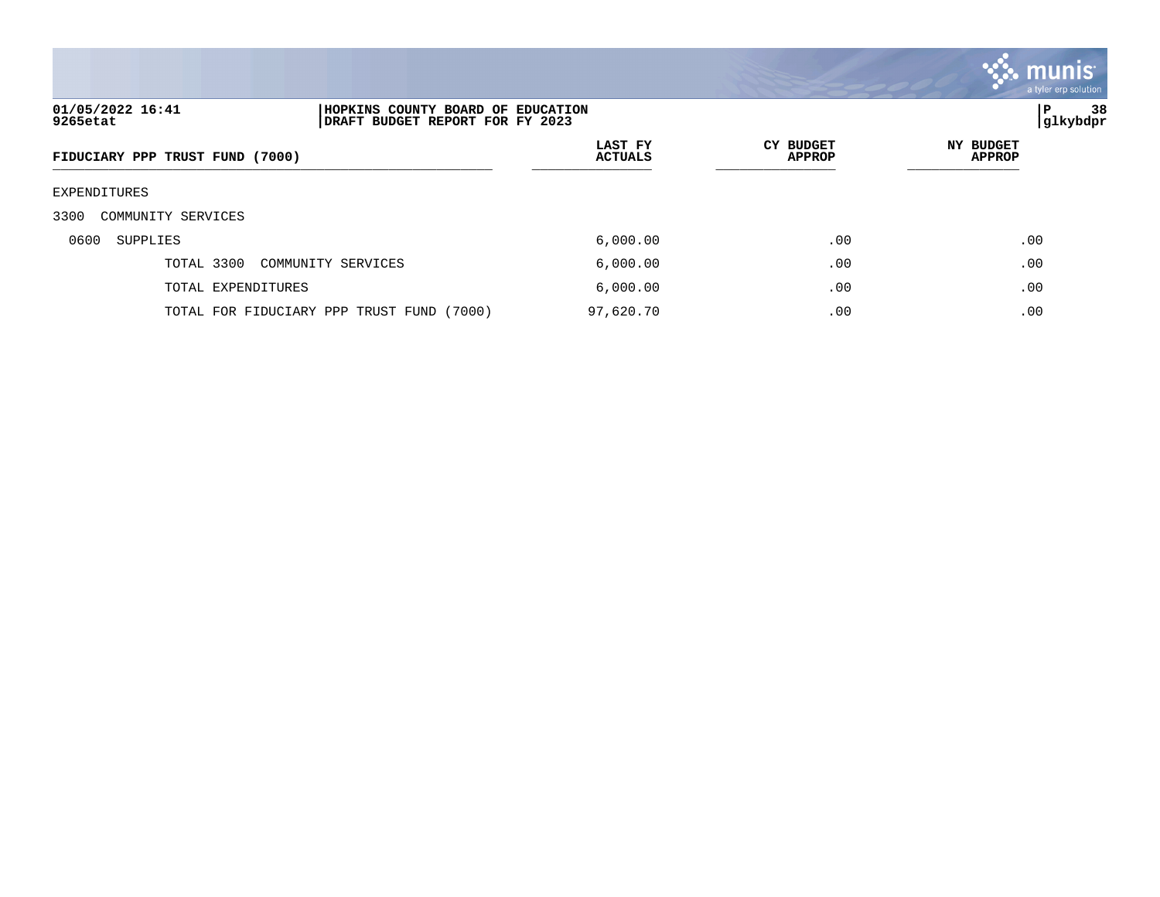

### **01/05/2022 16:41 |HOPKINS COUNTY BOARD OF EDUCATION |P 38 9265etat |DRAFT BUDGET REPORT FOR FY 2023 |glkybdpr**

| FIDUCIARY PPP TRUST FUND (7000)           | LAST FY<br><b>ACTUALS</b> | <b>CY BUDGET</b><br><b>APPROP</b> | <b>NY BUDGET</b><br><b>APPROP</b> |
|-------------------------------------------|---------------------------|-----------------------------------|-----------------------------------|
| EXPENDITURES                              |                           |                                   |                                   |
| 3300<br>COMMUNITY SERVICES                |                           |                                   |                                   |
| 0600<br>SUPPLIES                          | 6,000.00                  | .00                               | .00                               |
| TOTAL 3300<br>COMMUNITY SERVICES          | 6,000.00                  | .00                               | .00                               |
| TOTAL EXPENDITURES                        | 6,000.00                  | .00                               | .00                               |
| TOTAL FOR FIDUCIARY PPP TRUST FUND (7000) | 97,620.70                 | .00                               | .00                               |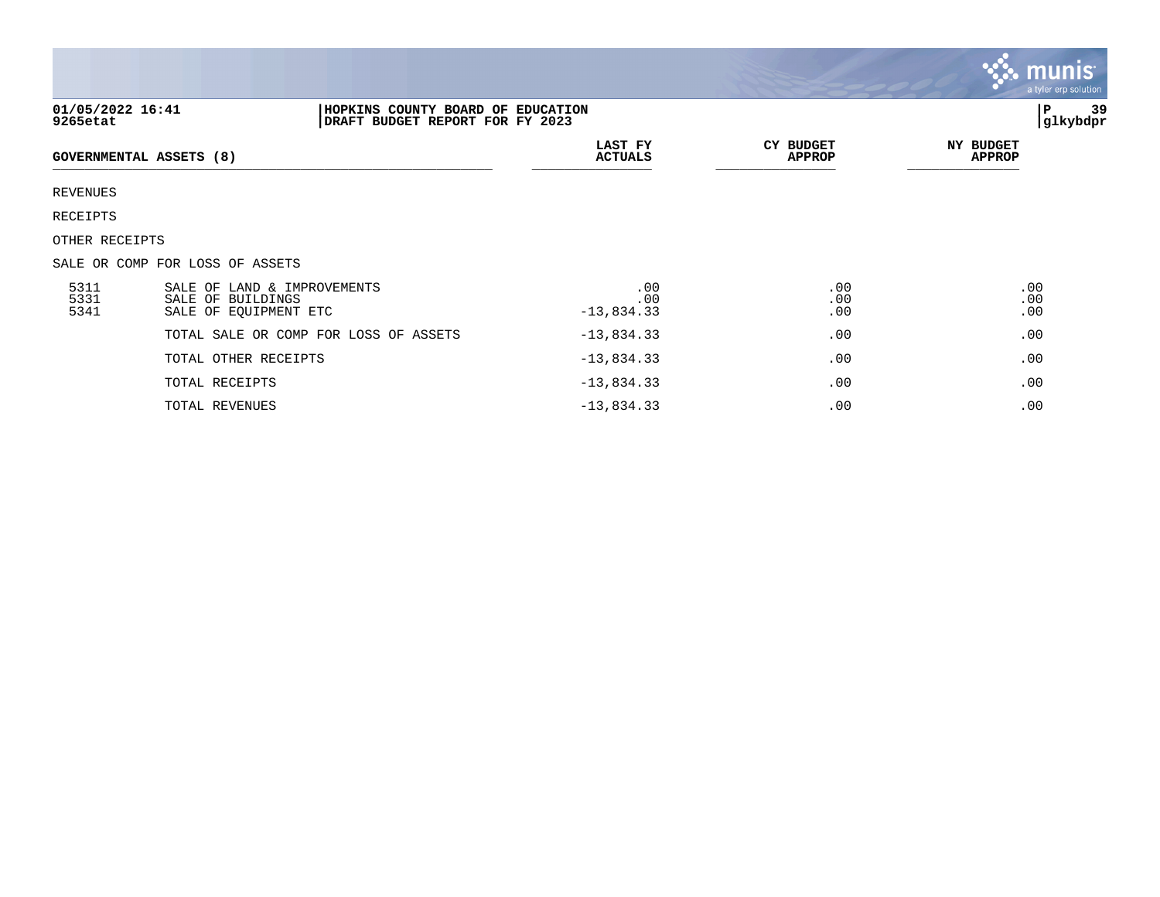|                                |                                                                           |                            |                            | <b>munis</b><br>a tyler erp solution |
|--------------------------------|---------------------------------------------------------------------------|----------------------------|----------------------------|--------------------------------------|
| 01/05/2022 16:41<br>9265etat   | HOPKINS COUNTY BOARD OF EDUCATION<br>DRAFT BUDGET REPORT FOR FY 2023      |                            |                            | 39<br>P<br> glkybdpr                 |
| <b>GOVERNMENTAL ASSETS (8)</b> |                                                                           | LAST FY<br><b>ACTUALS</b>  | CY BUDGET<br><b>APPROP</b> | <b>NY BUDGET</b><br><b>APPROP</b>    |
| REVENUES                       |                                                                           |                            |                            |                                      |
| RECEIPTS                       |                                                                           |                            |                            |                                      |
| OTHER RECEIPTS                 |                                                                           |                            |                            |                                      |
|                                | SALE OR COMP FOR LOSS OF ASSETS                                           |                            |                            |                                      |
| 5311<br>5331<br>5341           | SALE OF LAND & IMPROVEMENTS<br>SALE OF BUILDINGS<br>SALE OF EQUIPMENT ETC | .00<br>.00<br>$-13,834.33$ | .00<br>.00<br>.00          | .00<br>.00<br>.00                    |
|                                | TOTAL SALE OR COMP FOR LOSS OF ASSETS                                     | $-13,834.33$               | .00                        | .00                                  |
|                                | TOTAL OTHER RECEIPTS                                                      | $-13,834.33$               | .00                        | .00                                  |
|                                | TOTAL RECEIPTS                                                            | $-13,834.33$               | .00                        | .00                                  |
|                                | TOTAL REVENUES                                                            | $-13,834.33$               | .00                        | .00                                  |

 $\mathcal{L}$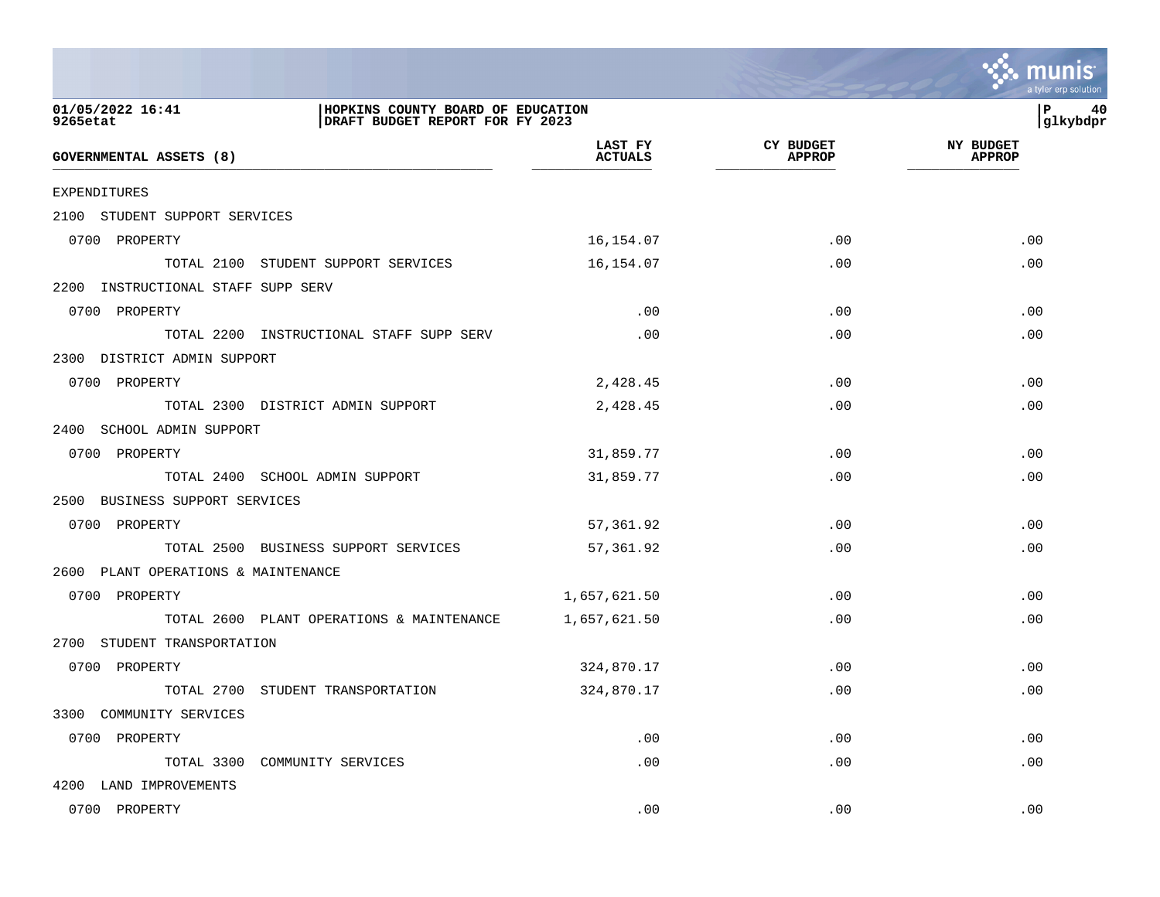

| 01/05/2022 16:41<br>9265etat        | HOPKINS COUNTY BOARD OF EDUCATION<br>DRAFT BUDGET REPORT FOR FY 2023 |                           |                            | l P<br>40<br> glkybdpr            |
|-------------------------------------|----------------------------------------------------------------------|---------------------------|----------------------------|-----------------------------------|
| GOVERNMENTAL ASSETS (8)             |                                                                      | LAST FY<br><b>ACTUALS</b> | CY BUDGET<br><b>APPROP</b> | <b>NY BUDGET</b><br><b>APPROP</b> |
| EXPENDITURES                        |                                                                      |                           |                            |                                   |
| 2100 STUDENT SUPPORT SERVICES       |                                                                      |                           |                            |                                   |
| 0700 PROPERTY                       |                                                                      | 16,154.07                 | .00                        | .00                               |
|                                     | TOTAL 2100 STUDENT SUPPORT SERVICES                                  | 16,154.07                 | .00                        | .00                               |
| 2200 INSTRUCTIONAL STAFF SUPP SERV  |                                                                      |                           |                            |                                   |
| 0700 PROPERTY                       |                                                                      | .00                       | .00                        | .00                               |
|                                     | TOTAL 2200 INSTRUCTIONAL STAFF SUPP SERV                             | .00                       | .00                        | .00                               |
| 2300 DISTRICT ADMIN SUPPORT         |                                                                      |                           |                            |                                   |
| 0700 PROPERTY                       |                                                                      | 2,428.45                  | .00                        | .00                               |
|                                     | TOTAL 2300 DISTRICT ADMIN SUPPORT                                    | 2,428.45                  | .00                        | .00                               |
| 2400 SCHOOL ADMIN SUPPORT           |                                                                      |                           |                            |                                   |
| 0700 PROPERTY                       |                                                                      | 31,859.77                 | .00                        | .00                               |
|                                     | TOTAL 2400 SCHOOL ADMIN SUPPORT                                      | 31,859.77                 | .00                        | .00                               |
| 2500 BUSINESS SUPPORT SERVICES      |                                                                      |                           |                            |                                   |
| 0700 PROPERTY                       |                                                                      | 57,361.92                 | .00                        | .00                               |
|                                     | TOTAL 2500 BUSINESS SUPPORT SERVICES                                 | 57,361.92                 | .00                        | .00                               |
| 2600 PLANT OPERATIONS & MAINTENANCE |                                                                      |                           |                            |                                   |
| 0700 PROPERTY                       |                                                                      | 1,657,621.50              | .00                        | .00                               |
|                                     | TOTAL 2600 PLANT OPERATIONS & MAINTENANCE                            | 1,657,621.50              | .00                        | .00                               |
| 2700 STUDENT TRANSPORTATION         |                                                                      |                           |                            |                                   |
| 0700 PROPERTY                       |                                                                      | 324,870.17                | .00                        | .00                               |
|                                     | TOTAL 2700 STUDENT TRANSPORTATION                                    | 324,870.17                | .00                        | .00                               |
| 3300 COMMUNITY SERVICES             |                                                                      |                           |                            |                                   |
| 0700 PROPERTY                       |                                                                      | .00                       | .00                        | .00                               |
|                                     | TOTAL 3300 COMMUNITY SERVICES                                        | .00                       | .00                        | .00                               |
| 4200 LAND IMPROVEMENTS              |                                                                      |                           |                            |                                   |

0700 PROPERTY .00 .00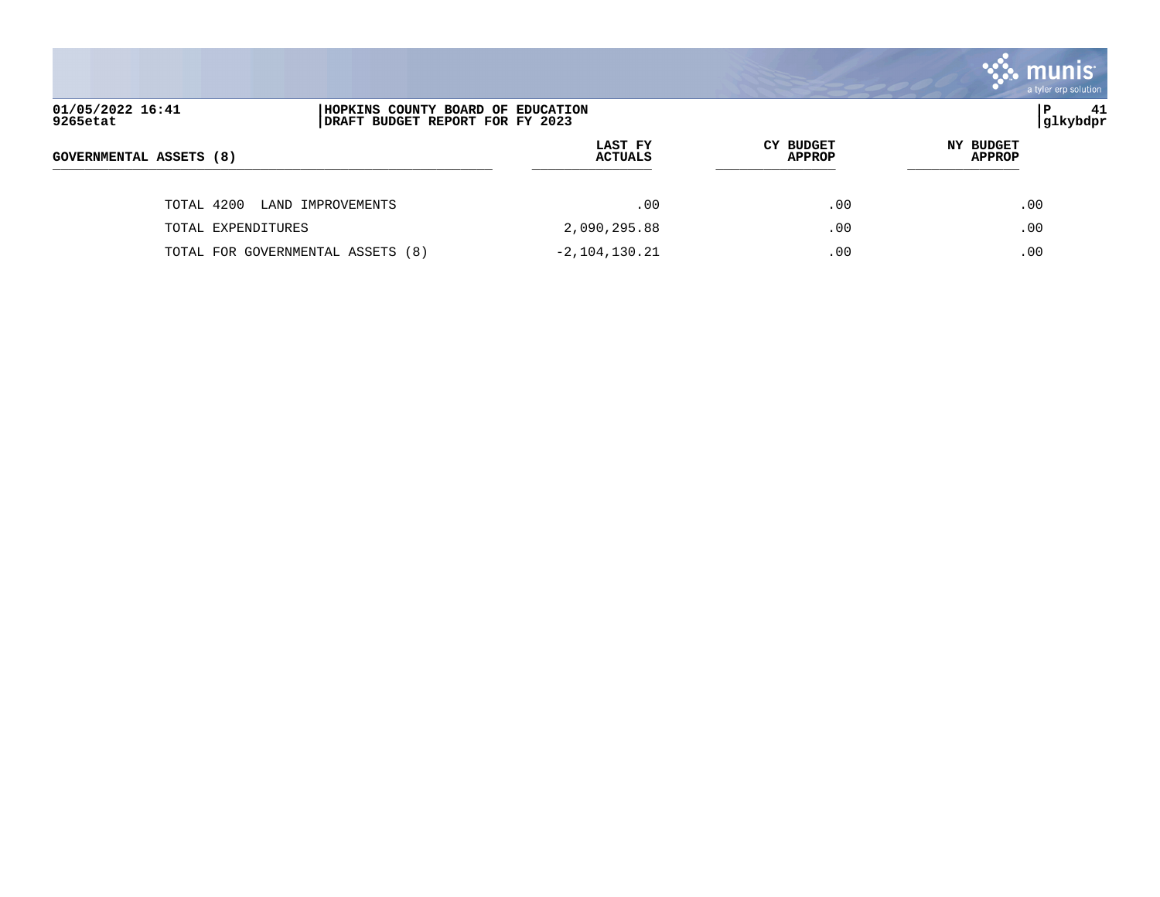|                                                                                                      |                                  |                                   | munis <sup>.</sup><br>a tyler erp solution |
|------------------------------------------------------------------------------------------------------|----------------------------------|-----------------------------------|--------------------------------------------|
| 01/05/2022 16:41<br>HOPKINS COUNTY BOARD OF EDUCATION<br>9265etat<br>DRAFT BUDGET REPORT FOR FY 2023 |                                  |                                   | ∣P<br>41<br> glkybdpr                      |
| GOVERNMENTAL ASSETS (8)                                                                              | <b>LAST FY</b><br><b>ACTUALS</b> | <b>CY BUDGET</b><br><b>APPROP</b> | <b>NY BUDGET</b><br><b>APPROP</b>          |
| TOTAL 4200<br>LAND IMPROVEMENTS                                                                      | .00                              | .00                               | .00                                        |
| TOTAL EXPENDITURES                                                                                   | 2,090,295.88                     | .00                               | .00                                        |
| TOTAL FOR GOVERNMENTAL ASSETS (8)                                                                    | $-2, 104, 130.21$                | .00                               | .00                                        |

and the contract of the contract of the contract of the contract of the contract of the contract of the contract of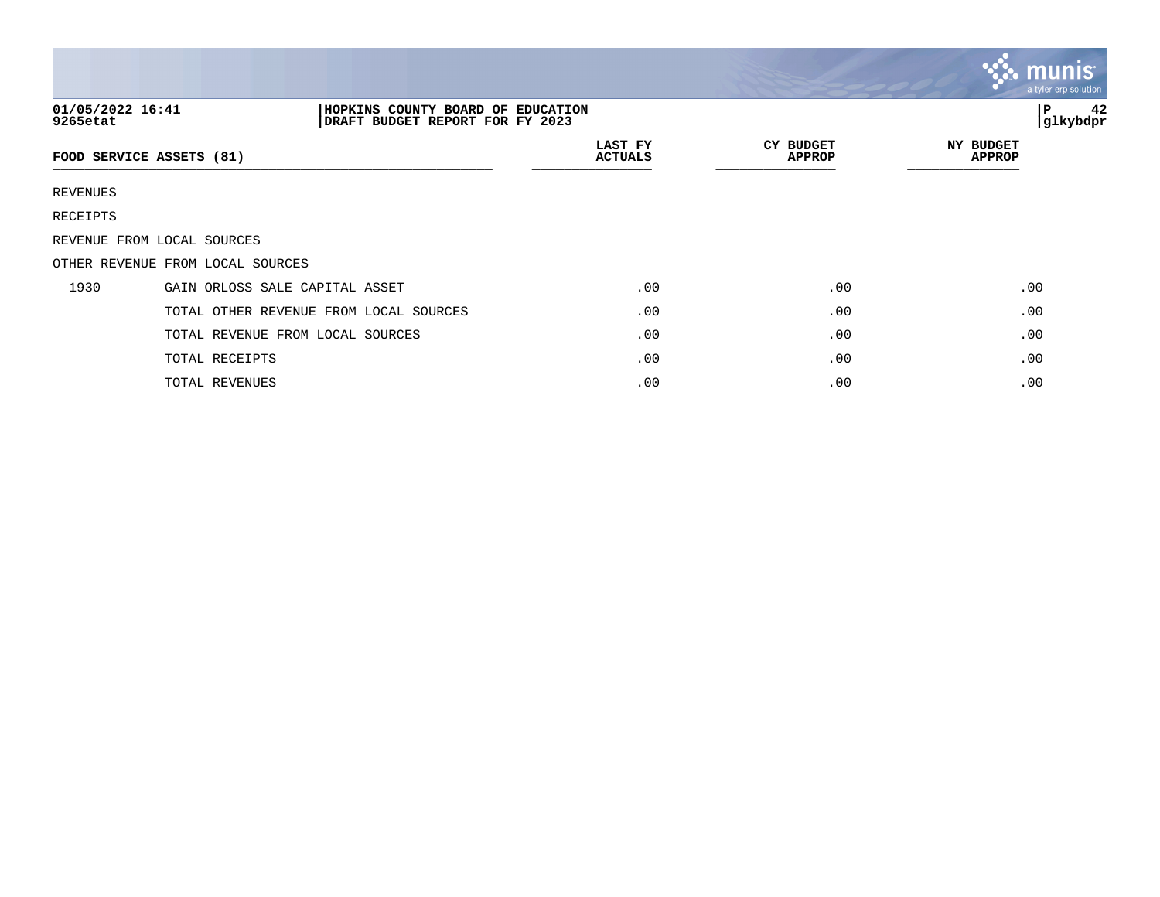|                              |                                                                      |                           |                                   | <b>munis</b><br>a tyler erp solution |
|------------------------------|----------------------------------------------------------------------|---------------------------|-----------------------------------|--------------------------------------|
| 01/05/2022 16:41<br>9265etat | HOPKINS COUNTY BOARD OF EDUCATION<br>DRAFT BUDGET REPORT FOR FY 2023 |                           |                                   | 42<br> P<br>glkybdpr                 |
| FOOD SERVICE ASSETS (81)     |                                                                      | LAST FY<br><b>ACTUALS</b> | <b>CY BUDGET</b><br><b>APPROP</b> | <b>NY BUDGET</b><br><b>APPROP</b>    |
| REVENUES                     |                                                                      |                           |                                   |                                      |
| RECEIPTS                     |                                                                      |                           |                                   |                                      |
| REVENUE FROM LOCAL SOURCES   |                                                                      |                           |                                   |                                      |
|                              | OTHER REVENUE FROM LOCAL SOURCES                                     |                           |                                   |                                      |
| 1930                         | GAIN ORLOSS SALE CAPITAL ASSET                                       | .00                       | .00                               | .00                                  |
|                              | TOTAL OTHER REVENUE FROM LOCAL SOURCES                               | .00                       | .00                               | .00                                  |
|                              | TOTAL REVENUE FROM LOCAL SOURCES                                     | .00                       | .00                               | .00                                  |
|                              | TOTAL RECEIPTS                                                       | .00                       | .00                               | .00                                  |
|                              | TOTAL REVENUES                                                       | .00                       | .00                               | .00                                  |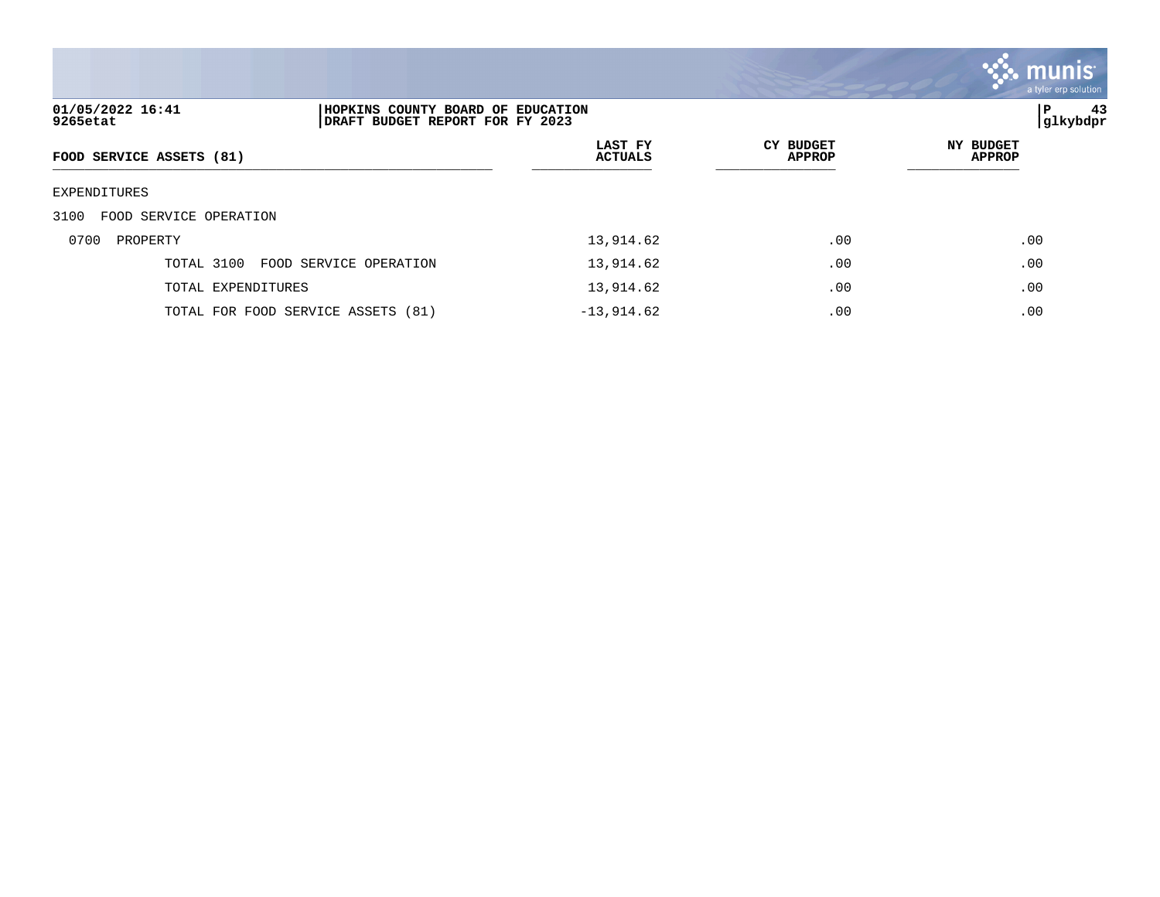

| 01/05/2022 16:41<br>9265etat   |                                    | HOPKINS COUNTY BOARD OF EDUCATION<br>DRAFT BUDGET REPORT FOR FY 2023 |                                   |                                   |  |
|--------------------------------|------------------------------------|----------------------------------------------------------------------|-----------------------------------|-----------------------------------|--|
| FOOD SERVICE ASSETS (81)       |                                    | LAST FY<br><b>ACTUALS</b>                                            | <b>CY BUDGET</b><br><b>APPROP</b> | <b>NY BUDGET</b><br><b>APPROP</b> |  |
| EXPENDITURES                   |                                    |                                                                      |                                   |                                   |  |
| FOOD SERVICE OPERATION<br>3100 |                                    |                                                                      |                                   |                                   |  |
| PROPERTY<br>0700               |                                    | 13,914.62                                                            | .00                               | .00                               |  |
| TOTAL 3100                     | FOOD SERVICE OPERATION             | 13,914.62                                                            | .00                               | .00                               |  |
| TOTAL EXPENDITURES             |                                    | 13,914.62                                                            | .00                               | .00                               |  |
|                                | TOTAL FOR FOOD SERVICE ASSETS (81) | $-13,914.62$                                                         | .00                               | .00                               |  |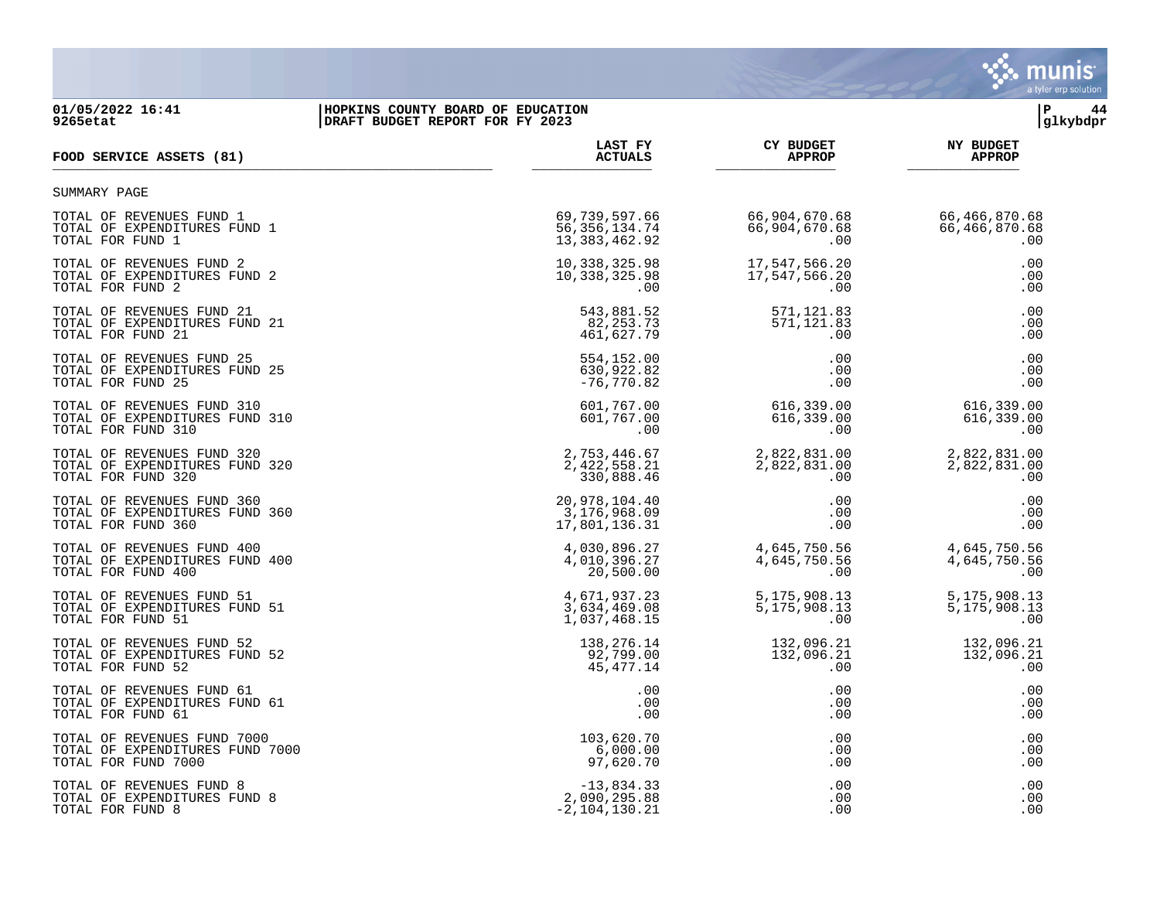

### **01/05/2022 16:41 |HOPKINS COUNTY BOARD OF EDUCATION |P 44 9265etat |DRAFT BUDGET REPORT FOR FY 2023 |glkybdpr**

| FOOD SERVICE ASSETS (81)                                                              | LAST FY                             | <b>CY BUDGET</b>  | <b>NY BUDGET</b>  |
|---------------------------------------------------------------------------------------|-------------------------------------|-------------------|-------------------|
|                                                                                       | <b>ACTUALS</b>                      | <b>APPROP</b>     | <b>APPROP</b>     |
| SUMMARY PAGE                                                                          |                                     |                   |                   |
| TOTAL OF REVENUES FUND 1                                                              | 69,739,597.66                       | 66,904,670.68     | 66,466,870.68     |
| TOTAL OF EXPENDITURES FUND 1                                                          | 56, 356, 134.74                     | 66,904,670.68     | 66,466,870.68     |
| TOTAL FOR FUND 1                                                                      | 13,383,462.92                       | .00               | .00               |
| TOTAL OF REVENUES FUND 2                                                              | 10,338,325.98                       | 17,547,566.20     | .00               |
| TOTAL OF EXPENDITURES FUND 2                                                          | 10,338,325.98                       | 17,547,566.20     | .00               |
| TOTAL FOR FUND 2                                                                      | .00                                 | .00               | .00               |
| TOTAL OF REVENUES FUND 21                                                             | 543,881.52                          | 571,121.83        | .00               |
| TOTAL OF EXPENDITURES FUND 21                                                         | 82, 253. 73                         | 571, 121.83       | .00               |
| TOTAL FOR FUND 21                                                                     | 461,627.79                          | .00               | .00               |
| TOTAL OF REVENUES FUND 25                                                             | 554,152.00                          | .00               | .00               |
| TOTAL OF EXPENDITURES FUND 25                                                         | 630,922.82                          | .00               | .00               |
| TOTAL FOR FUND 25                                                                     | $-76,770.82$                        | .00               | .00               |
| TOTAL OF REVENUES FUND 310                                                            | 601,767.00                          | 616,339.00        | 616,339.00        |
| TOTAL OF EXPENDITURES FUND 310                                                        | 601,767.00                          | 616,339.00        | 616,339.00        |
| TOTAL FOR FUND 310                                                                    | .00                                 | .00               | .00               |
| TOTAL OF REVENUES FUND 320                                                            | 2,753,446.67                        | 2,822,831.00      | 2,822,831.00      |
| TOTAL OF EXPENDITURES FUND 320                                                        | 2, 422, 558.21                      | 2,822,831.00      | 2,822,831.00      |
| TOTAL FOR FUND 320                                                                    | 330,888.46                          | .00               | .00               |
| TOTAL OF REVENUES FUND 360                                                            | 20,978,104.40                       | .00               | .00               |
| TOTAL OF EXPENDITURES FUND 360                                                        | 3,176,968.09                        | .00               | .00               |
| TOTAL FOR FUND 360                                                                    | 17,801,136.31                       | .00               | .00               |
| TOTAL OF REVENUES FUND 400                                                            | 4,030,896.27                        | 4,645,750.56      | 4,645,750.56      |
| TOTAL OF EXPENDITURES FUND 400                                                        | 4,010,396.27                        | 4,645,750.56      | 4,645,750.56      |
| TOTAL FOR FUND 400                                                                    | 20,500.00                           | .00               | .00               |
| TOTAL OF REVENUES FUND 51                                                             | 4,671,937.23                        | 5,175,908.13      | 5,175,908.13      |
| TOTAL OF EXPENDITURES FUND 51                                                         | 3,634,469.08                        | 5,175,908.13      | 5,175,908.13      |
| TOTAL FOR FUND 51                                                                     | 1,037,468.15                        | .00               | .00               |
| TOTAL OF REVENUES FUND 52                                                             | 138,276.14                          | 132,096.21        | 132,096.21        |
| TOTAL OF EXPENDITURES FUND 52                                                         | 92,799.00                           | 132,096.21        | 132,096.21        |
| TOTAL FOR FUND 52                                                                     | 45, 477. 14                         | .00               | .00               |
| TOTAL OF REVENUES FUND 61                                                             | .00                                 | .00               | .00               |
| TOTAL OF EXPENDITURES FUND 61                                                         | .00                                 | .00               | .00               |
| TOTAL FOR FUND 61                                                                     | .00                                 | .00               | .00               |
| TOTAL OF REVENUES FUND 7000<br>TOTAL OF EXPENDITURES FUND 7000<br>TOTAL FOR FUND 7000 | 103,620.70<br>6,000.00<br>97,620.70 | .00<br>.00<br>.00 | .00<br>.00<br>.00 |
| TOTAL OF REVENUES FUND 8                                                              | $-13,834.33$                        | .00               | .00               |
| TOTAL OF EXPENDITURES FUND 8                                                          | 2,090,295.88                        | .00               | .00               |
| TOTAL FOR FUND 8                                                                      | $-2, 104, 130.21$                   | .00               | .00               |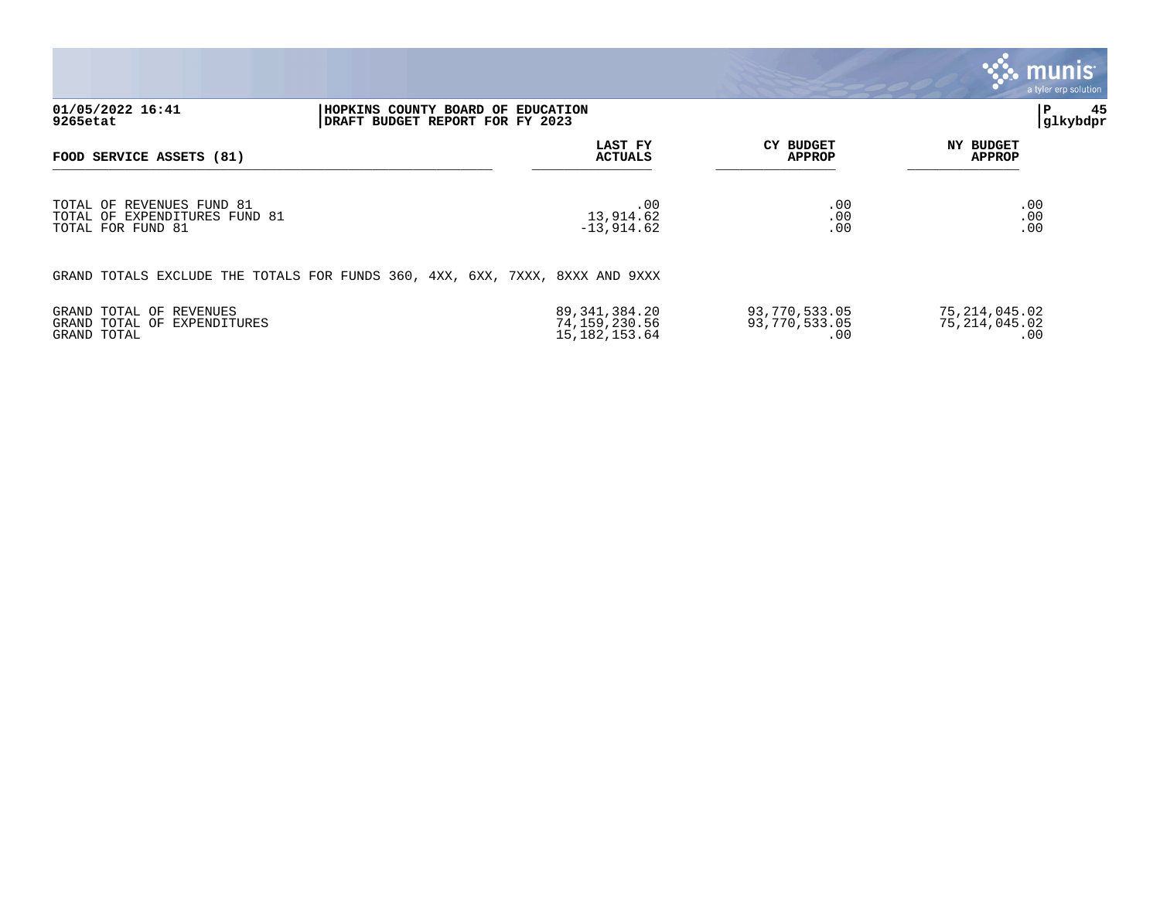|                                                                                 |                                                                              |                                                   |                                       |                                       | <b>munis</b><br>a tyler erp solution |
|---------------------------------------------------------------------------------|------------------------------------------------------------------------------|---------------------------------------------------|---------------------------------------|---------------------------------------|--------------------------------------|
| 01/05/2022 16:41<br>9265etat                                                    | HOPKINS COUNTY BOARD OF EDUCATION<br>DRAFT BUDGET REPORT FOR FY 2023         |                                                   |                                       | P                                     | 45<br> glkybdpr                      |
| FOOD SERVICE ASSETS (81)                                                        |                                                                              | <b>LAST FY</b><br><b>ACTUALS</b>                  | CY BUDGET<br><b>APPROP</b>            | <b>NY BUDGET</b><br><b>APPROP</b>     |                                      |
| TOTAL OF REVENUES FUND 81<br>TOTAL OF EXPENDITURES FUND 81<br>TOTAL FOR FUND 81 |                                                                              | .00<br>13,914.62<br>$-13,914.62$                  | .00<br>.00<br>.00                     | .00<br>.00<br>.00                     |                                      |
|                                                                                 | GRAND TOTALS EXCLUDE THE TOTALS FOR FUNDS 360, 4XX, 6XX, 7XXX, 8XXX AND 9XXX |                                                   |                                       |                                       |                                      |
| GRAND TOTAL OF REVENUES<br>GRAND TOTAL OF EXPENDITURES<br>GRAND TOTAL           |                                                                              | 89,341,384.20<br>74,159,230.56<br>15, 182, 153.64 | 93,770,533.05<br>93,770,533.05<br>.00 | 75,214,045.02<br>75,214,045.02<br>.00 |                                      |

**SOF**